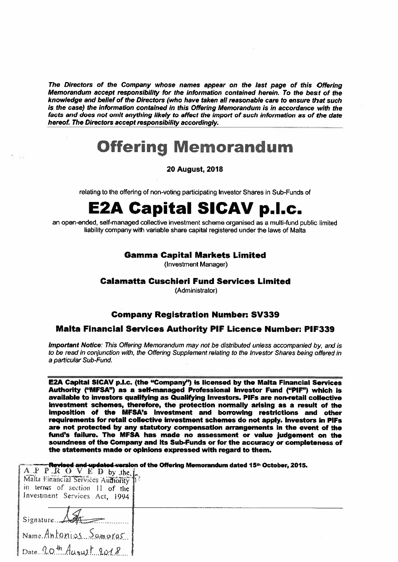The Directors of the Company whose names appear on the last page of this Offering Memorandum accept responsibility for the information contained herein. To the best of the knowledge and belief of the Directors (who have taken all reasonable care to ensure that such is the case) the information contained in this Offering Memorandum is in accordance with the facts and does not omit anything likely to affect the import of such information as of the date hereof. The Directors accept responsibility accordingly.

# **Offering Memorandum**

**20 August, 2018** 

relating to the offering of non-voting participating Investor Shares in Sub-Funds of

# **E2A Capital SICAV p.l.c.**

an open-ended, self-managed collective investment scheme organised as a multi-fund public limited liability company with variable share capital registered under the laws of Malta

# **Gamma Capital Markets Limited**

(Investment Manager)

#### **Calamatta Cuschieri Fund Services Limited**

(Administrator)

# **Company Registration Number: SV339**

#### **Malta Financial Services Authority PIF Licence Number: PIF339**

Important Notice: This Offering Memorandum may not be distributed unless accompanied by, and is to be read in conjunction with, the Offering Supplement relating to the Investor Shares being offered in a particular Sub-Fund.

E2A Capital SICAV p.l.c. (the "Company") is licensed by the Malta Financial Services Authority ("MFSA") as a self-managed Professional Investor Fund ("PIF") which is available to investors qualifying as Qualifying Investors. PIFs are non-retail collective investment schemes, therefore, the protection normally arising as a result of the imposition of the MFSA's investment and borrowing restrictions and other requirements for retail collective investment schemes do not apply. Investors in PIFs are not protected by any statutory compensation arrangements in the event of the fund's failure. The MFSA has made no assessment or value judgement on the soundness of the Company and its Sub-Funds or for the accuracy or completeness of the statements made or opinions expressed with regard to them.

Revised and undated varsion of the Offering Memorandum dated 15th October, 2015.

| $\begin{bmatrix} A & P & R & O & V & E & D & by & the \ \hline \end{bmatrix}$ Malta Financial Services Authority<br>in terms of section 11 of the<br>Investment Services Act 1994 |  |
|-----------------------------------------------------------------------------------------------------------------------------------------------------------------------------------|--|
| Signature. A                                                                                                                                                                      |  |
| Name Antoniss Samoras                                                                                                                                                             |  |
| Date 20th August 2018                                                                                                                                                             |  |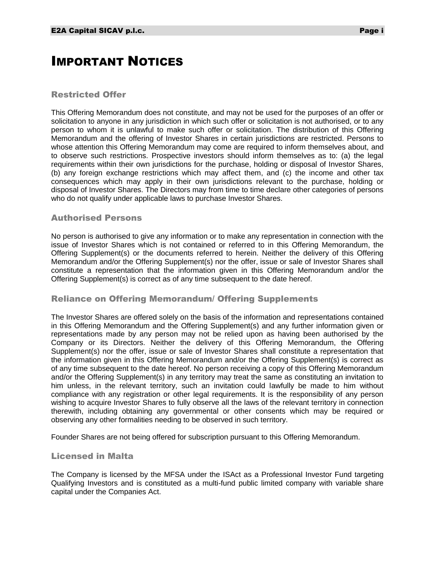# <span id="page-1-0"></span>IMPORTANT NOTICES

#### Restricted Offer

This Offering Memorandum does not constitute, and may not be used for the purposes of an offer or solicitation to anyone in any jurisdiction in which such offer or solicitation is not authorised, or to any person to whom it is unlawful to make such offer or solicitation. The distribution of this Offering Memorandum and the offering of Investor Shares in certain jurisdictions are restricted. Persons to whose attention this Offering Memorandum may come are required to inform themselves about, and to observe such restrictions. Prospective investors should inform themselves as to: (a) the legal requirements within their own jurisdictions for the purchase, holding or disposal of Investor Shares, (b) any foreign exchange restrictions which may affect them, and (c) the income and other tax consequences which may apply in their own jurisdictions relevant to the purchase, holding or disposal of Investor Shares. The Directors may from time to time declare other categories of persons who do not qualify under applicable laws to purchase Investor Shares.

#### Authorised Persons

No person is authorised to give any information or to make any representation in connection with the issue of Investor Shares which is not contained or referred to in this Offering Memorandum, the Offering Supplement(s) or the documents referred to herein. Neither the delivery of this Offering Memorandum and/or the Offering Supplement(s) nor the offer, issue or sale of Investor Shares shall constitute a representation that the information given in this Offering Memorandum and/or the Offering Supplement(s) is correct as of any time subsequent to the date hereof.

# Reliance on Offering Memorandum/ Offering Supplements

The Investor Shares are offered solely on the basis of the information and representations contained in this Offering Memorandum and the Offering Supplement(s) and any further information given or representations made by any person may not be relied upon as having been authorised by the Company or its Directors. Neither the delivery of this Offering Memorandum, the Offering Supplement(s) nor the offer, issue or sale of Investor Shares shall constitute a representation that the information given in this Offering Memorandum and/or the Offering Supplement(s) is correct as of any time subsequent to the date hereof. No person receiving a copy of this Offering Memorandum and/or the Offering Supplement(s) in any territory may treat the same as constituting an invitation to him unless, in the relevant territory, such an invitation could lawfully be made to him without compliance with any registration or other legal requirements. It is the responsibility of any person wishing to acquire Investor Shares to fully observe all the laws of the relevant territory in connection therewith, including obtaining any governmental or other consents which may be required or observing any other formalities needing to be observed in such territory.

Founder Shares are not being offered for subscription pursuant to this Offering Memorandum.

#### Licensed in Malta

The Company is licensed by the MFSA under the ISAct as a Professional Investor Fund targeting Qualifying Investors and is constituted as a multi-fund public limited company with variable share capital under the Companies Act.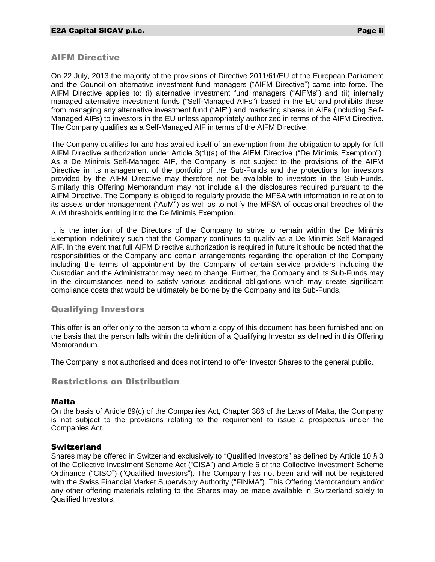## AIFM Directive

On 22 July, 2013 the majority of the provisions of Directive 2011/61/EU of the European Parliament and the Council on alternative investment fund managers ("AIFM Directive") came into force. The AIFM Directive applies to: (i) alternative investment fund managers ("AIFMs") and (ii) internally managed alternative investment funds ("Self-Managed AIFs") based in the EU and prohibits these from managing any alternative investment fund ("AIF") and marketing shares in AIFs (including Self-Managed AIFs) to investors in the EU unless appropriately authorized in terms of the AIFM Directive. The Company qualifies as a Self-Managed AIF in terms of the AIFM Directive.

The Company qualifies for and has availed itself of an exemption from the obligation to apply for full AIFM Directive authorization under Article 3(1)(a) of the AIFM Directive ("De Minimis Exemption"). As a De Minimis Self-Managed AIF, the Company is not subject to the provisions of the AIFM Directive in its management of the portfolio of the Sub-Funds and the protections for investors provided by the AIFM Directive may therefore not be available to investors in the Sub-Funds. Similarly this Offering Memorandum may not include all the disclosures required pursuant to the AIFM Directive. The Company is obliged to regularly provide the MFSA with information in relation to its assets under management ("AuM") as well as to notify the MFSA of occasional breaches of the AuM thresholds entitling it to the De Minimis Exemption.

It is the intention of the Directors of the Company to strive to remain within the De Minimis Exemption indefinitely such that the Company continues to qualify as a De Minimis Self Managed AIF. In the event that full AIFM Directive authorization is required in future it should be noted that the responsibilities of the Company and certain arrangements regarding the operation of the Company including the terms of appointment by the Company of certain service providers including the Custodian and the Administrator may need to change. Further, the Company and its Sub-Funds may in the circumstances need to satisfy various additional obligations which may create significant compliance costs that would be ultimately be borne by the Company and its Sub-Funds.

# Qualifying Investors

This offer is an offer only to the person to whom a copy of this document has been furnished and on the basis that the person falls within the definition of a Qualifying Investor as defined in this Offering Memorandum.

The Company is not authorised and does not intend to offer Investor Shares to the general public.

# Restrictions on Distribution

#### Malta

On the basis of Article 89(c) of the Companies Act, Chapter 386 of the Laws of Malta, the Company is not subject to the provisions relating to the requirement to issue a prospectus under the Companies Act.

#### **Switzerland**

Shares may be offered in Switzerland exclusively to "Qualified Investors" as defined by Article 10 § 3 of the Collective Investment Scheme Act ("CISA") and Article 6 of the Collective Investment Scheme Ordinance ("CISO") ("Qualified Investors"). The Company has not been and will not be registered with the Swiss Financial Market Supervisory Authority ("FINMA"). This Offering Memorandum and/or any other offering materials relating to the Shares may be made available in Switzerland solely to Qualified Investors.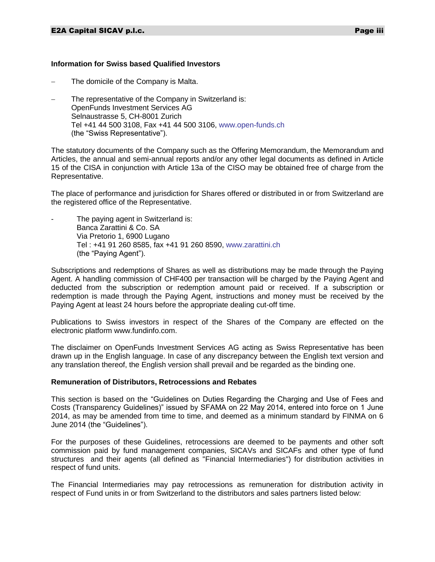#### **Information for Swiss based Qualified Investors**

- The domicile of the Company is Malta.
- The representative of the Company in Switzerland is: OpenFunds Investment Services AG Selnaustrasse 5, CH-8001 Zurich Tel +41 44 500 3108, Fax +41 44 500 3106, [www.open-funds.ch](http://www.open-funds.ch/) (the "Swiss Representative").

The statutory documents of the Company such as the Offering Memorandum, the Memorandum and Articles, the annual and semi-annual reports and/or any other legal documents as defined in Article 15 of the CISA in conjunction with Article 13a of the CISO may be obtained free of charge from the Representative.

The place of performance and jurisdiction for Shares offered or distributed in or from Switzerland are the registered office of the Representative.

The paying agent in Switzerland is: Banca Zarattini & Co. SA Via Pretorio 1, 6900 Lugano Tel : +41 91 260 8585, fax +41 91 260 8590, [www.zarattini.ch](http://www.zarattini.ch/) (the "Paying Agent").

Subscriptions and redemptions of Shares as well as distributions may be made through the Paying Agent. A handling commission of CHF400 per transaction will be charged by the Paying Agent and deducted from the subscription or redemption amount paid or received. If a subscription or redemption is made through the Paying Agent, instructions and money must be received by the Paying Agent at least 24 hours before the appropriate dealing cut-off time.

Publications to Swiss investors in respect of the Shares of the Company are effected on the electronic platform www.fundinfo.com.

The disclaimer on OpenFunds Investment Services AG acting as Swiss Representative has been drawn up in the English language. In case of any discrepancy between the English text version and any translation thereof, the English version shall prevail and be regarded as the binding one.

#### **Remuneration of Distributors, Retrocessions and Rebates**

This section is based on the "Guidelines on Duties Regarding the Charging and Use of Fees and Costs (Transparency Guidelines)" issued by SFAMA on 22 May 2014, entered into force on 1 June 2014, as may be amended from time to time, and deemed as a minimum standard by FINMA on 6 June 2014 (the "Guidelines").

For the purposes of these Guidelines, retrocessions are deemed to be payments and other soft commission paid by fund management companies, SICAVs and SICAFs and other type of fund structures and their agents (all defined as "Financial Intermediaries") for distribution activities in respect of fund units.

The Financial Intermediaries may pay retrocessions as remuneration for distribution activity in respect of Fund units in or from Switzerland to the distributors and sales partners listed below: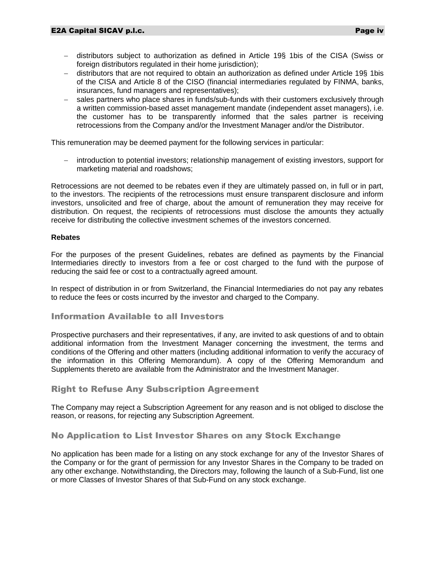- distributors subject to authorization as defined in Article 19§ 1bis of the CISA (Swiss or foreign distributors regulated in their home jurisdiction);
- distributors that are not required to obtain an authorization as defined under Article 19§ 1bis of the CISA and Article 8 of the CISO (financial intermediaries regulated by FINMA, banks, insurances, fund managers and representatives);
- sales partners who place shares in funds/sub-funds with their customers exclusively through a written commission-based asset management mandate (independent asset managers), i.e. the customer has to be transparently informed that the sales partner is receiving retrocessions from the Company and/or the Investment Manager and/or the Distributor.

This remuneration may be deemed payment for the following services in particular:

 introduction to potential investors; relationship management of existing investors, support for marketing material and roadshows;

Retrocessions are not deemed to be rebates even if they are ultimately passed on, in full or in part, to the investors. The recipients of the retrocessions must ensure transparent disclosure and inform investors, unsolicited and free of charge, about the amount of remuneration they may receive for distribution. On request, the recipients of retrocessions must disclose the amounts they actually receive for distributing the collective investment schemes of the investors concerned.

#### **Rebates**

For the purposes of the present Guidelines, rebates are defined as payments by the Financial Intermediaries directly to investors from a fee or cost charged to the fund with the purpose of reducing the said fee or cost to a contractually agreed amount.

In respect of distribution in or from Switzerland, the Financial Intermediaries do not pay any rebates to reduce the fees or costs incurred by the investor and charged to the Company.

### Information Available to all Investors

Prospective purchasers and their representatives, if any, are invited to ask questions of and to obtain additional information from the Investment Manager concerning the investment, the terms and conditions of the Offering and other matters (including additional information to verify the accuracy of the information in this Offering Memorandum). A copy of the Offering Memorandum and Supplements thereto are available from the Administrator and the Investment Manager.

# Right to Refuse Any Subscription Agreement

The Company may reject a Subscription Agreement for any reason and is not obliged to disclose the reason, or reasons, for rejecting any Subscription Agreement.

# No Application to List Investor Shares on any Stock Exchange

No application has been made for a listing on any stock exchange for any of the Investor Shares of the Company or for the grant of permission for any Investor Shares in the Company to be traded on any other exchange. Notwithstanding, the Directors may, following the launch of a Sub-Fund, list one or more Classes of Investor Shares of that Sub-Fund on any stock exchange.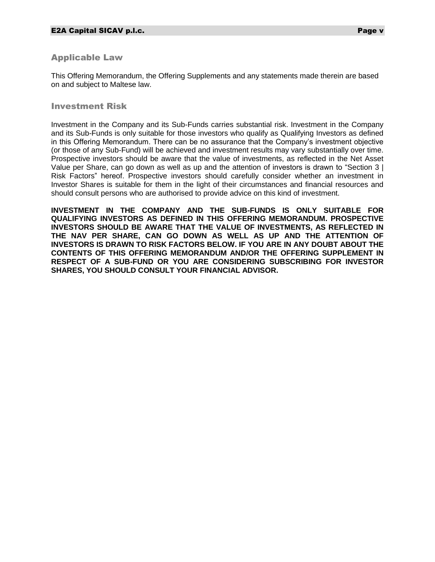# Applicable Law

This Offering Memorandum, the Offering Supplements and any statements made therein are based on and subject to Maltese law.

#### Investment Risk

Investment in the Company and its Sub-Funds carries substantial risk. Investment in the Company and its Sub-Funds is only suitable for those investors who qualify as Qualifying Investors as defined in this Offering Memorandum. There can be no assurance that the Company's investment objective (or those of any Sub-Fund) will be achieved and investment results may vary substantially over time. Prospective investors should be aware that the value of investments, as reflected in the Net Asset Value per Share, can go down as well as up and the attention of investors is drawn to "Section 3 | Risk Factors" hereof. Prospective investors should carefully consider whether an investment in Investor Shares is suitable for them in the light of their circumstances and financial resources and should consult persons who are authorised to provide advice on this kind of investment.

**INVESTMENT IN THE COMPANY AND THE SUB-FUNDS IS ONLY SUITABLE FOR QUALIFYING INVESTORS AS DEFINED IN THIS OFFERING MEMORANDUM. PROSPECTIVE INVESTORS SHOULD BE AWARE THAT THE VALUE OF INVESTMENTS, AS REFLECTED IN THE NAV PER SHARE, CAN GO DOWN AS WELL AS UP AND THE ATTENTION OF INVESTORS IS DRAWN TO RISK FACTORS BELOW. IF YOU ARE IN ANY DOUBT ABOUT THE CONTENTS OF THIS OFFERING MEMORANDUM AND/OR THE OFFERING SUPPLEMENT IN RESPECT OF A SUB-FUND OR YOU ARE CONSIDERING SUBSCRIBING FOR INVESTOR SHARES, YOU SHOULD CONSULT YOUR FINANCIAL ADVISOR.**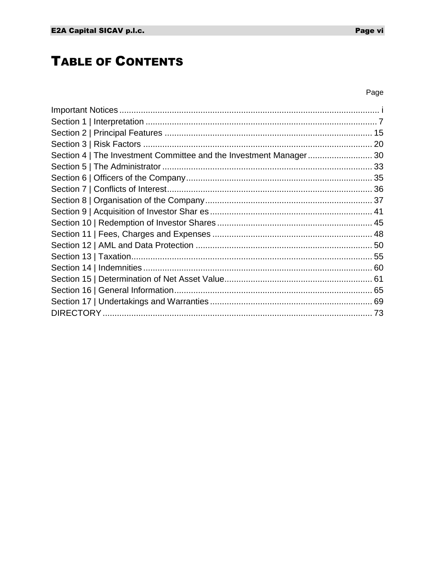# **TABLE OF CONTENTS**

# Page

| Section 4   The Investment Committee and the Investment Manager30 |  |
|-------------------------------------------------------------------|--|
|                                                                   |  |
|                                                                   |  |
|                                                                   |  |
|                                                                   |  |
|                                                                   |  |
|                                                                   |  |
|                                                                   |  |
|                                                                   |  |
|                                                                   |  |
|                                                                   |  |
|                                                                   |  |
|                                                                   |  |
|                                                                   |  |
|                                                                   |  |
|                                                                   |  |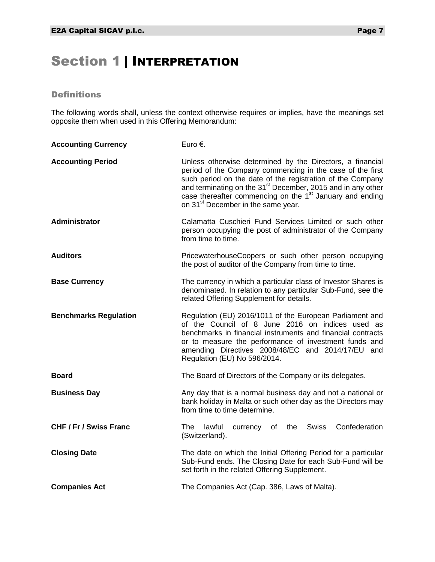# <span id="page-7-0"></span>Section 1 | INTERPRETATION

# **Definitions**

The following words shall, unless the context otherwise requires or implies, have the meanings set opposite them when used in this Offering Memorandum:

| <b>Accounting Currency</b>    | Euro €.                                                                                                                                                                                                                                                                                                                                                                                   |  |  |  |  |
|-------------------------------|-------------------------------------------------------------------------------------------------------------------------------------------------------------------------------------------------------------------------------------------------------------------------------------------------------------------------------------------------------------------------------------------|--|--|--|--|
| <b>Accounting Period</b>      | Unless otherwise determined by the Directors, a financial<br>period of the Company commencing in the case of the first<br>such period on the date of the registration of the Company<br>and terminating on the 31 <sup>st</sup> December, 2015 and in any other<br>case thereafter commencing on the 1 <sup>st</sup> January and ending<br>on 31 <sup>st</sup> December in the same year. |  |  |  |  |
| <b>Administrator</b>          | Calamatta Cuschieri Fund Services Limited or such other<br>person occupying the post of administrator of the Company<br>from time to time.                                                                                                                                                                                                                                                |  |  |  |  |
| <b>Auditors</b>               | PricewaterhouseCoopers or such other person occupying<br>the post of auditor of the Company from time to time.                                                                                                                                                                                                                                                                            |  |  |  |  |
| <b>Base Currency</b>          | The currency in which a particular class of Investor Shares is<br>denominated. In relation to any particular Sub-Fund, see the<br>related Offering Supplement for details.                                                                                                                                                                                                                |  |  |  |  |
| <b>Benchmarks Regulation</b>  | Regulation (EU) 2016/1011 of the European Parliament and<br>of the Council of 8 June 2016 on indices used as<br>benchmarks in financial instruments and financial contracts<br>or to measure the performance of investment funds and<br>amending Directives 2008/48/EC and 2014/17/EU and<br>Regulation (EU) No 596/2014.                                                                 |  |  |  |  |
| <b>Board</b>                  | The Board of Directors of the Company or its delegates.                                                                                                                                                                                                                                                                                                                                   |  |  |  |  |
| <b>Business Day</b>           | Any day that is a normal business day and not a national or<br>bank holiday in Malta or such other day as the Directors may<br>from time to time determine.                                                                                                                                                                                                                               |  |  |  |  |
| <b>CHF / Fr / Swiss Franc</b> | currency of the Swiss<br>Confederation<br>The lawful<br>(Switzerland).                                                                                                                                                                                                                                                                                                                    |  |  |  |  |
| <b>Closing Date</b>           | The date on which the Initial Offering Period for a particular<br>Sub-Fund ends. The Closing Date for each Sub-Fund will be<br>set forth in the related Offering Supplement.                                                                                                                                                                                                              |  |  |  |  |
| <b>Companies Act</b>          | The Companies Act (Cap. 386, Laws of Malta).                                                                                                                                                                                                                                                                                                                                              |  |  |  |  |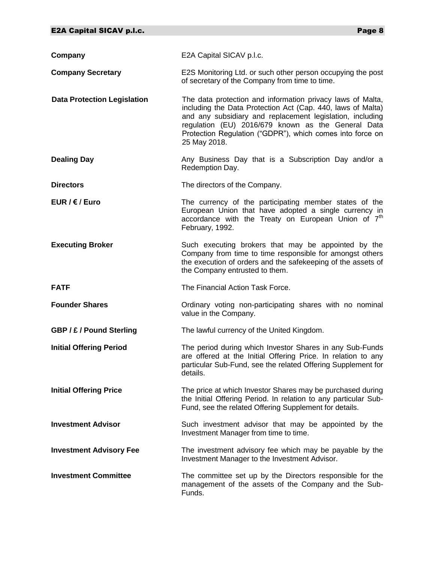| Company                            | E2A Capital SICAV p.l.c.                                                                                                                                                                                                                                                                                                  |
|------------------------------------|---------------------------------------------------------------------------------------------------------------------------------------------------------------------------------------------------------------------------------------------------------------------------------------------------------------------------|
| <b>Company Secretary</b>           | E2S Monitoring Ltd. or such other person occupying the post<br>of secretary of the Company from time to time.                                                                                                                                                                                                             |
| <b>Data Protection Legislation</b> | The data protection and information privacy laws of Malta,<br>including the Data Protection Act (Cap. 440, laws of Malta)<br>and any subsidiary and replacement legislation, including<br>regulation (EU) 2016/679 known as the General Data<br>Protection Regulation ("GDPR"), which comes into force on<br>25 May 2018. |
| <b>Dealing Day</b>                 | Any Business Day that is a Subscription Day and/or a<br>Redemption Day.                                                                                                                                                                                                                                                   |
| <b>Directors</b>                   | The directors of the Company.                                                                                                                                                                                                                                                                                             |
| EUR / $\epsilon$ / Euro            | The currency of the participating member states of the<br>European Union that have adopted a single currency in<br>accordance with the Treaty on European Union of 7 <sup>th</sup><br>February, 1992.                                                                                                                     |
| <b>Executing Broker</b>            | Such executing brokers that may be appointed by the<br>Company from time to time responsible for amongst others<br>the execution of orders and the safekeeping of the assets of<br>the Company entrusted to them.                                                                                                         |
| <b>FATF</b>                        | The Financial Action Task Force.                                                                                                                                                                                                                                                                                          |
| <b>Founder Shares</b>              | Ordinary voting non-participating shares with no nominal<br>value in the Company.                                                                                                                                                                                                                                         |
| <b>GBP / £ / Pound Sterling</b>    | The lawful currency of the United Kingdom.                                                                                                                                                                                                                                                                                |
| <b>Initial Offering Period</b>     | The period during which Investor Shares in any Sub-Funds<br>are offered at the Initial Offering Price. In relation to any<br>particular Sub-Fund, see the related Offering Supplement for<br>details.                                                                                                                     |
| <b>Initial Offering Price</b>      | The price at which Investor Shares may be purchased during<br>the Initial Offering Period. In relation to any particular Sub-<br>Fund, see the related Offering Supplement for details.                                                                                                                                   |
| <b>Investment Advisor</b>          | Such investment advisor that may be appointed by the<br>Investment Manager from time to time.                                                                                                                                                                                                                             |
| <b>Investment Advisory Fee</b>     | The investment advisory fee which may be payable by the<br>Investment Manager to the Investment Advisor.                                                                                                                                                                                                                  |
| <b>Investment Committee</b>        | The committee set up by the Directors responsible for the<br>management of the assets of the Company and the Sub-<br>Funds.                                                                                                                                                                                               |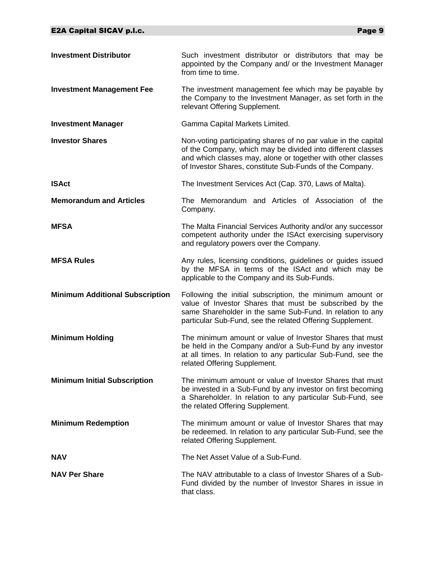| <b>Investment Distributor</b>          | Such investment distributor or distributors that may be<br>appointed by the Company and/ or the Investment Manager<br>from time to time.                                                                                                                 |
|----------------------------------------|----------------------------------------------------------------------------------------------------------------------------------------------------------------------------------------------------------------------------------------------------------|
| <b>Investment Management Fee</b>       | The investment management fee which may be payable by<br>the Company to the Investment Manager, as set forth in the<br>relevant Offering Supplement.                                                                                                     |
| <b>Investment Manager</b>              | Gamma Capital Markets Limited.                                                                                                                                                                                                                           |
| <b>Investor Shares</b>                 | Non-voting participating shares of no par value in the capital<br>of the Company, which may be divided into different classes<br>and which classes may, alone or together with other classes<br>of Investor Shares, constitute Sub-Funds of the Company. |
| <b>ISAct</b>                           | The Investment Services Act (Cap. 370, Laws of Malta).                                                                                                                                                                                                   |
| <b>Memorandum and Articles</b>         | The Memorandum and Articles of Association of the<br>Company.                                                                                                                                                                                            |
| <b>MFSA</b>                            | The Malta Financial Services Authority and/or any successor<br>competent authority under the ISAct exercising supervisory<br>and regulatory powers over the Company.                                                                                     |
| <b>MFSA Rules</b>                      | Any rules, licensing conditions, guidelines or guides issued<br>by the MFSA in terms of the ISAct and which may be<br>applicable to the Company and its Sub-Funds.                                                                                       |
| <b>Minimum Additional Subscription</b> | Following the initial subscription, the minimum amount or<br>value of Investor Shares that must be subscribed by the<br>same Shareholder in the same Sub-Fund. In relation to any<br>particular Sub-Fund, see the related Offering Supplement.           |
| <b>Minimum Holding</b>                 | The minimum amount or value of Investor Shares that must<br>be held in the Company and/or a Sub-Fund by any investor<br>at all times. In relation to any particular Sub-Fund, see the<br>related Offering Supplement.                                    |
| <b>Minimum Initial Subscription</b>    | The minimum amount or value of Investor Shares that must<br>be invested in a Sub-Fund by any investor on first becoming<br>a Shareholder. In relation to any particular Sub-Fund, see<br>the related Offering Supplement.                                |
| <b>Minimum Redemption</b>              | The minimum amount or value of Investor Shares that may<br>be redeemed. In relation to any particular Sub-Fund, see the<br>related Offering Supplement.                                                                                                  |
| <b>NAV</b>                             | The Net Asset Value of a Sub-Fund.                                                                                                                                                                                                                       |
| <b>NAV Per Share</b>                   | The NAV attributable to a class of Investor Shares of a Sub-<br>Fund divided by the number of Investor Shares in issue in<br>that class.                                                                                                                 |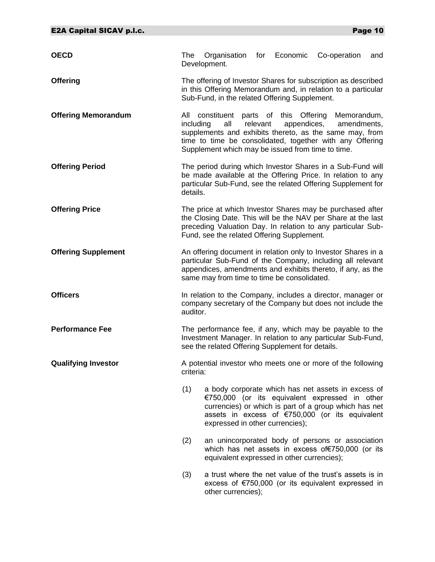| <b>OECD</b>                | The                                                                                                                                                                         | Organisation for Economic<br>Development.                |          |             | Co-operation                                                                                                                                                                                                     | and |
|----------------------------|-----------------------------------------------------------------------------------------------------------------------------------------------------------------------------|----------------------------------------------------------|----------|-------------|------------------------------------------------------------------------------------------------------------------------------------------------------------------------------------------------------------------|-----|
| <b>Offering</b>            |                                                                                                                                                                             | Sub-Fund, in the related Offering Supplement.            |          |             | The offering of Investor Shares for subscription as described<br>in this Offering Memorandum and, in relation to a particular                                                                                    |     |
| <b>Offering Memorandum</b> | including                                                                                                                                                                   | all<br>Supplement which may be issued from time to time. | relevant | appendices, | All constituent parts of this Offering Memorandum,<br>amendments,<br>supplements and exhibits thereto, as the same may, from<br>time to time be consolidated, together with any Offering                         |     |
| <b>Offering Period</b>     | details.                                                                                                                                                                    |                                                          |          |             | The period during which Investor Shares in a Sub-Fund will<br>be made available at the Offering Price. In relation to any<br>particular Sub-Fund, see the related Offering Supplement for                        |     |
| <b>Offering Price</b>      |                                                                                                                                                                             | Fund, see the related Offering Supplement.               |          |             | The price at which Investor Shares may be purchased after<br>the Closing Date. This will be the NAV per Share at the last<br>preceding Valuation Day. In relation to any particular Sub-                         |     |
| <b>Offering Supplement</b> |                                                                                                                                                                             | same may from time to time be consolidated.              |          |             | An offering document in relation only to Investor Shares in a<br>particular Sub-Fund of the Company, including all relevant<br>appendices, amendments and exhibits thereto, if any, as the                       |     |
| <b>Officers</b>            | auditor.                                                                                                                                                                    |                                                          |          |             | In relation to the Company, includes a director, manager or<br>company secretary of the Company but does not include the                                                                                         |     |
| <b>Performance Fee</b>     | The performance fee, if any, which may be payable to the<br>Investment Manager. In relation to any particular Sub-Fund,<br>see the related Offering Supplement for details. |                                                          |          |             |                                                                                                                                                                                                                  |     |
| <b>Qualifying Investor</b> | A potential investor who meets one or more of the following<br>criteria:                                                                                                    |                                                          |          |             |                                                                                                                                                                                                                  |     |
|                            | (1)                                                                                                                                                                         | expressed in other currencies);                          |          |             | a body corporate which has net assets in excess of<br>€750,000 (or its equivalent expressed in other<br>currencies) or which is part of a group which has net<br>assets in excess of €750,000 (or its equivalent |     |
|                            | (2)                                                                                                                                                                         | equivalent expressed in other currencies);               |          |             | an unincorporated body of persons or association<br>which has net assets in excess of€750,000 (or its                                                                                                            |     |
|                            | (3)                                                                                                                                                                         | other currencies);                                       |          |             | a trust where the net value of the trust's assets is in<br>excess of €750,000 (or its equivalent expressed in                                                                                                    |     |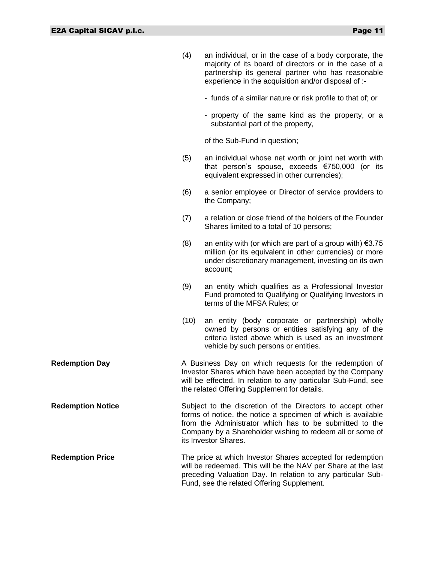|                          | (4)  | an individual, or in the case of a body corporate, the<br>majority of its board of directors or in the case of a<br>partnership its general partner who has reasonable<br>experience in the acquisition and/or disposal of :-      |
|--------------------------|------|------------------------------------------------------------------------------------------------------------------------------------------------------------------------------------------------------------------------------------|
|                          |      | - funds of a similar nature or risk profile to that of; or                                                                                                                                                                         |
|                          |      | - property of the same kind as the property, or a<br>substantial part of the property,                                                                                                                                             |
|                          |      | of the Sub-Fund in question;                                                                                                                                                                                                       |
|                          | (5)  | an individual whose net worth or joint net worth with<br>that person's spouse, exceeds €750,000 (or its<br>equivalent expressed in other currencies);                                                                              |
|                          | (6)  | a senior employee or Director of service providers to<br>the Company;                                                                                                                                                              |
|                          | (7)  | a relation or close friend of the holders of the Founder<br>Shares limited to a total of 10 persons;                                                                                                                               |
|                          | (8)  | an entity with (or which are part of a group with) $€3.75$<br>million (or its equivalent in other currencies) or more<br>under discretionary management, investing on its own<br>account;                                          |
|                          | (9)  | an entity which qualifies as a Professional Investor<br>Fund promoted to Qualifying or Qualifying Investors in<br>terms of the MFSA Rules; or                                                                                      |
|                          | (10) | an entity (body corporate or partnership) wholly<br>owned by persons or entities satisfying any of the<br>criteria listed above which is used as an investment<br>vehicle by such persons or entities.                             |
| <b>Redemption Day</b>    |      | A Business Day on which requests for the redemption of<br>Investor Shares which have been accepted by the Company<br>will be effected. In relation to any particular Sub-Fund, see<br>the related Offering Supplement for details. |
| <b>Redemption Notice</b> |      | Subject to the discretion of the Directors to accept other<br>forms of notice, the notice a specimen of which is available<br>from the Administrator which has to be submitted to the                                              |

**Redemption Price** The price at which Investor Shares accepted for redemption will be redeemed. This will be the NAV per Share at the last preceding Valuation Day. In relation to any particular Sub-Fund, see the related Offering Supplement.

its Investor Shares.

Company by a Shareholder wishing to redeem all or some of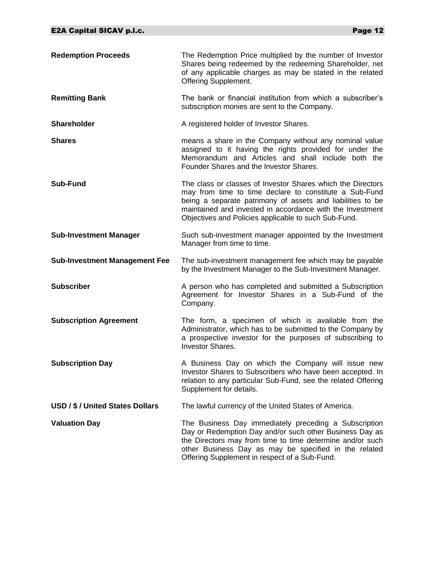| <b>Redemption Proceeds</b>           | The Redemption Price multiplied by the number of Investor<br>Shares being redeemed by the redeeming Shareholder, net<br>of any applicable charges as may be stated in the related<br>Offering Supplement.                                                                                                |
|--------------------------------------|----------------------------------------------------------------------------------------------------------------------------------------------------------------------------------------------------------------------------------------------------------------------------------------------------------|
| <b>Remitting Bank</b>                | The bank or financial institution from which a subscriber's<br>subscription monies are sent to the Company.                                                                                                                                                                                              |
| <b>Shareholder</b>                   | A registered holder of Investor Shares.                                                                                                                                                                                                                                                                  |
| <b>Shares</b>                        | means a share in the Company without any nominal value<br>assigned to it having the rights provided for under the<br>Memorandum and Articles and shall include both the<br>Founder Shares and the Investor Shares.                                                                                       |
| <b>Sub-Fund</b>                      | The class or classes of Investor Shares which the Directors<br>may from time to time declare to constitute a Sub-Fund<br>being a separate patrimony of assets and liabilities to be<br>maintained and invested in accordance with the Investment<br>Objectives and Policies applicable to such Sub-Fund. |
| <b>Sub-Investment Manager</b>        | Such sub-investment manager appointed by the Investment<br>Manager from time to time.                                                                                                                                                                                                                    |
| <b>Sub-Investment Management Fee</b> | The sub-investment management fee which may be payable<br>by the Investment Manager to the Sub-Investment Manager.                                                                                                                                                                                       |
| <b>Subscriber</b>                    | A person who has completed and submitted a Subscription<br>Agreement for Investor Shares in a Sub-Fund of the<br>Company.                                                                                                                                                                                |
| <b>Subscription Agreement</b>        | The form, a specimen of which is available from the<br>Administrator, which has to be submitted to the Company by<br>a prospective investor for the purposes of subscribing to<br><b>Investor Shares.</b>                                                                                                |
| <b>Subscription Day</b>              | A Business Day on which the Company will issue new<br>Investor Shares to Subscribers who have been accepted. In<br>relation to any particular Sub-Fund, see the related Offering<br>Supplement for details.                                                                                              |
| USD / \$ / United States Dollars     | The lawful currency of the United States of America.                                                                                                                                                                                                                                                     |
| <b>Valuation Day</b>                 | The Business Day immediately preceding a Subscription<br>Day or Redemption Day and/or such other Business Day as<br>the Directors may from time to time determine and/or such<br>other Business Day as may be specified in the related<br>Offering Supplement in respect of a Sub-Fund.                  |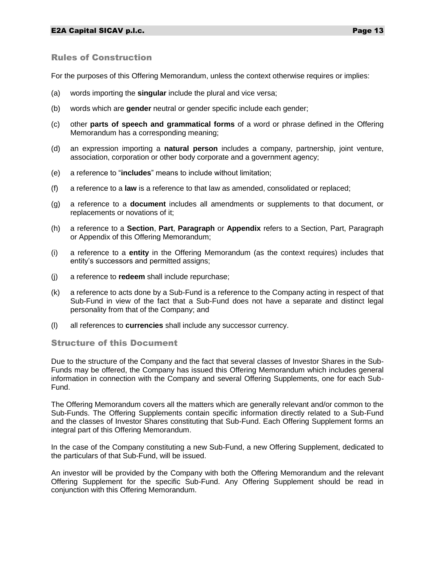# Rules of Construction

For the purposes of this Offering Memorandum, unless the context otherwise requires or implies:

- (a) words importing the **singular** include the plural and vice versa;
- (b) words which are **gender** neutral or gender specific include each gender;
- (c) other **parts of speech and grammatical forms** of a word or phrase defined in the Offering Memorandum has a corresponding meaning;
- (d) an expression importing a **natural person** includes a company, partnership, joint venture, association, corporation or other body corporate and a government agency;
- (e) a reference to "**includes**" means to include without limitation;
- (f) a reference to a **law** is a reference to that law as amended, consolidated or replaced;
- (g) a reference to a **document** includes all amendments or supplements to that document, or replacements or novations of it;
- (h) a reference to a **Section**, **Part**, **Paragraph** or **Appendix** refers to a Section, Part, Paragraph or Appendix of this Offering Memorandum;
- (i) a reference to a **entity** in the Offering Memorandum (as the context requires) includes that entity's successors and permitted assigns;
- (j) a reference to **redeem** shall include repurchase;
- (k) a reference to acts done by a Sub-Fund is a reference to the Company acting in respect of that Sub-Fund in view of the fact that a Sub-Fund does not have a separate and distinct legal personality from that of the Company; and
- (l) all references to **currencies** shall include any successor currency.

#### Structure of this Document

Due to the structure of the Company and the fact that several classes of Investor Shares in the Sub-Funds may be offered, the Company has issued this Offering Memorandum which includes general information in connection with the Company and several Offering Supplements, one for each Sub-Fund.

The Offering Memorandum covers all the matters which are generally relevant and/or common to the Sub-Funds. The Offering Supplements contain specific information directly related to a Sub-Fund and the classes of Investor Shares constituting that Sub-Fund. Each Offering Supplement forms an integral part of this Offering Memorandum.

In the case of the Company constituting a new Sub-Fund, a new Offering Supplement, dedicated to the particulars of that Sub-Fund, will be issued.

An investor will be provided by the Company with both the Offering Memorandum and the relevant Offering Supplement for the specific Sub-Fund. Any Offering Supplement should be read in conjunction with this Offering Memorandum.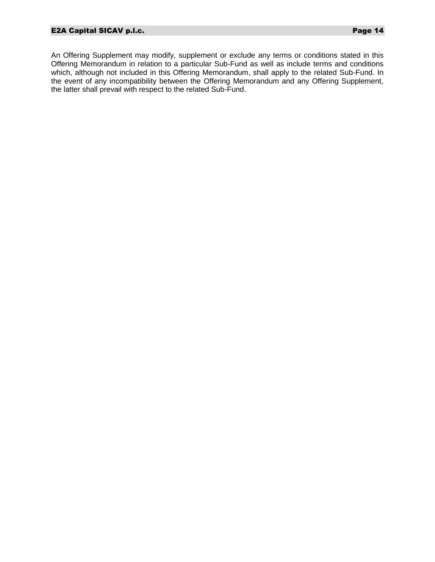An Offering Supplement may modify, supplement or exclude any terms or conditions stated in this Offering Memorandum in relation to a particular Sub-Fund as well as include terms and conditions which, although not included in this Offering Memorandum, shall apply to the related Sub-Fund. In the event of any incompatibility between the Offering Memorandum and any Offering Supplement, the latter shall prevail with respect to the related Sub-Fund.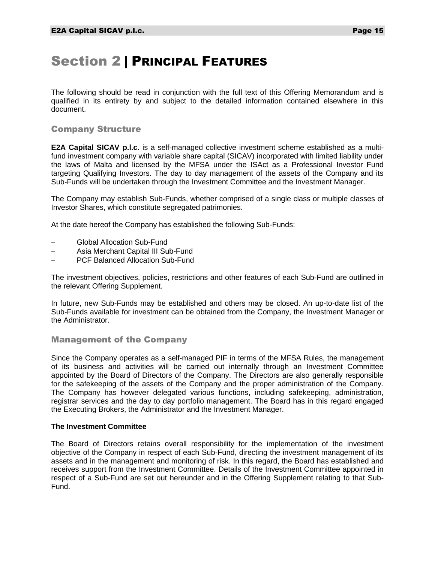# <span id="page-15-0"></span>Section 2 | PRINCIPAL FEATURES

The following should be read in conjunction with the full text of this Offering Memorandum and is qualified in its entirety by and subject to the detailed information contained elsewhere in this document.

#### Company Structure

**E2A Capital SICAV p.l.c.** is a self-managed collective investment scheme established as a multifund investment company with variable share capital (SICAV) incorporated with limited liability under the laws of Malta and licensed by the MFSA under the ISAct as a Professional Investor Fund targeting Qualifying Investors. The day to day management of the assets of the Company and its Sub-Funds will be undertaken through the Investment Committee and the Investment Manager.

The Company may establish Sub-Funds, whether comprised of a single class or multiple classes of Investor Shares, which constitute segregated patrimonies.

At the date hereof the Company has established the following Sub-Funds:

- Global Allocation Sub-Fund
- Asia Merchant Capital III Sub-Fund
- PCF Balanced Allocation Sub-Fund

The investment objectives, policies, restrictions and other features of each Sub-Fund are outlined in the relevant Offering Supplement.

In future, new Sub-Funds may be established and others may be closed. An up-to-date list of the Sub-Funds available for investment can be obtained from the Company, the Investment Manager or the Administrator.

#### Management of the Company

Since the Company operates as a self-managed PIF in terms of the MFSA Rules, the management of its business and activities will be carried out internally through an Investment Committee appointed by the Board of Directors of the Company. The Directors are also generally responsible for the safekeeping of the assets of the Company and the proper administration of the Company. The Company has however delegated various functions, including safekeeping, administration, registrar services and the day to day portfolio management. The Board has in this regard engaged the Executing Brokers, the Administrator and the Investment Manager.

#### **The Investment Committee**

The Board of Directors retains overall responsibility for the implementation of the investment objective of the Company in respect of each Sub-Fund, directing the investment management of its assets and in the management and monitoring of risk. In this regard, the Board has established and receives support from the Investment Committee. Details of the Investment Committee appointed in respect of a Sub-Fund are set out hereunder and in the Offering Supplement relating to that Sub-Fund.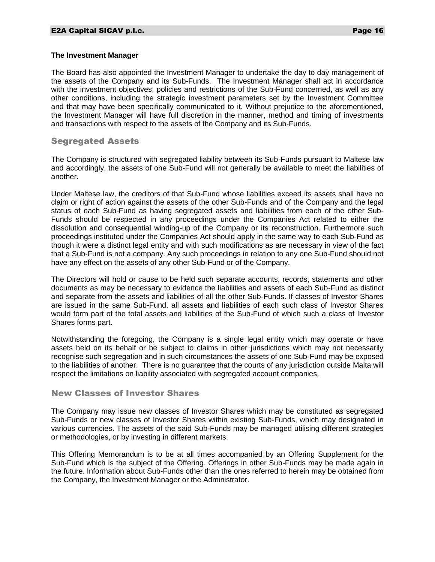#### **The Investment Manager**

The Board has also appointed the Investment Manager to undertake the day to day management of the assets of the Company and its Sub-Funds. The Investment Manager shall act in accordance with the investment objectives, policies and restrictions of the Sub-Fund concerned, as well as any other conditions, including the strategic investment parameters set by the Investment Committee and that may have been specifically communicated to it. Without prejudice to the aforementioned, the Investment Manager will have full discretion in the manner, method and timing of investments and transactions with respect to the assets of the Company and its Sub-Funds.

#### Segregated Assets

The Company is structured with segregated liability between its Sub-Funds pursuant to Maltese law and accordingly, the assets of one Sub-Fund will not generally be available to meet the liabilities of another.

Under Maltese law, the creditors of that Sub-Fund whose liabilities exceed its assets shall have no claim or right of action against the assets of the other Sub-Funds and of the Company and the legal status of each Sub-Fund as having segregated assets and liabilities from each of the other Sub-Funds should be respected in any proceedings under the Companies Act related to either the dissolution and consequential winding-up of the Company or its reconstruction. Furthermore such proceedings instituted under the Companies Act should apply in the same way to each Sub-Fund as though it were a distinct legal entity and with such modifications as are necessary in view of the fact that a Sub-Fund is not a company. Any such proceedings in relation to any one Sub-Fund should not have any effect on the assets of any other Sub-Fund or of the Company.

The Directors will hold or cause to be held such separate accounts, records, statements and other documents as may be necessary to evidence the liabilities and assets of each Sub-Fund as distinct and separate from the assets and liabilities of all the other Sub-Funds. If classes of Investor Shares are issued in the same Sub-Fund, all assets and liabilities of each such class of Investor Shares would form part of the total assets and liabilities of the Sub-Fund of which such a class of Investor Shares forms part.

Notwithstanding the foregoing, the Company is a single legal entity which may operate or have assets held on its behalf or be subject to claims in other jurisdictions which may not necessarily recognise such segregation and in such circumstances the assets of one Sub-Fund may be exposed to the liabilities of another. There is no guarantee that the courts of any jurisdiction outside Malta will respect the limitations on liability associated with segregated account companies.

#### New Classes of Investor Shares

The Company may issue new classes of Investor Shares which may be constituted as segregated Sub-Funds or new classes of Investor Shares within existing Sub-Funds, which may designated in various currencies. The assets of the said Sub-Funds may be managed utilising different strategies or methodologies, or by investing in different markets.

This Offering Memorandum is to be at all times accompanied by an Offering Supplement for the Sub-Fund which is the subject of the Offering. Offerings in other Sub-Funds may be made again in the future. Information about Sub-Funds other than the ones referred to herein may be obtained from the Company, the Investment Manager or the Administrator.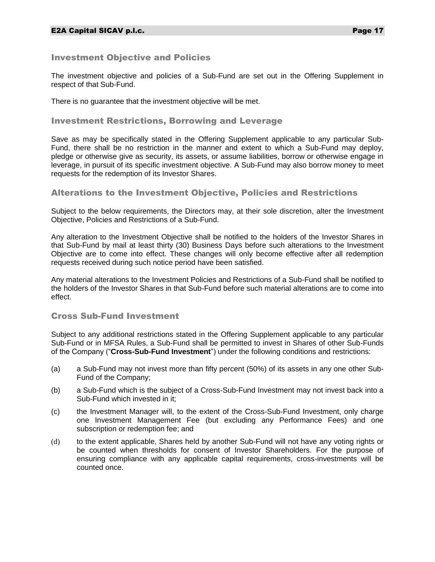# Investment Objective and Policies

The investment objective and policies of a Sub-Fund are set out in the Offering Supplement in respect of that Sub-Fund.

There is no guarantee that the investment objective will be met.

# Investment Restrictions, Borrowing and Leverage

Save as may be specifically stated in the Offering Supplement applicable to any particular Sub-Fund, there shall be no restriction in the manner and extent to which a Sub-Fund may deploy, pledge or otherwise give as security, its assets, or assume liabilities, borrow or otherwise engage in leverage, in pursuit of its specific investment objective. A Sub-Fund may also borrow money to meet requests for the redemption of its Investor Shares.

# Alterations to the Investment Objective, Policies and Restrictions

Subject to the below requirements, the Directors may, at their sole discretion, alter the Investment Objective, Policies and Restrictions of a Sub-Fund.

Any alteration to the Investment Objective shall be notified to the holders of the Investor Shares in that Sub-Fund by mail at least thirty (30) Business Days before such alterations to the Investment Objective are to come into effect. These changes will only become effective after all redemption requests received during such notice period have been satisfied.

Any material alterations to the Investment Policies and Restrictions of a Sub-Fund shall be notified to the holders of the Investor Shares in that Sub-Fund before such material alterations are to come into effect.

# Cross Sub-Fund Investment

Subject to any additional restrictions stated in the Offering Supplement applicable to any particular Sub-Fund or in MFSA Rules, a Sub-Fund shall be permitted to invest in Shares of other Sub-Funds of the Company ("**Cross-Sub-Fund Investment**") under the following conditions and restrictions:

- (a) a Sub-Fund may not invest more than fifty percent (50%) of its assets in any one other Sub-Fund of the Company;
- (b) a Sub-Fund which is the subject of a Cross-Sub-Fund Investment may not invest back into a Sub-Fund which invested in it;
- (c) the Investment Manager will, to the extent of the Cross-Sub-Fund Investment, only charge one Investment Management Fee (but excluding any Performance Fees) and one subscription or redemption fee; and
- (d) to the extent applicable, Shares held by another Sub-Fund will not have any voting rights or be counted when thresholds for consent of Investor Shareholders. For the purpose of ensuring compliance with any applicable capital requirements, cross-investments will be counted once.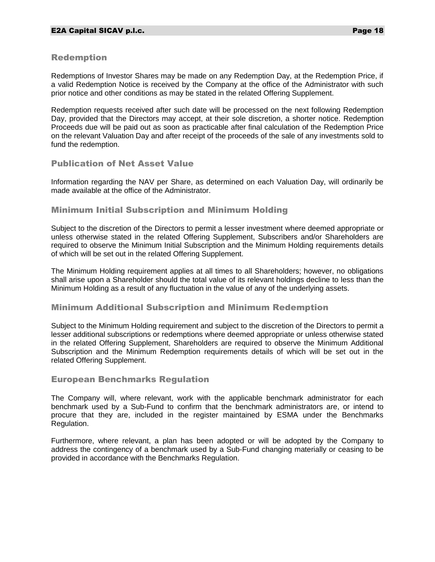# Redemption

Redemptions of Investor Shares may be made on any Redemption Day, at the Redemption Price, if a valid Redemption Notice is received by the Company at the office of the Administrator with such prior notice and other conditions as may be stated in the related Offering Supplement.

Redemption requests received after such date will be processed on the next following Redemption Day, provided that the Directors may accept, at their sole discretion, a shorter notice. Redemption Proceeds due will be paid out as soon as practicable after final calculation of the Redemption Price on the relevant Valuation Day and after receipt of the proceeds of the sale of any investments sold to fund the redemption.

# Publication of Net Asset Value

Information regarding the NAV per Share, as determined on each Valuation Day, will ordinarily be made available at the office of the Administrator.

# Minimum Initial Subscription and Minimum Holding

Subject to the discretion of the Directors to permit a lesser investment where deemed appropriate or unless otherwise stated in the related Offering Supplement, Subscribers and/or Shareholders are required to observe the Minimum Initial Subscription and the Minimum Holding requirements details of which will be set out in the related Offering Supplement.

The Minimum Holding requirement applies at all times to all Shareholders; however, no obligations shall arise upon a Shareholder should the total value of its relevant holdings decline to less than the Minimum Holding as a result of any fluctuation in the value of any of the underlying assets.

#### Minimum Additional Subscription and Minimum Redemption

Subject to the Minimum Holding requirement and subject to the discretion of the Directors to permit a lesser additional subscriptions or redemptions where deemed appropriate or unless otherwise stated in the related Offering Supplement, Shareholders are required to observe the Minimum Additional Subscription and the Minimum Redemption requirements details of which will be set out in the related Offering Supplement.

#### European Benchmarks Regulation

The Company will, where relevant, work with the applicable benchmark administrator for each benchmark used by a Sub-Fund to confirm that the benchmark administrators are, or intend to procure that they are, included in the register maintained by ESMA under the Benchmarks Regulation.

Furthermore, where relevant, a plan has been adopted or will be adopted by the Company to address the contingency of a benchmark used by a Sub-Fund changing materially or ceasing to be provided in accordance with the Benchmarks Regulation.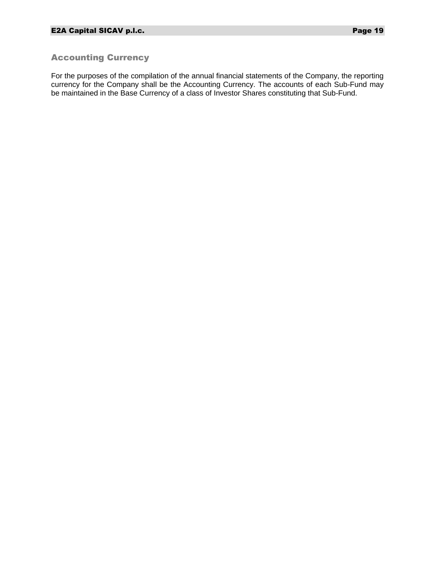# Accounting Currency

For the purposes of the compilation of the annual financial statements of the Company, the reporting currency for the Company shall be the Accounting Currency. The accounts of each Sub-Fund may be maintained in the Base Currency of a class of Investor Shares constituting that Sub-Fund.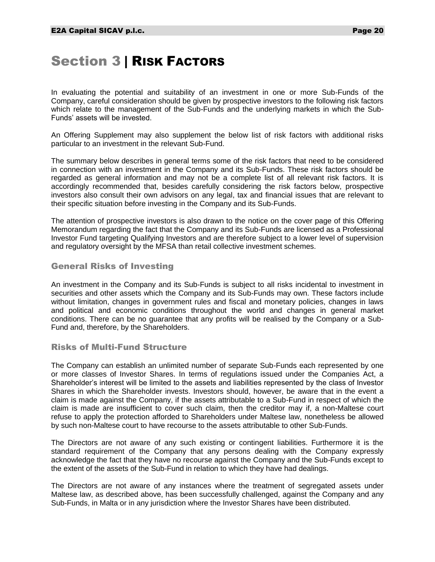# <span id="page-20-0"></span>Section 3 | RISK FACTORS

In evaluating the potential and suitability of an investment in one or more Sub-Funds of the Company, careful consideration should be given by prospective investors to the following risk factors which relate to the management of the Sub-Funds and the underlying markets in which the Sub-Funds' assets will be invested.

An Offering Supplement may also supplement the below list of risk factors with additional risks particular to an investment in the relevant Sub-Fund.

The summary below describes in general terms some of the risk factors that need to be considered in connection with an investment in the Company and its Sub-Funds. These risk factors should be regarded as general information and may not be a complete list of all relevant risk factors. It is accordingly recommended that, besides carefully considering the risk factors below, prospective investors also consult their own advisors on any legal, tax and financial issues that are relevant to their specific situation before investing in the Company and its Sub-Funds.

The attention of prospective investors is also drawn to the notice on the cover page of this Offering Memorandum regarding the fact that the Company and its Sub-Funds are licensed as a Professional Investor Fund targeting Qualifying Investors and are therefore subject to a lower level of supervision and regulatory oversight by the MFSA than retail collective investment schemes.

# General Risks of Investing

An investment in the Company and its Sub-Funds is subject to all risks incidental to investment in securities and other assets which the Company and its Sub-Funds may own. These factors include without limitation, changes in government rules and fiscal and monetary policies, changes in laws and political and economic conditions throughout the world and changes in general market conditions. There can be no guarantee that any profits will be realised by the Company or a Sub-Fund and, therefore, by the Shareholders.

#### Risks of Multi-Fund Structure

The Company can establish an unlimited number of separate Sub-Funds each represented by one or more classes of Investor Shares. In terms of regulations issued under the Companies Act, a Shareholder's interest will be limited to the assets and liabilities represented by the class of Investor Shares in which the Shareholder invests. Investors should, however, be aware that in the event a claim is made against the Company, if the assets attributable to a Sub-Fund in respect of which the claim is made are insufficient to cover such claim, then the creditor may if, a non-Maltese court refuse to apply the protection afforded to Shareholders under Maltese law, nonetheless be allowed by such non-Maltese court to have recourse to the assets attributable to other Sub-Funds.

The Directors are not aware of any such existing or contingent liabilities. Furthermore it is the standard requirement of the Company that any persons dealing with the Company expressly acknowledge the fact that they have no recourse against the Company and the Sub-Funds except to the extent of the assets of the Sub-Fund in relation to which they have had dealings.

The Directors are not aware of any instances where the treatment of segregated assets under Maltese law, as described above, has been successfully challenged, against the Company and any Sub-Funds, in Malta or in any jurisdiction where the Investor Shares have been distributed.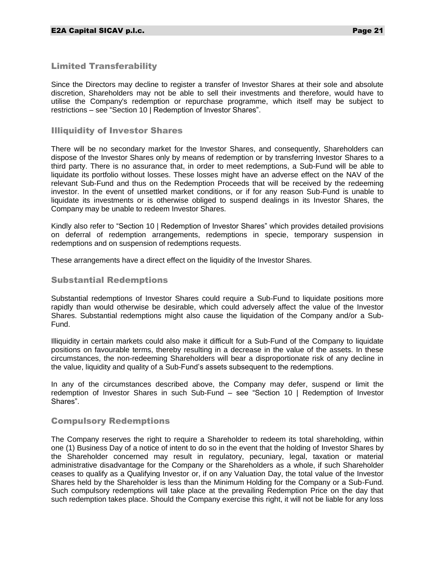# Limited Transferability

Since the Directors may decline to register a transfer of Investor Shares at their sole and absolute discretion, Shareholders may not be able to sell their investments and therefore, would have to utilise the Company's redemption or repurchase programme, which itself may be subject to restrictions – see "Section 10 | Redemption of Investor Shares".

#### Illiquidity of Investor Shares

There will be no secondary market for the Investor Shares, and consequently, Shareholders can dispose of the Investor Shares only by means of redemption or by transferring Investor Shares to a third party. There is no assurance that, in order to meet redemptions, a Sub-Fund will be able to liquidate its portfolio without losses. These losses might have an adverse effect on the NAV of the relevant Sub-Fund and thus on the Redemption Proceeds that will be received by the redeeming investor. In the event of unsettled market conditions, or if for any reason Sub-Fund is unable to liquidate its investments or is otherwise obliged to suspend dealings in its Investor Shares, the Company may be unable to redeem Investor Shares.

Kindly also refer to "Section 10 | Redemption of Investor Shares" which provides detailed provisions on deferral of redemption arrangements, redemptions in specie, temporary suspension in redemptions and on suspension of redemptions requests.

These arrangements have a direct effect on the liquidity of the Investor Shares.

#### Substantial Redemptions

Substantial redemptions of Investor Shares could require a Sub-Fund to liquidate positions more rapidly than would otherwise be desirable, which could adversely affect the value of the Investor Shares. Substantial redemptions might also cause the liquidation of the Company and/or a Sub-Fund.

Illiquidity in certain markets could also make it difficult for a Sub-Fund of the Company to liquidate positions on favourable terms, thereby resulting in a decrease in the value of the assets. In these circumstances, the non-redeeming Shareholders will bear a disproportionate risk of any decline in the value, liquidity and quality of a Sub-Fund's assets subsequent to the redemptions.

In any of the circumstances described above, the Company may defer, suspend or limit the redemption of Investor Shares in such Sub-Fund – see "Section 10 | Redemption of Investor Shares".

#### Compulsory Redemptions

The Company reserves the right to require a Shareholder to redeem its total shareholding, within one (1) Business Day of a notice of intent to do so in the event that the holding of Investor Shares by the Shareholder concerned may result in regulatory, pecuniary, legal, taxation or material administrative disadvantage for the Company or the Shareholders as a whole, if such Shareholder ceases to qualify as a Qualifying Investor or, if on any Valuation Day, the total value of the Investor Shares held by the Shareholder is less than the Minimum Holding for the Company or a Sub-Fund. Such compulsory redemptions will take place at the prevailing Redemption Price on the day that such redemption takes place. Should the Company exercise this right, it will not be liable for any loss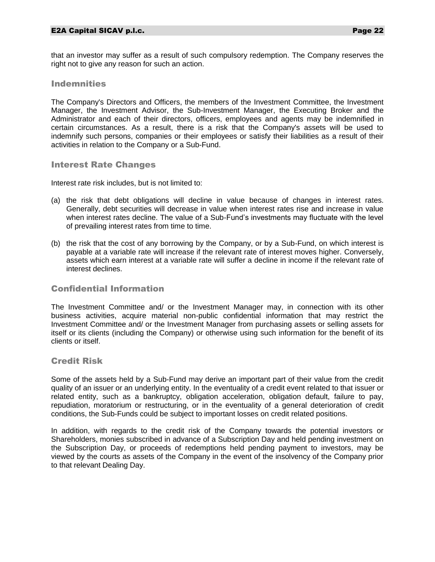that an investor may suffer as a result of such compulsory redemption. The Company reserves the right not to give any reason for such an action.

### Indemnities

The Company's Directors and Officers, the members of the Investment Committee, the Investment Manager, the Investment Advisor, the Sub-Investment Manager, the Executing Broker and the Administrator and each of their directors, officers, employees and agents may be indemnified in certain circumstances. As a result, there is a risk that the Company's assets will be used to indemnify such persons, companies or their employees or satisfy their liabilities as a result of their activities in relation to the Company or a Sub-Fund.

#### Interest Rate Changes

Interest rate risk includes, but is not limited to:

- (a) the risk that debt obligations will decline in value because of changes in interest rates. Generally, debt securities will decrease in value when interest rates rise and increase in value when interest rates decline. The value of a Sub-Fund's investments may fluctuate with the level of prevailing interest rates from time to time.
- (b) the risk that the cost of any borrowing by the Company, or by a Sub-Fund, on which interest is payable at a variable rate will increase if the relevant rate of interest moves higher. Conversely, assets which earn interest at a variable rate will suffer a decline in income if the relevant rate of interest declines.

# Confidential Information

The Investment Committee and/ or the Investment Manager may, in connection with its other business activities, acquire material non-public confidential information that may restrict the Investment Committee and/ or the Investment Manager from purchasing assets or selling assets for itself or its clients (including the Company) or otherwise using such information for the benefit of its clients or itself.

#### Credit Risk

Some of the assets held by a Sub-Fund may derive an important part of their value from the credit quality of an issuer or an underlying entity. In the eventuality of a credit event related to that issuer or related entity, such as a bankruptcy, obligation acceleration, obligation default, failure to pay, repudiation, moratorium or restructuring, or in the eventuality of a general deterioration of credit conditions, the Sub-Funds could be subject to important losses on credit related positions.

In addition, with regards to the credit risk of the Company towards the potential investors or Shareholders, monies subscribed in advance of a Subscription Day and held pending investment on the Subscription Day, or proceeds of redemptions held pending payment to investors, may be viewed by the courts as assets of the Company in the event of the insolvency of the Company prior to that relevant Dealing Day.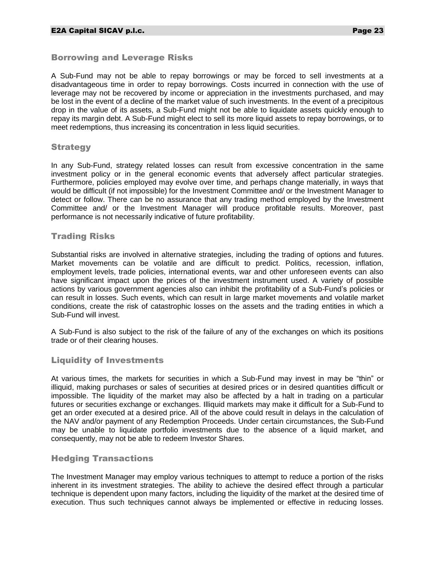# Borrowing and Leverage Risks

A Sub-Fund may not be able to repay borrowings or may be forced to sell investments at a disadvantageous time in order to repay borrowings. Costs incurred in connection with the use of leverage may not be recovered by income or appreciation in the investments purchased, and may be lost in the event of a decline of the market value of such investments. In the event of a precipitous drop in the value of its assets, a Sub-Fund might not be able to liquidate assets quickly enough to repay its margin debt. A Sub-Fund might elect to sell its more liquid assets to repay borrowings, or to meet redemptions, thus increasing its concentration in less liquid securities.

#### **Strategy**

In any Sub-Fund, strategy related losses can result from excessive concentration in the same investment policy or in the general economic events that adversely affect particular strategies. Furthermore, policies employed may evolve over time, and perhaps change materially, in ways that would be difficult (if not impossible) for the Investment Committee and/ or the Investment Manager to detect or follow. There can be no assurance that any trading method employed by the Investment Committee and/ or the Investment Manager will produce profitable results. Moreover, past performance is not necessarily indicative of future profitability.

# Trading Risks

Substantial risks are involved in alternative strategies, including the trading of options and futures. Market movements can be volatile and are difficult to predict. Politics, recession, inflation, employment levels, trade policies, international events, war and other unforeseen events can also have significant impact upon the prices of the investment instrument used. A variety of possible actions by various government agencies also can inhibit the profitability of a Sub-Fund's policies or can result in losses. Such events, which can result in large market movements and volatile market conditions, create the risk of catastrophic losses on the assets and the trading entities in which a Sub-Fund will invest.

A Sub-Fund is also subject to the risk of the failure of any of the exchanges on which its positions trade or of their clearing houses.

# Liquidity of Investments

At various times, the markets for securities in which a Sub-Fund may invest in may be "thin" or illiquid, making purchases or sales of securities at desired prices or in desired quantities difficult or impossible. The liquidity of the market may also be affected by a halt in trading on a particular futures or securities exchange or exchanges. Illiquid markets may make it difficult for a Sub-Fund to get an order executed at a desired price. All of the above could result in delays in the calculation of the NAV and/or payment of any Redemption Proceeds. Under certain circumstances, the Sub-Fund may be unable to liquidate portfolio investments due to the absence of a liquid market, and consequently, may not be able to redeem Investor Shares.

# Hedging Transactions

The Investment Manager may employ various techniques to attempt to reduce a portion of the risks inherent in its investment strategies. The ability to achieve the desired effect through a particular technique is dependent upon many factors, including the liquidity of the market at the desired time of execution. Thus such techniques cannot always be implemented or effective in reducing losses.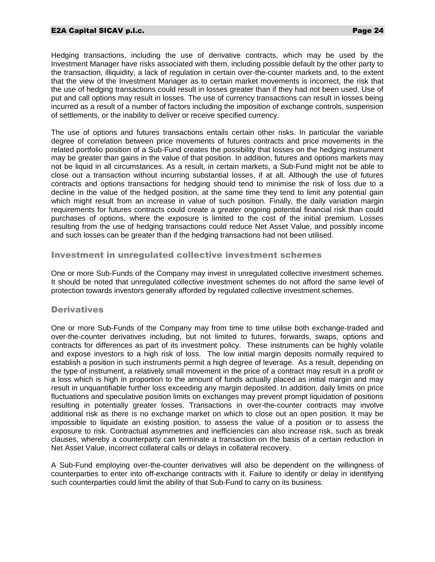#### E2A Capital SICAV p.l.c. Page 24

Hedging transactions, including the use of derivative contracts, which may be used by the Investment Manager have risks associated with them, including possible default by the other party to the transaction, illiquidity, a lack of regulation in certain over-the-counter markets and, to the extent that the view of the Investment Manager as to certain market movements is incorrect, the risk that the use of hedging transactions could result in losses greater than if they had not been used. Use of put and call options may result in losses. The use of currency transactions can result in losses being incurred as a result of a number of factors including the imposition of exchange controls, suspension of settlements, or the inability to deliver or receive specified currency.

The use of options and futures transactions entails certain other risks. In particular the variable degree of correlation between price movements of futures contracts and price movements in the related portfolio position of a Sub-Fund creates the possibility that losses on the hedging instrument may be greater than gains in the value of that position. In addition, futures and options markets may not be liquid in all circumstances. As a result, in certain markets, a Sub-Fund might not be able to close out a transaction without incurring substantial losses, if at all. Although the use of futures contracts and options transactions for hedging should tend to minimise the risk of loss due to a decline in the value of the hedged position, at the same time they tend to limit any potential gain which might result from an increase in value of such position. Finally, the daily variation margin requirements for futures contracts could create a greater ongoing potential financial risk than could purchases of options, where the exposure is limited to the cost of the initial premium. Losses resulting from the use of hedging transactions could reduce Net Asset Value, and possibly income and such losses can be greater than if the hedging transactions had not been utilised.

#### Investment in unregulated collective investment schemes

One or more Sub-Funds of the Company may invest in unregulated collective investment schemes. It should be noted that unregulated collective investment schemes do not afford the same level of protection towards investors generally afforded by regulated collective investment schemes.

#### **Derivatives**

One or more Sub-Funds of the Company may from time to time utilise both exchange-traded and over-the-counter derivatives including, but not limited to futures, forwards, swaps, options and contracts for differences as part of its investment policy. These instruments can be highly volatile and expose investors to a high risk of loss. The low initial margin deposits normally required to establish a position in such instruments permit a high degree of leverage. As a result, depending on the type of instrument, a relatively small movement in the price of a contract may result in a profit or a loss which is high in proportion to the amount of funds actually placed as initial margin and may result in unquantifiable further loss exceeding any margin deposited. In addition, daily limits on price fluctuations and speculative position limits on exchanges may prevent prompt liquidation of positions resulting in potentially greater losses. Transactions in over-the-counter contracts may involve additional risk as there is no exchange market on which to close out an open position. It may be impossible to liquidate an existing position, to assess the value of a position or to assess the exposure to risk. Contractual asymmetries and inefficiencies can also increase risk, such as break clauses, whereby a counterparty can terminate a transaction on the basis of a certain reduction in Net Asset Value, incorrect collateral calls or delays in collateral recovery.

A Sub-Fund employing over-the-counter derivatives will also be dependent on the willingness of counterparties to enter into off-exchange contracts with it. Failure to identify or delay in identifying such counterparties could limit the ability of that Sub-Fund to carry on its business.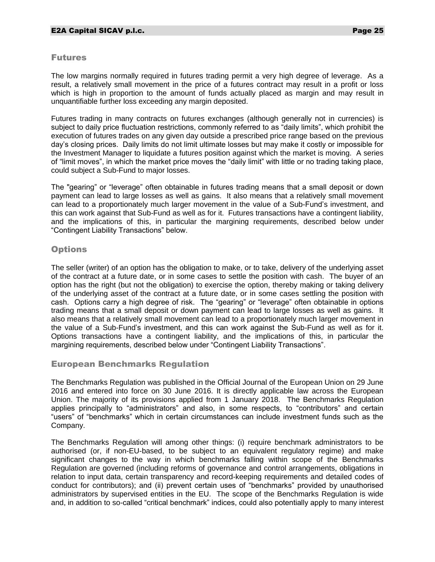#### Futures

The low margins normally required in futures trading permit a very high degree of leverage. As a result, a relatively small movement in the price of a futures contract may result in a profit or loss which is high in proportion to the amount of funds actually placed as margin and may result in unquantifiable further loss exceeding any margin deposited.

Futures trading in many contracts on futures exchanges (although generally not in currencies) is subject to daily price fluctuation restrictions, commonly referred to as "daily limits", which prohibit the execution of futures trades on any given day outside a prescribed price range based on the previous day's closing prices. Daily limits do not limit ultimate losses but may make it costly or impossible for the Investment Manager to liquidate a futures position against which the market is moving. A series of "limit moves", in which the market price moves the "daily limit" with little or no trading taking place, could subject a Sub-Fund to major losses.

The "gearing" or "leverage" often obtainable in futures trading means that a small deposit or down payment can lead to large losses as well as gains. It also means that a relatively small movement can lead to a proportionately much larger movement in the value of a Sub-Fund's investment, and this can work against that Sub-Fund as well as for it. Futures transactions have a contingent liability, and the implications of this, in particular the margining requirements, described below under "Contingent Liability Transactions" below.

# **Options**

The seller (writer) of an option has the obligation to make, or to take, delivery of the underlying asset of the contract at a future date, or in some cases to settle the position with cash. The buyer of an option has the right (but not the obligation) to exercise the option, thereby making or taking delivery of the underlying asset of the contract at a future date, or in some cases settling the position with cash. Options carry a high degree of risk. The "gearing" or "leverage" often obtainable in options trading means that a small deposit or down payment can lead to large losses as well as gains. It also means that a relatively small movement can lead to a proportionately much larger movement in the value of a Sub-Fund's investment, and this can work against the Sub-Fund as well as for it. Options transactions have a contingent liability, and the implications of this, in particular the margining requirements, described below under "Contingent Liability Transactions".

# European Benchmarks Regulation

The Benchmarks Regulation was published in the Official Journal of the European Union on 29 June 2016 and entered into force on 30 June 2016. It is directly applicable law across the European Union. The majority of its provisions applied from 1 January 2018. The Benchmarks Regulation applies principally to "administrators" and also, in some respects, to "contributors" and certain "users" of "benchmarks" which in certain circumstances can include investment funds such as the Company.

The Benchmarks Regulation will among other things: (i) require benchmark administrators to be authorised (or, if non-EU-based, to be subject to an equivalent regulatory regime) and make significant changes to the way in which benchmarks falling within scope of the Benchmarks Regulation are governed (including reforms of governance and control arrangements, obligations in relation to input data, certain transparency and record-keeping requirements and detailed codes of conduct for contributors); and (ii) prevent certain uses of "benchmarks" provided by unauthorised administrators by supervised entities in the EU. The scope of the Benchmarks Regulation is wide and, in addition to so-called "critical benchmark" indices, could also potentially apply to many interest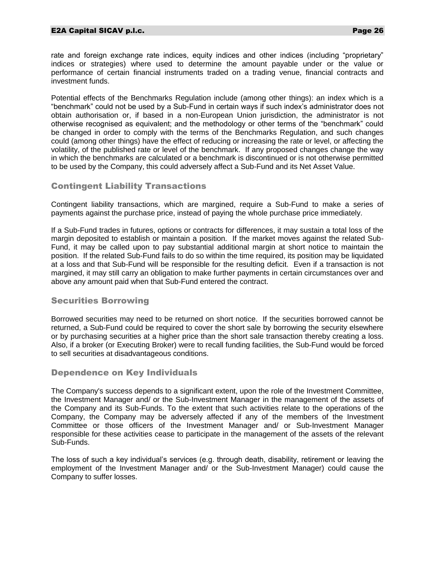#### E2A Capital SICAV p.l.c. Page 26

rate and foreign exchange rate indices, equity indices and other indices (including "proprietary" indices or strategies) where used to determine the amount payable under or the value or performance of certain financial instruments traded on a trading venue, financial contracts and investment funds.

Potential effects of the Benchmarks Regulation include (among other things): an index which is a "benchmark" could not be used by a Sub-Fund in certain ways if such index's administrator does not obtain authorisation or, if based in a non-European Union jurisdiction, the administrator is not otherwise recognised as equivalent; and the methodology or other terms of the "benchmark" could be changed in order to comply with the terms of the Benchmarks Regulation, and such changes could (among other things) have the effect of reducing or increasing the rate or level, or affecting the volatility, of the published rate or level of the benchmark. If any proposed changes change the way in which the benchmarks are calculated or a benchmark is discontinued or is not otherwise permitted to be used by the Company, this could adversely affect a Sub-Fund and its Net Asset Value.

# Contingent Liability Transactions

Contingent liability transactions, which are margined, require a Sub-Fund to make a series of payments against the purchase price, instead of paying the whole purchase price immediately.

If a Sub-Fund trades in futures, options or contracts for differences, it may sustain a total loss of the margin deposited to establish or maintain a position. If the market moves against the related Sub-Fund, it may be called upon to pay substantial additional margin at short notice to maintain the position. If the related Sub-Fund fails to do so within the time required, its position may be liquidated at a loss and that Sub-Fund will be responsible for the resulting deficit. Even if a transaction is not margined, it may still carry an obligation to make further payments in certain circumstances over and above any amount paid when that Sub-Fund entered the contract.

# Securities Borrowing

Borrowed securities may need to be returned on short notice. If the securities borrowed cannot be returned, a Sub-Fund could be required to cover the short sale by borrowing the security elsewhere or by purchasing securities at a higher price than the short sale transaction thereby creating a loss. Also, if a broker (or Executing Broker) were to recall funding facilities, the Sub-Fund would be forced to sell securities at disadvantageous conditions.

#### Dependence on Key Individuals

The Company's success depends to a significant extent, upon the role of the Investment Committee, the Investment Manager and/ or the Sub-Investment Manager in the management of the assets of the Company and its Sub-Funds. To the extent that such activities relate to the operations of the Company, the Company may be adversely affected if any of the members of the Investment Committee or those officers of the Investment Manager and/ or Sub-Investment Manager responsible for these activities cease to participate in the management of the assets of the relevant Sub-Funds.

The loss of such a key individual's services (e.g. through death, disability, retirement or leaving the employment of the Investment Manager and/ or the Sub-Investment Manager) could cause the Company to suffer losses.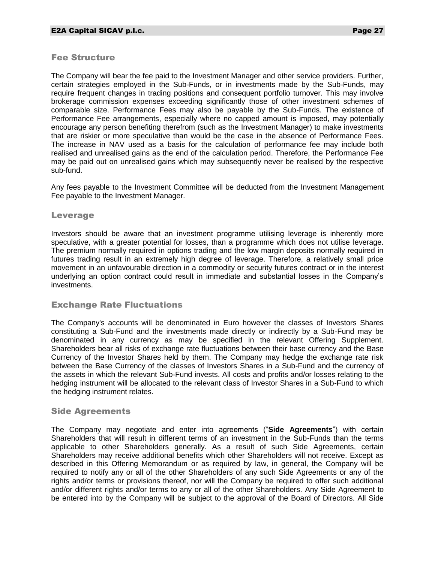#### Fee Structure

The Company will bear the fee paid to the Investment Manager and other service providers. Further, certain strategies employed in the Sub-Funds, or in investments made by the Sub-Funds, may require frequent changes in trading positions and consequent portfolio turnover. This may involve brokerage commission expenses exceeding significantly those of other investment schemes of comparable size. Performance Fees may also be payable by the Sub-Funds. The existence of Performance Fee arrangements, especially where no capped amount is imposed, may potentially encourage any person benefiting therefrom (such as the Investment Manager) to make investments that are riskier or more speculative than would be the case in the absence of Performance Fees. The increase in NAV used as a basis for the calculation of performance fee may include both realised and unrealised gains as the end of the calculation period. Therefore, the Performance Fee may be paid out on unrealised gains which may subsequently never be realised by the respective sub-fund.

Any fees payable to the Investment Committee will be deducted from the Investment Management Fee payable to the Investment Manager.

#### Leverage

Investors should be aware that an investment programme utilising leverage is inherently more speculative, with a greater potential for losses, than a programme which does not utilise leverage. The premium normally required in options trading and the low margin deposits normally required in futures trading result in an extremely high degree of leverage. Therefore, a relatively small price movement in an unfavourable direction in a commodity or security futures contract or in the interest underlying an option contract could result in immediate and substantial losses in the Company's investments.

#### Exchange Rate Fluctuations

The Company's accounts will be denominated in Euro however the classes of Investors Shares constituting a Sub-Fund and the investments made directly or indirectly by a Sub-Fund may be denominated in any currency as may be specified in the relevant Offering Supplement. Shareholders bear all risks of exchange rate fluctuations between their base currency and the Base Currency of the Investor Shares held by them. The Company may hedge the exchange rate risk between the Base Currency of the classes of Investors Shares in a Sub-Fund and the currency of the assets in which the relevant Sub-Fund invests. All costs and profits and/or losses relating to the hedging instrument will be allocated to the relevant class of Investor Shares in a Sub-Fund to which the hedging instrument relates.

#### Side Agreements

The Company may negotiate and enter into agreements ("**Side Agreements**") with certain Shareholders that will result in different terms of an investment in the Sub-Funds than the terms applicable to other Shareholders generally. As a result of such Side Agreements, certain Shareholders may receive additional benefits which other Shareholders will not receive. Except as described in this Offering Memorandum or as required by law, in general, the Company will be required to notify any or all of the other Shareholders of any such Side Agreements or any of the rights and/or terms or provisions thereof, nor will the Company be required to offer such additional and/or different rights and/or terms to any or all of the other Shareholders. Any Side Agreement to be entered into by the Company will be subject to the approval of the Board of Directors. All Side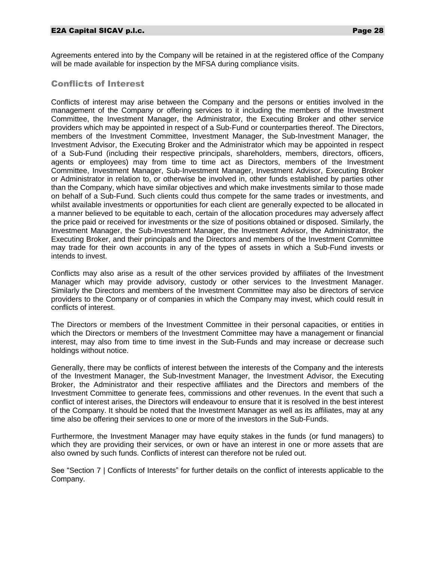Agreements entered into by the Company will be retained in at the registered office of the Company will be made available for inspection by the MFSA during compliance visits.

# Conflicts of Interest

Conflicts of interest may arise between the Company and the persons or entities involved in the management of the Company or offering services to it including the members of the Investment Committee, the Investment Manager, the Administrator, the Executing Broker and other service providers which may be appointed in respect of a Sub-Fund or counterparties thereof. The Directors, members of the Investment Committee, Investment Manager, the Sub-Investment Manager, the Investment Advisor, the Executing Broker and the Administrator which may be appointed in respect of a Sub-Fund (including their respective principals, shareholders, members, directors, officers, agents or employees) may from time to time act as Directors, members of the Investment Committee, Investment Manager, Sub-Investment Manager, Investment Advisor, Executing Broker or Administrator in relation to, or otherwise be involved in, other funds established by parties other than the Company, which have similar objectives and which make investments similar to those made on behalf of a Sub-Fund. Such clients could thus compete for the same trades or investments, and whilst available investments or opportunities for each client are generally expected to be allocated in a manner believed to be equitable to each, certain of the allocation procedures may adversely affect the price paid or received for investments or the size of positions obtained or disposed. Similarly, the Investment Manager, the Sub-Investment Manager, the Investment Advisor, the Administrator, the Executing Broker, and their principals and the Directors and members of the Investment Committee may trade for their own accounts in any of the types of assets in which a Sub-Fund invests or intends to invest.

Conflicts may also arise as a result of the other services provided by affiliates of the Investment Manager which may provide advisory, custody or other services to the Investment Manager. Similarly the Directors and members of the Investment Committee may also be directors of service providers to the Company or of companies in which the Company may invest, which could result in conflicts of interest.

The Directors or members of the Investment Committee in their personal capacities, or entities in which the Directors or members of the Investment Committee may have a management or financial interest, may also from time to time invest in the Sub-Funds and may increase or decrease such holdings without notice.

Generally, there may be conflicts of interest between the interests of the Company and the interests of the Investment Manager, the Sub-Investment Manager, the Investment Advisor, the Executing Broker, the Administrator and their respective affiliates and the Directors and members of the Investment Committee to generate fees, commissions and other revenues. In the event that such a conflict of interest arises, the Directors will endeavour to ensure that it is resolved in the best interest of the Company. It should be noted that the Investment Manager as well as its affiliates, may at any time also be offering their services to one or more of the investors in the Sub-Funds.

Furthermore, the Investment Manager may have equity stakes in the funds (or fund managers) to which they are providing their services, or own or have an interest in one or more assets that are also owned by such funds. Conflicts of interest can therefore not be ruled out.

See "Section 7 | Conflicts of Interests" for further details on the conflict of interests applicable to the Company.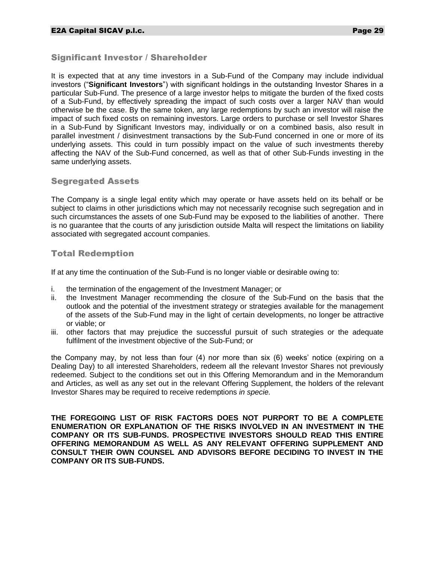# Significant Investor / Shareholder

It is expected that at any time investors in a Sub-Fund of the Company may include individual investors ("**Significant Investors**") with significant holdings in the outstanding Investor Shares in a particular Sub-Fund. The presence of a large investor helps to mitigate the burden of the fixed costs of a Sub-Fund, by effectively spreading the impact of such costs over a larger NAV than would otherwise be the case. By the same token, any large redemptions by such an investor will raise the impact of such fixed costs on remaining investors. Large orders to purchase or sell Investor Shares in a Sub-Fund by Significant Investors may, individually or on a combined basis, also result in parallel investment / disinvestment transactions by the Sub-Fund concerned in one or more of its underlying assets. This could in turn possibly impact on the value of such investments thereby affecting the NAV of the Sub-Fund concerned, as well as that of other Sub-Funds investing in the same underlying assets.

# Segregated Assets

The Company is a single legal entity which may operate or have assets held on its behalf or be subject to claims in other jurisdictions which may not necessarily recognise such segregation and in such circumstances the assets of one Sub-Fund may be exposed to the liabilities of another. There is no guarantee that the courts of any jurisdiction outside Malta will respect the limitations on liability associated with segregated account companies.

# Total Redemption

If at any time the continuation of the Sub-Fund is no longer viable or desirable owing to:

- i. the termination of the engagement of the Investment Manager; or
- ii. the Investment Manager recommending the closure of the Sub-Fund on the basis that the outlook and the potential of the investment strategy or strategies available for the management of the assets of the Sub-Fund may in the light of certain developments, no longer be attractive or viable; or
- iii. other factors that may prejudice the successful pursuit of such strategies or the adequate fulfilment of the investment objective of the Sub-Fund; or

the Company may, by not less than four (4) nor more than six (6) weeks' notice (expiring on a Dealing Day) to all interested Shareholders, redeem all the relevant Investor Shares not previously redeemed. Subject to the conditions set out in this Offering Memorandum and in the Memorandum and Articles, as well as any set out in the relevant Offering Supplement, the holders of the relevant Investor Shares may be required to receive redemptions *in specie.*

**THE FOREGOING LIST OF RISK FACTORS DOES NOT PURPORT TO BE A COMPLETE ENUMERATION OR EXPLANATION OF THE RISKS INVOLVED IN AN INVESTMENT IN THE COMPANY OR ITS SUB-FUNDS. PROSPECTIVE INVESTORS SHOULD READ THIS ENTIRE OFFERING MEMORANDUM AS WELL AS ANY RELEVANT OFFERING SUPPLEMENT AND CONSULT THEIR OWN COUNSEL AND ADVISORS BEFORE DECIDING TO INVEST IN THE COMPANY OR ITS SUB-FUNDS.**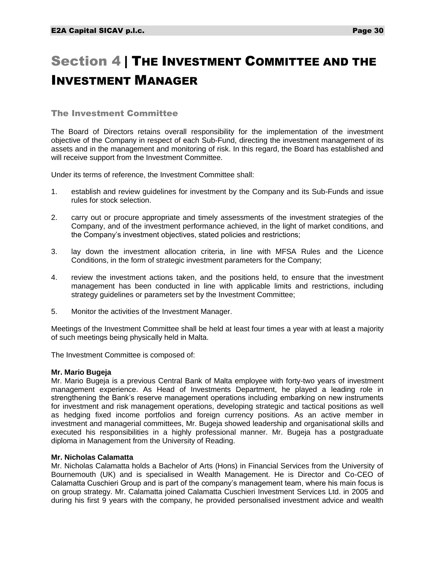# <span id="page-30-0"></span>Section 4 | THE INVESTMENT COMMITTEE AND THE INVESTMENT MANAGER

# The Investment Committee

The Board of Directors retains overall responsibility for the implementation of the investment objective of the Company in respect of each Sub-Fund, directing the investment management of its assets and in the management and monitoring of risk. In this regard, the Board has established and will receive support from the Investment Committee.

Under its terms of reference, the Investment Committee shall:

- 1. establish and review guidelines for investment by the Company and its Sub-Funds and issue rules for stock selection.
- 2. carry out or procure appropriate and timely assessments of the investment strategies of the Company, and of the investment performance achieved, in the light of market conditions, and the Company's investment objectives, stated policies and restrictions;
- 3. lay down the investment allocation criteria, in line with MFSA Rules and the Licence Conditions, in the form of strategic investment parameters for the Company;
- 4. review the investment actions taken, and the positions held, to ensure that the investment management has been conducted in line with applicable limits and restrictions, including strategy guidelines or parameters set by the Investment Committee;
- 5. Monitor the activities of the Investment Manager.

Meetings of the Investment Committee shall be held at least four times a year with at least a majority of such meetings being physically held in Malta.

The Investment Committee is composed of:

#### **Mr. Mario Bugeja**

Mr. Mario Bugeja is a previous Central Bank of Malta employee with forty-two years of investment management experience. As Head of Investments Department, he played a leading role in strengthening the Bank's reserve management operations including embarking on new instruments for investment and risk management operations, developing strategic and tactical positions as well as hedging fixed income portfolios and foreign currency positions. As an active member in investment and managerial committees, Mr. Bugeja showed leadership and organisational skills and executed his responsibilities in a highly professional manner. Mr. Bugeja has a postgraduate diploma in Management from the University of Reading.

#### **Mr. Nicholas Calamatta**

Mr. Nicholas Calamatta holds a Bachelor of Arts (Hons) in Financial Services from the University of Bournemouth (UK) and is specialised in Wealth Management. He is Director and Co-CEO of Calamatta Cuschieri Group and is part of the company's management team, where his main focus is on group strategy. Mr. Calamatta joined Calamatta Cuschieri Investment Services Ltd. in 2005 and during his first 9 years with the company, he provided personalised investment advice and wealth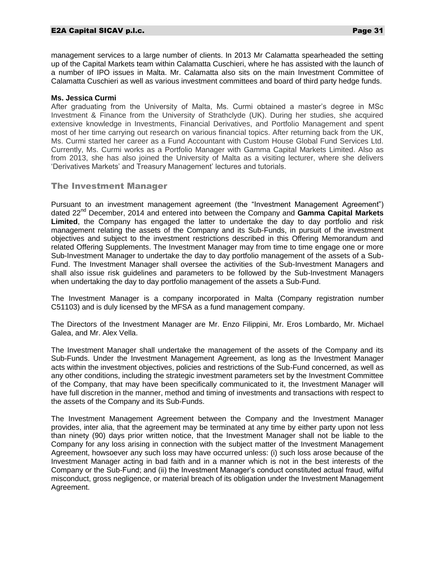#### E2A Capital SICAV p.l.c. Page 31

management services to a large number of clients. In 2013 Mr Calamatta spearheaded the setting up of the Capital Markets team within Calamatta Cuschieri, where he has assisted with the launch of a number of IPO issues in Malta. Mr. Calamatta also sits on the main Investment Committee of Calamatta Cuschieri as well as various investment committees and board of third party hedge funds.

#### **Ms. Jessica Curmi**

After graduating from the University of Malta, Ms. Curmi obtained a master's degree in MSc Investment & Finance from the University of Strathclyde (UK). During her studies, she acquired extensive knowledge in Investments, Financial Derivatives, and Portfolio Management and spent most of her time carrying out research on various financial topics. After returning back from the UK, Ms. Curmi started her career as a Fund Accountant with Custom House Global Fund Services Ltd. Currently, Ms. Curmi works as a Portfolio Manager with Gamma Capital Markets Limited. Also as from 2013, she has also joined the University of Malta as a visiting lecturer, where she delivers 'Derivatives Markets' and Treasury Management' lectures and tutorials.

#### The Investment Manager

Pursuant to an investment management agreement (the "Investment Management Agreement") dated 22nd December, 2014 and entered into between the Company and **Gamma Capital Markets Limited**, the Company has engaged the latter to undertake the day to day portfolio and risk management relating the assets of the Company and its Sub-Funds, in pursuit of the investment objectives and subject to the investment restrictions described in this Offering Memorandum and related Offering Supplements. The Investment Manager may from time to time engage one or more Sub-Investment Manager to undertake the day to day portfolio management of the assets of a Sub-Fund. The Investment Manager shall oversee the activities of the Sub-Investment Managers and shall also issue risk guidelines and parameters to be followed by the Sub-Investment Managers when undertaking the day to day portfolio management of the assets a Sub-Fund.

The Investment Manager is a company incorporated in Malta (Company registration number C51103) and is duly licensed by the MFSA as a fund management company.

The Directors of the Investment Manager are Mr. Enzo Filippini, Mr. Eros Lombardo, Mr. Michael Galea, and Mr. Alex Vella.

The Investment Manager shall undertake the management of the assets of the Company and its Sub-Funds. Under the Investment Management Agreement, as long as the Investment Manager acts within the investment objectives, policies and restrictions of the Sub-Fund concerned, as well as any other conditions, including the strategic investment parameters set by the Investment Committee of the Company, that may have been specifically communicated to it, the Investment Manager will have full discretion in the manner, method and timing of investments and transactions with respect to the assets of the Company and its Sub-Funds.

The Investment Management Agreement between the Company and the Investment Manager provides, inter alia, that the agreement may be terminated at any time by either party upon not less than ninety (90) days prior written notice, that the Investment Manager shall not be liable to the Company for any loss arising in connection with the subject matter of the Investment Management Agreement, howsoever any such loss may have occurred unless: (i) such loss arose because of the Investment Manager acting in bad faith and in a manner which is not in the best interests of the Company or the Sub-Fund; and (ii) the Investment Manager's conduct constituted actual fraud, wilful misconduct, gross negligence, or material breach of its obligation under the Investment Management Agreement.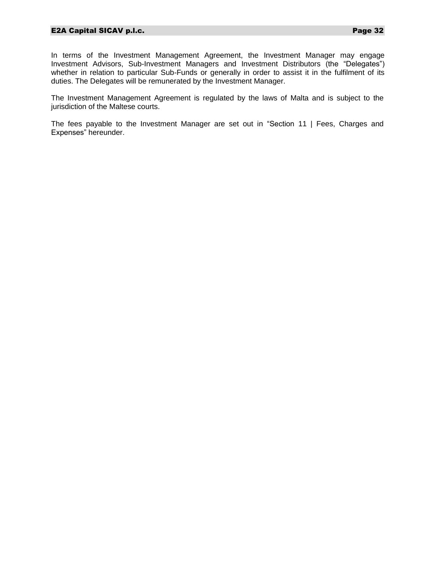In terms of the Investment Management Agreement, the Investment Manager may engage Investment Advisors, Sub-Investment Managers and Investment Distributors (the "Delegates") whether in relation to particular Sub-Funds or generally in order to assist it in the fulfilment of its duties. The Delegates will be remunerated by the Investment Manager.

The Investment Management Agreement is regulated by the laws of Malta and is subject to the jurisdiction of the Maltese courts.

The fees payable to the Investment Manager are set out in "Section 11 | Fees, Charges and Expenses" hereunder.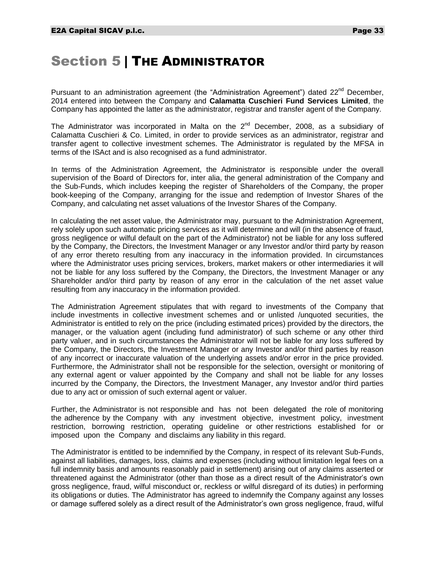# <span id="page-33-0"></span>Section 5 | THE ADMINISTRATOR

Pursuant to an administration agreement (the "Administration Agreement") dated  $22^{nd}$  December, 2014 entered into between the Company and **Calamatta Cuschieri Fund Services Limited**, the Company has appointed the latter as the administrator, registrar and transfer agent of the Company.

The Administrator was incorporated in Malta on the 2<sup>nd</sup> December, 2008, as a subsidiary of Calamatta Cuschieri & Co. Limited, in order to provide services as an administrator, registrar and transfer agent to collective investment schemes. The Administrator is regulated by the MFSA in terms of the ISAct and is also recognised as a fund administrator.

In terms of the Administration Agreement, the Administrator is responsible under the overall supervision of the Board of Directors for, inter alia, the general administration of the Company and the Sub-Funds, which includes keeping the register of Shareholders of the Company, the proper book-keeping of the Company, arranging for the issue and redemption of Investor Shares of the Company, and calculating net asset valuations of the Investor Shares of the Company.

In calculating the net asset value, the Administrator may, pursuant to the Administration Agreement, rely solely upon such automatic pricing services as it will determine and will (in the absence of fraud, gross negligence or wilful default on the part of the Administrator) not be liable for any loss suffered by the Company, the Directors, the Investment Manager or any Investor and/or third party by reason of any error thereto resulting from any inaccuracy in the information provided. In circumstances where the Administrator uses pricing services, brokers, market makers or other intermediaries it will not be liable for any loss suffered by the Company, the Directors, the Investment Manager or any Shareholder and/or third party by reason of any error in the calculation of the net asset value resulting from any inaccuracy in the information provided.

The Administration Agreement stipulates that with regard to investments of the Company that include investments in collective investment schemes and or unlisted /unquoted securities, the Administrator is entitled to rely on the price (including estimated prices) provided by the directors, the manager, or the valuation agent (including fund administrator) of such scheme or any other third party valuer, and in such circumstances the Administrator will not be liable for any loss suffered by the Company, the Directors, the Investment Manager or any Investor and/or third parties by reason of any incorrect or inaccurate valuation of the underlying assets and/or error in the price provided. Furthermore, the Administrator shall not be responsible for the selection, oversight or monitoring of any external agent or valuer appointed by the Company and shall not be liable for any losses incurred by the Company, the Directors, the Investment Manager, any Investor and/or third parties due to any act or omission of such external agent or valuer.

Further, the Administrator is not responsible and has not been delegated the role of monitoring the adherence by the Company with any investment objective, investment policy, investment restriction, borrowing restriction, operating guideline or other restrictions established for or imposed upon the Company and disclaims any liability in this regard.

The Administrator is entitled to be indemnified by the Company, in respect of its relevant Sub-Funds, against all liabilities, damages, loss, claims and expenses (including without limitation legal fees on a full indemnity basis and amounts reasonably paid in settlement) arising out of any claims asserted or threatened against the Administrator (other than those as a direct result of the Administrator's own gross negligence, fraud, wilful misconduct or, reckless or wilful disregard of its duties) in performing its obligations or duties. The Administrator has agreed to indemnify the Company against any losses or damage suffered solely as a direct result of the Administrator's own gross negligence, fraud, wilful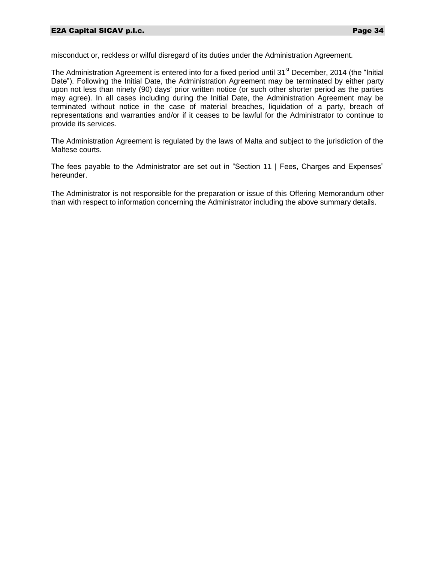misconduct or, reckless or wilful disregard of its duties under the Administration Agreement.

The Administration Agreement is entered into for a fixed period until 31<sup>st</sup> December, 2014 (the "Initial Date"). Following the Initial Date, the Administration Agreement may be terminated by either party upon not less than ninety (90) days' prior written notice (or such other shorter period as the parties may agree). In all cases including during the Initial Date, the Administration Agreement may be terminated without notice in the case of material breaches, liquidation of a party, breach of representations and warranties and/or if it ceases to be lawful for the Administrator to continue to provide its services.

The Administration Agreement is regulated by the laws of Malta and subject to the jurisdiction of the Maltese courts.

The fees payable to the Administrator are set out in "Section 11 | Fees, Charges and Expenses" hereunder.

The Administrator is not responsible for the preparation or issue of this Offering Memorandum other than with respect to information concerning the Administrator including the above summary details.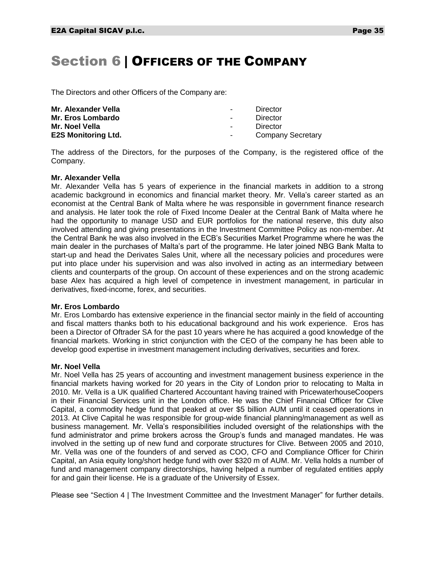# <span id="page-35-0"></span>Section 6 | OFFICERS OF THE COMPANY

The Directors and other Officers of the Company are:

| Mr. Alexander Vella        | $\sim$           | Director                 |
|----------------------------|------------------|--------------------------|
| Mr. Eros Lombardo          | $\sim$           | Director                 |
| Mr. Noel Vella             | $\sim$ 100 $\mu$ | Director                 |
| <b>E2S Monitoring Ltd.</b> | $\sim$           | <b>Company Secretary</b> |

The address of the Directors, for the purposes of the Company, is the registered office of the Company.

#### **Mr. Alexander Vella**

Mr. Alexander Vella has 5 years of experience in the financial markets in addition to a strong academic background in economics and financial market theory. Mr. Vella's career started as an economist at the Central Bank of Malta where he was responsible in government finance research and analysis. He later took the role of Fixed Income Dealer at the Central Bank of Malta where he had the opportunity to manage USD and EUR portfolios for the national reserve, this duty also involved attending and giving presentations in the Investment Committee Policy as non-member. At the Central Bank he was also involved in the ECB's Securities Market Programme where he was the main dealer in the purchases of Malta's part of the programme. He later joined NBG Bank Malta to start-up and head the Derivates Sales Unit, where all the necessary policies and procedures were put into place under his supervision and was also involved in acting as an intermediary between clients and counterparts of the group. On account of these experiences and on the strong academic base Alex has acquired a high level of competence in investment management, in particular in derivatives, fixed-income, forex, and securities.

#### **Mr. Eros Lombardo**

Mr. Eros Lombardo has extensive experience in the financial sector mainly in the field of accounting and fiscal matters thanks both to his educational background and his work experience. Eros has been a Director of Oftrader SA for the past 10 years where he has acquired a good knowledge of the financial markets. Working in strict conjunction with the CEO of the company he has been able to develop good expertise in investment management including derivatives, securities and forex.

#### **Mr. Noel Vella**

Mr. Noel Vella has 25 years of accounting and investment management business experience in the financial markets having worked for 20 years in the City of London prior to relocating to Malta in 2010. Mr. Vella is a UK qualified Chartered Accountant having trained with PricewaterhouseCoopers in their Financial Services unit in the London office. He was the Chief Financial Officer for Clive Capital, a commodity hedge fund that peaked at over \$5 billion AUM until it ceased operations in 2013. At Clive Capital he was responsible for group-wide financial planning/management as well as business management. Mr. Vella's responsibilities included oversight of the relationships with the fund administrator and prime brokers across the Group's funds and managed mandates. He was involved in the setting up of new fund and corporate structures for Clive. Between 2005 and 2010, Mr. Vella was one of the founders of and served as COO, CFO and Compliance Officer for Chirin Capital, an Asia equity long/short hedge fund with over \$320 m of AUM. Mr. Vella holds a number of fund and management company directorships, having helped a number of regulated entities apply for and gain their license. He is a graduate of the University of Essex.

Please see "Section 4 | The Investment Committee and the Investment Manager" for further details.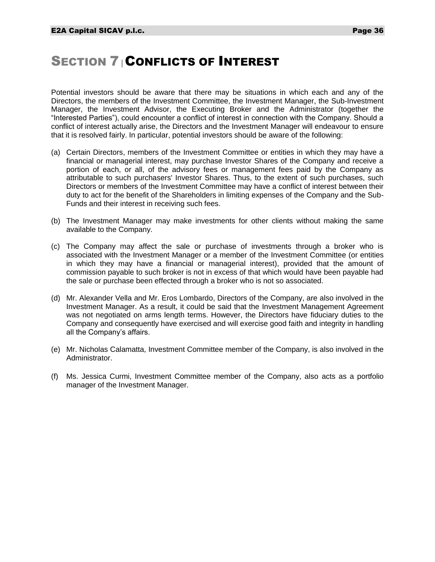## **SECTION 7 CONFLICTS OF INTEREST**

Potential investors should be aware that there may be situations in which each and any of the Directors, the members of the Investment Committee, the Investment Manager, the Sub-Investment Manager, the Investment Advisor, the Executing Broker and the Administrator (together the "Interested Parties"), could encounter a conflict of interest in connection with the Company. Should a conflict of interest actually arise, the Directors and the Investment Manager will endeavour to ensure that it is resolved fairly. In particular, potential investors should be aware of the following:

- (a) Certain Directors, members of the Investment Committee or entities in which they may have a financial or managerial interest, may purchase Investor Shares of the Company and receive a portion of each, or all, of the advisory fees or management fees paid by the Company as attributable to such purchasers' Investor Shares. Thus, to the extent of such purchases, such Directors or members of the Investment Committee may have a conflict of interest between their duty to act for the benefit of the Shareholders in limiting expenses of the Company and the Sub-Funds and their interest in receiving such fees.
- (b) The Investment Manager may make investments for other clients without making the same available to the Company.
- (c) The Company may affect the sale or purchase of investments through a broker who is associated with the Investment Manager or a member of the Investment Committee (or entities in which they may have a financial or managerial interest), provided that the amount of commission payable to such broker is not in excess of that which would have been payable had the sale or purchase been effected through a broker who is not so associated.
- (d) Mr. Alexander Vella and Mr. Eros Lombardo, Directors of the Company, are also involved in the Investment Manager. As a result, it could be said that the Investment Management Agreement was not negotiated on arms length terms. However, the Directors have fiduciary duties to the Company and consequently have exercised and will exercise good faith and integrity in handling all the Company's affairs.
- (e) Mr. Nicholas Calamatta, Investment Committee member of the Company, is also involved in the Administrator.
- (f) Ms. Jessica Curmi, Investment Committee member of the Company, also acts as a portfolio manager of the Investment Manager.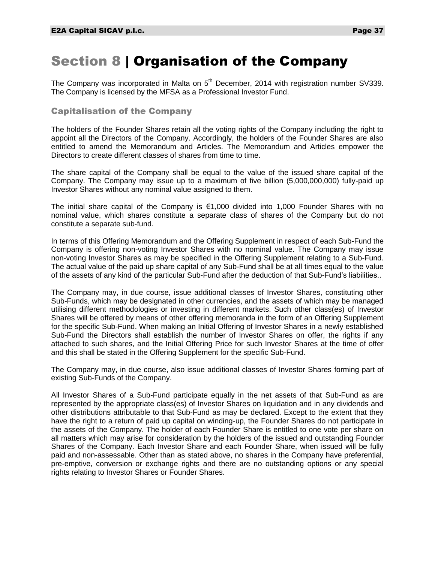## Section 8 | Organisation of the Company

The Company was incorporated in Malta on  $5<sup>th</sup>$  December, 2014 with registration number SV339. The Company is licensed by the MFSA as a Professional Investor Fund.

## Capitalisation of the Company

The holders of the Founder Shares retain all the voting rights of the Company including the right to appoint all the Directors of the Company. Accordingly, the holders of the Founder Shares are also entitled to amend the Memorandum and Articles. The Memorandum and Articles empower the Directors to create different classes of shares from time to time.

The share capital of the Company shall be equal to the value of the issued share capital of the Company. The Company may issue up to a maximum of five billion (5,000,000,000) fully-paid up Investor Shares without any nominal value assigned to them.

The initial share capital of the Company is  $€1,000$  divided into 1,000 Founder Shares with no nominal value, which shares constitute a separate class of shares of the Company but do not constitute a separate sub-fund.

In terms of this Offering Memorandum and the Offering Supplement in respect of each Sub-Fund the Company is offering non-voting Investor Shares with no nominal value. The Company may issue non-voting Investor Shares as may be specified in the Offering Supplement relating to a Sub-Fund. The actual value of the paid up share capital of any Sub-Fund shall be at all times equal to the value of the assets of any kind of the particular Sub-Fund after the deduction of that Sub-Fund's liabilities..

The Company may, in due course, issue additional classes of Investor Shares, constituting other Sub-Funds, which may be designated in other currencies, and the assets of which may be managed utilising different methodologies or investing in different markets. Such other class(es) of Investor Shares will be offered by means of other offering memoranda in the form of an Offering Supplement for the specific Sub-Fund. When making an Initial Offering of Investor Shares in a newly established Sub-Fund the Directors shall establish the number of Investor Shares on offer, the rights if any attached to such shares, and the Initial Offering Price for such Investor Shares at the time of offer and this shall be stated in the Offering Supplement for the specific Sub-Fund.

The Company may, in due course, also issue additional classes of Investor Shares forming part of existing Sub-Funds of the Company.

All Investor Shares of a Sub-Fund participate equally in the net assets of that Sub-Fund as are represented by the appropriate class(es) of Investor Shares on liquidation and in any dividends and other distributions attributable to that Sub-Fund as may be declared. Except to the extent that they have the right to a return of paid up capital on winding-up, the Founder Shares do not participate in the assets of the Company. The holder of each Founder Share is entitled to one vote per share on all matters which may arise for consideration by the holders of the issued and outstanding Founder Shares of the Company. Each Investor Share and each Founder Share, when issued will be fully paid and non-assessable. Other than as stated above, no shares in the Company have preferential, pre-emptive, conversion or exchange rights and there are no outstanding options or any special rights relating to Investor Shares or Founder Shares.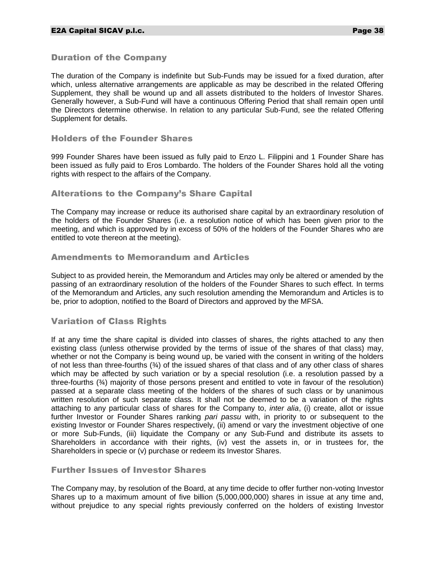## Duration of the Company

The duration of the Company is indefinite but Sub-Funds may be issued for a fixed duration, after which, unless alternative arrangements are applicable as may be described in the related Offering Supplement, they shall be wound up and all assets distributed to the holders of Investor Shares. Generally however, a Sub-Fund will have a continuous Offering Period that shall remain open until the Directors determine otherwise. In relation to any particular Sub-Fund, see the related Offering Supplement for details.

## Holders of the Founder Shares

999 Founder Shares have been issued as fully paid to Enzo L. Filippini and 1 Founder Share has been issued as fully paid to Eros Lombardo. The holders of the Founder Shares hold all the voting rights with respect to the affairs of the Company.

## Alterations to the Company's Share Capital

The Company may increase or reduce its authorised share capital by an extraordinary resolution of the holders of the Founder Shares (i.e. a resolution notice of which has been given prior to the meeting, and which is approved by in excess of 50% of the holders of the Founder Shares who are entitled to vote thereon at the meeting).

## Amendments to Memorandum and Articles

Subject to as provided herein, the Memorandum and Articles may only be altered or amended by the passing of an extraordinary resolution of the holders of the Founder Shares to such effect. In terms of the Memorandum and Articles, any such resolution amending the Memorandum and Articles is to be, prior to adoption, notified to the Board of Directors and approved by the MFSA.

## Variation of Class Rights

If at any time the share capital is divided into classes of shares, the rights attached to any then existing class (unless otherwise provided by the terms of issue of the shares of that class) may, whether or not the Company is being wound up, be varied with the consent in writing of the holders of not less than three-fourths  $(34)$  of the issued shares of that class and of any other class of shares which may be affected by such variation or by a special resolution (i.e. a resolution passed by a three-fourths (¾) majority of those persons present and entitled to vote in favour of the resolution) passed at a separate class meeting of the holders of the shares of such class or by unanimous written resolution of such separate class. It shall not be deemed to be a variation of the rights attaching to any particular class of shares for the Company to, *inter alia*, (i) create, allot or issue further Investor or Founder Shares ranking *pari passu* with, in priority to or subsequent to the existing Investor or Founder Shares respectively, (ii) amend or vary the investment objective of one or more Sub-Funds, (iii) liquidate the Company or any Sub-Fund and distribute its assets to Shareholders in accordance with their rights, (iv) vest the assets in, or in trustees for, the Shareholders in specie or (v) purchase or redeem its Investor Shares.

## Further Issues of Investor Shares

The Company may, by resolution of the Board, at any time decide to offer further non-voting Investor Shares up to a maximum amount of five billion (5,000,000,000) shares in issue at any time and, without prejudice to any special rights previously conferred on the holders of existing Investor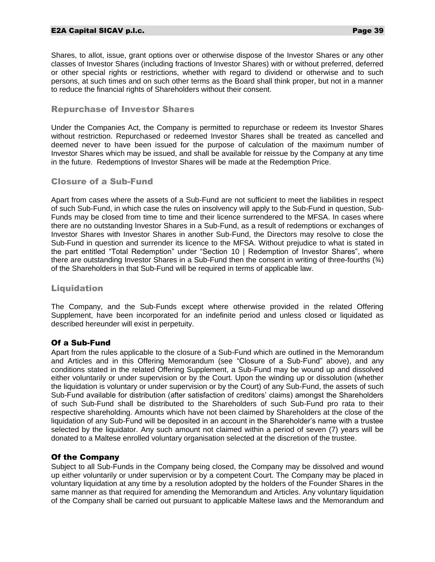## E2A Capital SICAV p.l.c. Page 39

Shares, to allot, issue, grant options over or otherwise dispose of the Investor Shares or any other classes of Investor Shares (including fractions of Investor Shares) with or without preferred, deferred or other special rights or restrictions, whether with regard to dividend or otherwise and to such persons, at such times and on such other terms as the Board shall think proper, but not in a manner to reduce the financial rights of Shareholders without their consent.

## Repurchase of Investor Shares

Under the Companies Act, the Company is permitted to repurchase or redeem its Investor Shares without restriction. Repurchased or redeemed Investor Shares shall be treated as cancelled and deemed never to have been issued for the purpose of calculation of the maximum number of Investor Shares which may be issued, and shall be available for reissue by the Company at any time in the future. Redemptions of Investor Shares will be made at the Redemption Price.

## Closure of a Sub-Fund

Apart from cases where the assets of a Sub-Fund are not sufficient to meet the liabilities in respect of such Sub-Fund, in which case the rules on insolvency will apply to the Sub-Fund in question, Sub-Funds may be closed from time to time and their licence surrendered to the MFSA. In cases where there are no outstanding Investor Shares in a Sub-Fund, as a result of redemptions or exchanges of Investor Shares with Investor Shares in another Sub-Fund, the Directors may resolve to close the Sub-Fund in question and surrender its licence to the MFSA. Without prejudice to what is stated in the part entitled "Total Redemption" under "Section 10 | Redemption of Investor Shares", where there are outstanding Investor Shares in a Sub-Fund then the consent in writing of three-fourths  $(\frac{3}{4})$ of the Shareholders in that Sub-Fund will be required in terms of applicable law.

## Liquidation

The Company, and the Sub-Funds except where otherwise provided in the related Offering Supplement, have been incorporated for an indefinite period and unless closed or liquidated as described hereunder will exist in perpetuity.

#### Of a Sub-Fund

Apart from the rules applicable to the closure of a Sub-Fund which are outlined in the Memorandum and Articles and in this Offering Memorandum (see "Closure of a Sub-Fund" above), and any conditions stated in the related Offering Supplement, a Sub-Fund may be wound up and dissolved either voluntarily or under supervision or by the Court. Upon the winding up or dissolution (whether the liquidation is voluntary or under supervision or by the Court) of any Sub-Fund, the assets of such Sub-Fund available for distribution (after satisfaction of creditors' claims) amongst the Shareholders of such Sub-Fund shall be distributed to the Shareholders of such Sub-Fund pro rata to their respective shareholding. Amounts which have not been claimed by Shareholders at the close of the liquidation of any Sub-Fund will be deposited in an account in the Shareholder's name with a trustee selected by the liquidator. Any such amount not claimed within a period of seven (7) years will be donated to a Maltese enrolled voluntary organisation selected at the discretion of the trustee.

## Of the Company

Subject to all Sub-Funds in the Company being closed, the Company may be dissolved and wound up either voluntarily or under supervision or by a competent Court. The Company may be placed in voluntary liquidation at any time by a resolution adopted by the holders of the Founder Shares in the same manner as that required for amending the Memorandum and Articles. Any voluntary liquidation of the Company shall be carried out pursuant to applicable Maltese laws and the Memorandum and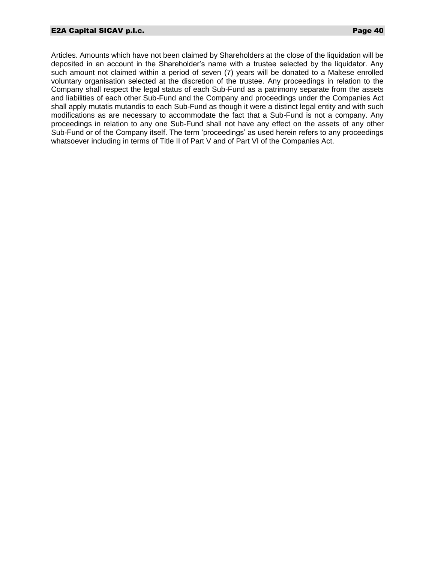Articles. Amounts which have not been claimed by Shareholders at the close of the liquidation will be deposited in an account in the Shareholder's name with a trustee selected by the liquidator. Any such amount not claimed within a period of seven (7) years will be donated to a Maltese enrolled voluntary organisation selected at the discretion of the trustee. Any proceedings in relation to the Company shall respect the legal status of each Sub-Fund as a patrimony separate from the assets and liabilities of each other Sub-Fund and the Company and proceedings under the Companies Act shall apply mutatis mutandis to each Sub-Fund as though it were a distinct legal entity and with such modifications as are necessary to accommodate the fact that a Sub-Fund is not a company. Any proceedings in relation to any one Sub-Fund shall not have any effect on the assets of any other Sub-Fund or of the Company itself. The term 'proceedings' as used herein refers to any proceedings whatsoever including in terms of Title II of Part V and of Part VI of the Companies Act.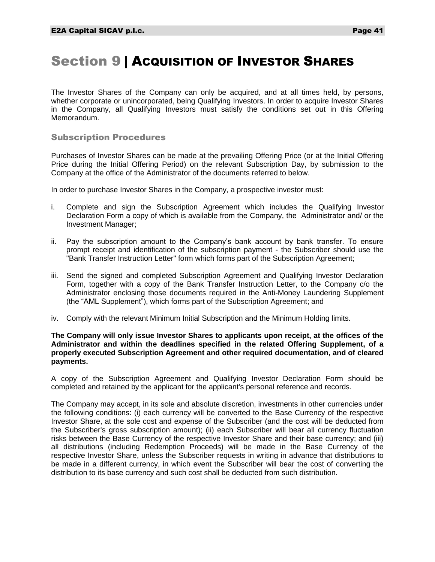## Section 9 | ACQUISITION OF INVESTOR SHARES

The Investor Shares of the Company can only be acquired, and at all times held, by persons, whether corporate or unincorporated, being Qualifying Investors. In order to acquire Investor Shares in the Company, all Qualifying Investors must satisfy the conditions set out in this Offering Memorandum.

## Subscription Procedures

Purchases of Investor Shares can be made at the prevailing Offering Price (or at the Initial Offering Price during the Initial Offering Period) on the relevant Subscription Day, by submission to the Company at the office of the Administrator of the documents referred to below.

In order to purchase Investor Shares in the Company, a prospective investor must:

- i. Complete and sign the Subscription Agreement which includes the Qualifying Investor Declaration Form a copy of which is available from the Company, the Administrator and/ or the Investment Manager;
- ii. Pay the subscription amount to the Company's bank account by bank transfer. To ensure prompt receipt and identification of the subscription payment - the Subscriber should use the "Bank Transfer Instruction Letter" form which forms part of the Subscription Agreement;
- iii. Send the signed and completed Subscription Agreement and Qualifying Investor Declaration Form, together with a copy of the Bank Transfer Instruction Letter, to the Company c/o the Administrator enclosing those documents required in the Anti-Money Laundering Supplement (the "AML Supplement"), which forms part of the Subscription Agreement; and
- iv. Comply with the relevant Minimum Initial Subscription and the Minimum Holding limits.

#### **The Company will only issue Investor Shares to applicants upon receipt, at the offices of the Administrator and within the deadlines specified in the related Offering Supplement, of a properly executed Subscription Agreement and other required documentation, and of cleared payments.**

A copy of the Subscription Agreement and Qualifying Investor Declaration Form should be completed and retained by the applicant for the applicant's personal reference and records.

The Company may accept, in its sole and absolute discretion, investments in other currencies under the following conditions: (i) each currency will be converted to the Base Currency of the respective Investor Share, at the sole cost and expense of the Subscriber (and the cost will be deducted from the Subscriber's gross subscription amount); (ii) each Subscriber will bear all currency fluctuation risks between the Base Currency of the respective Investor Share and their base currency; and (iii) all distributions (including Redemption Proceeds) will be made in the Base Currency of the respective Investor Share, unless the Subscriber requests in writing in advance that distributions to be made in a different currency, in which event the Subscriber will bear the cost of converting the distribution to its base currency and such cost shall be deducted from such distribution.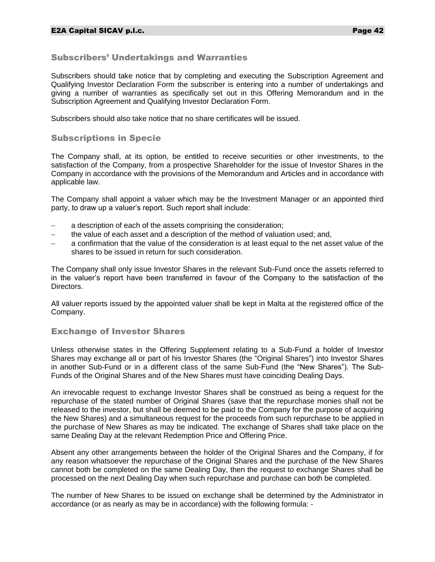## Subscribers' Undertakings and Warranties

Subscribers should take notice that by completing and executing the Subscription Agreement and Qualifying Investor Declaration Form the subscriber is entering into a number of undertakings and giving a number of warranties as specifically set out in this Offering Memorandum and in the Subscription Agreement and Qualifying Investor Declaration Form.

Subscribers should also take notice that no share certificates will be issued.

## Subscriptions in Specie

The Company shall, at its option, be entitled to receive securities or other investments, to the satisfaction of the Company, from a prospective Shareholder for the issue of Investor Shares in the Company in accordance with the provisions of the Memorandum and Articles and in accordance with applicable law.

The Company shall appoint a valuer which may be the Investment Manager or an appointed third party, to draw up a valuer's report. Such report shall include:

- a description of each of the assets comprising the consideration;
- the value of each asset and a description of the method of valuation used; and,
- a confirmation that the value of the consideration is at least equal to the net asset value of the shares to be issued in return for such consideration.

The Company shall only issue Investor Shares in the relevant Sub-Fund once the assets referred to in the valuer's report have been transferred in favour of the Company to the satisfaction of the Directors.

All valuer reports issued by the appointed valuer shall be kept in Malta at the registered office of the Company.

## Exchange of Investor Shares

Unless otherwise states in the Offering Supplement relating to a Sub-Fund a holder of Investor Shares may exchange all or part of his Investor Shares (the "Original Shares") into Investor Shares in another Sub-Fund or in a different class of the same Sub-Fund (the "New Shares"). The Sub-Funds of the Original Shares and of the New Shares must have coinciding Dealing Days.

An irrevocable request to exchange Investor Shares shall be construed as being a request for the repurchase of the stated number of Original Shares (save that the repurchase monies shall not be released to the investor, but shall be deemed to be paid to the Company for the purpose of acquiring the New Shares) and a simultaneous request for the proceeds from such repurchase to be applied in the purchase of New Shares as may be indicated. The exchange of Shares shall take place on the same Dealing Day at the relevant Redemption Price and Offering Price.

Absent any other arrangements between the holder of the Original Shares and the Company, if for any reason whatsoever the repurchase of the Original Shares and the purchase of the New Shares cannot both be completed on the same Dealing Day, then the request to exchange Shares shall be processed on the next Dealing Day when such repurchase and purchase can both be completed.

The number of New Shares to be issued on exchange shall be determined by the Administrator in accordance (or as nearly as may be in accordance) with the following formula: -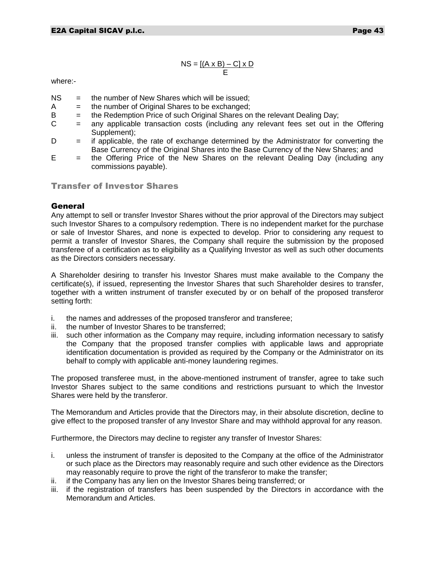$$
NS = \underbrace{[(A \times B) - C] \times D}_{E}
$$

where:-

- NS = the number of New Shares which will be issued;
- $A =$  the number of Original Shares to be exchanged:
- $B =$  the Redemption Price of such Original Shares on the relevant Dealing Day;
- $C =$  any applicable transaction costs (including any relevant fees set out in the Offering Supplement);

 $D =$  if applicable, the rate of exchange determined by the Administrator for converting the Base Currency of the Original Shares into the Base Currency of the New Shares; and

 $E =$  the Offering Price of the New Shares on the relevant Dealing Day (including any commissions payable).

Transfer of Investor Shares

## General

Any attempt to sell or transfer Investor Shares without the prior approval of the Directors may subject such Investor Shares to a compulsory redemption. There is no independent market for the purchase or sale of Investor Shares, and none is expected to develop. Prior to considering any request to permit a transfer of Investor Shares, the Company shall require the submission by the proposed transferee of a certification as to eligibility as a Qualifying Investor as well as such other documents as the Directors considers necessary.

A Shareholder desiring to transfer his Investor Shares must make available to the Company the certificate(s), if issued, representing the Investor Shares that such Shareholder desires to transfer, together with a written instrument of transfer executed by or on behalf of the proposed transferor setting forth:

- i. the names and addresses of the proposed transferor and transferee;
- ii. the number of Investor Shares to be transferred;
- iii. such other information as the Company may require, including information necessary to satisfy the Company that the proposed transfer complies with applicable laws and appropriate identification documentation is provided as required by the Company or the Administrator on its behalf to comply with applicable anti-money laundering regimes.

The proposed transferee must, in the above-mentioned instrument of transfer, agree to take such Investor Shares subject to the same conditions and restrictions pursuant to which the Investor Shares were held by the transferor.

The Memorandum and Articles provide that the Directors may, in their absolute discretion, decline to give effect to the proposed transfer of any Investor Share and may withhold approval for any reason.

Furthermore, the Directors may decline to register any transfer of Investor Shares:

- i. unless the instrument of transfer is deposited to the Company at the office of the Administrator or such place as the Directors may reasonably require and such other evidence as the Directors may reasonably require to prove the right of the transferor to make the transfer;
- ii. if the Company has any lien on the Investor Shares being transferred; or
- iii. if the registration of transfers has been suspended by the Directors in accordance with the Memorandum and Articles.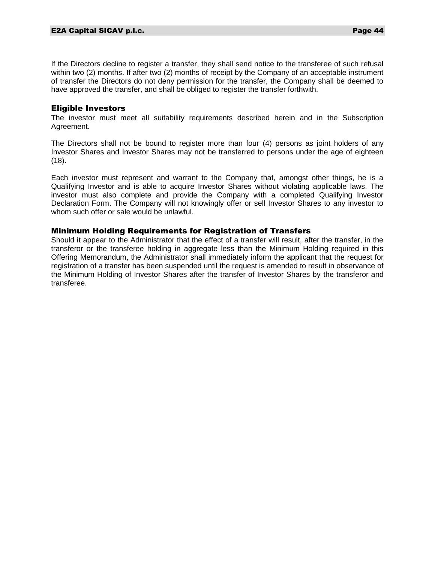If the Directors decline to register a transfer, they shall send notice to the transferee of such refusal within two (2) months. If after two (2) months of receipt by the Company of an acceptable instrument of transfer the Directors do not deny permission for the transfer, the Company shall be deemed to have approved the transfer, and shall be obliged to register the transfer forthwith.

#### Eligible Investors

The investor must meet all suitability requirements described herein and in the Subscription Agreement.

The Directors shall not be bound to register more than four (4) persons as joint holders of any Investor Shares and Investor Shares may not be transferred to persons under the age of eighteen (18).

Each investor must represent and warrant to the Company that, amongst other things, he is a Qualifying Investor and is able to acquire Investor Shares without violating applicable laws. The investor must also complete and provide the Company with a completed Qualifying Investor Declaration Form. The Company will not knowingly offer or sell Investor Shares to any investor to whom such offer or sale would be unlawful.

## Minimum Holding Requirements for Registration of Transfers

Should it appear to the Administrator that the effect of a transfer will result, after the transfer, in the transferor or the transferee holding in aggregate less than the Minimum Holding required in this Offering Memorandum, the Administrator shall immediately inform the applicant that the request for registration of a transfer has been suspended until the request is amended to result in observance of the Minimum Holding of Investor Shares after the transfer of Investor Shares by the transferor and transferee.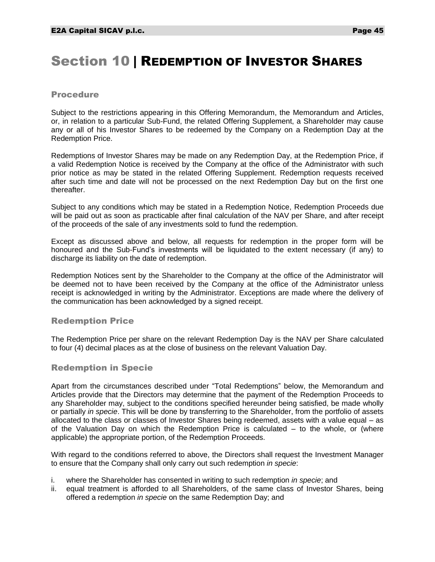# Section 10 | REDEMPTION OF INVESTOR SHARES

#### Procedure

Subject to the restrictions appearing in this Offering Memorandum, the Memorandum and Articles, or, in relation to a particular Sub-Fund, the related Offering Supplement, a Shareholder may cause any or all of his Investor Shares to be redeemed by the Company on a Redemption Day at the Redemption Price.

Redemptions of Investor Shares may be made on any Redemption Day, at the Redemption Price, if a valid Redemption Notice is received by the Company at the office of the Administrator with such prior notice as may be stated in the related Offering Supplement. Redemption requests received after such time and date will not be processed on the next Redemption Day but on the first one thereafter.

Subject to any conditions which may be stated in a Redemption Notice, Redemption Proceeds due will be paid out as soon as practicable after final calculation of the NAV per Share, and after receipt of the proceeds of the sale of any investments sold to fund the redemption.

Except as discussed above and below, all requests for redemption in the proper form will be honoured and the Sub-Fund's investments will be liquidated to the extent necessary (if any) to discharge its liability on the date of redemption.

Redemption Notices sent by the Shareholder to the Company at the office of the Administrator will be deemed not to have been received by the Company at the office of the Administrator unless receipt is acknowledged in writing by the Administrator. Exceptions are made where the delivery of the communication has been acknowledged by a signed receipt.

## Redemption Price

The Redemption Price per share on the relevant Redemption Day is the NAV per Share calculated to four (4) decimal places as at the close of business on the relevant Valuation Day.

## Redemption in Specie

Apart from the circumstances described under "Total Redemptions" below, the Memorandum and Articles provide that the Directors may determine that the payment of the Redemption Proceeds to any Shareholder may, subject to the conditions specified hereunder being satisfied, be made wholly or partially *in specie*. This will be done by transferring to the Shareholder, from the portfolio of assets allocated to the class or classes of Investor Shares being redeemed, assets with a value equal – as of the Valuation Day on which the Redemption Price is calculated – to the whole, or (where applicable) the appropriate portion, of the Redemption Proceeds.

With regard to the conditions referred to above, the Directors shall request the Investment Manager to ensure that the Company shall only carry out such redemption *in specie*:

- i. where the Shareholder has consented in writing to such redemption *in specie*; and
- ii. equal treatment is afforded to all Shareholders, of the same class of Investor Shares, being offered a redemption *in specie* on the same Redemption Day; and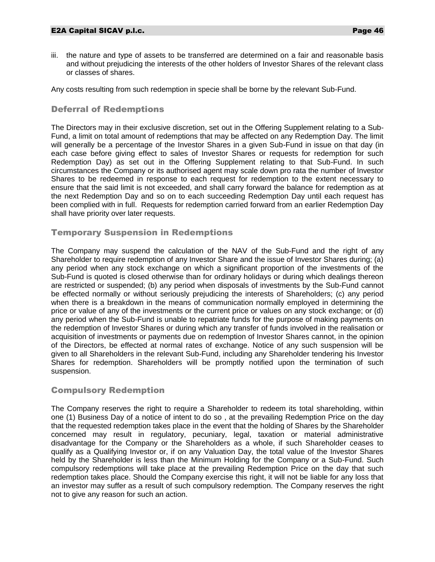iii. the nature and type of assets to be transferred are determined on a fair and reasonable basis and without prejudicing the interests of the other holders of Investor Shares of the relevant class or classes of shares.

Any costs resulting from such redemption in specie shall be borne by the relevant Sub-Fund.

## Deferral of Redemptions

The Directors may in their exclusive discretion, set out in the Offering Supplement relating to a Sub-Fund, a limit on total amount of redemptions that may be affected on any Redemption Day. The limit will generally be a percentage of the Investor Shares in a given Sub-Fund in issue on that day (in each case before giving effect to sales of Investor Shares or requests for redemption for such Redemption Day) as set out in the Offering Supplement relating to that Sub-Fund. In such circumstances the Company or its authorised agent may scale down pro rata the number of Investor Shares to be redeemed in response to each request for redemption to the extent necessary to ensure that the said limit is not exceeded, and shall carry forward the balance for redemption as at the next Redemption Day and so on to each succeeding Redemption Day until each request has been complied with in full. Requests for redemption carried forward from an earlier Redemption Day shall have priority over later requests.

## Temporary Suspension in Redemptions

The Company may suspend the calculation of the NAV of the Sub-Fund and the right of any Shareholder to require redemption of any Investor Share and the issue of Investor Shares during; (a) any period when any stock exchange on which a significant proportion of the investments of the Sub-Fund is quoted is closed otherwise than for ordinary holidays or during which dealings thereon are restricted or suspended; (b) any period when disposals of investments by the Sub-Fund cannot be effected normally or without seriously prejudicing the interests of Shareholders; (c) any period when there is a breakdown in the means of communication normally employed in determining the price or value of any of the investments or the current price or values on any stock exchange; or (d) any period when the Sub-Fund is unable to repatriate funds for the purpose of making payments on the redemption of Investor Shares or during which any transfer of funds involved in the realisation or acquisition of investments or payments due on redemption of Investor Shares cannot, in the opinion of the Directors, be effected at normal rates of exchange. Notice of any such suspension will be given to all Shareholders in the relevant Sub-Fund, including any Shareholder tendering his Investor Shares for redemption. Shareholders will be promptly notified upon the termination of such suspension.

## Compulsory Redemption

The Company reserves the right to require a Shareholder to redeem its total shareholding, within one (1) Business Day of a notice of intent to do so , at the prevailing Redemption Price on the day that the requested redemption takes place in the event that the holding of Shares by the Shareholder concerned may result in regulatory, pecuniary, legal, taxation or material administrative disadvantage for the Company or the Shareholders as a whole, if such Shareholder ceases to qualify as a Qualifying Investor or, if on any Valuation Day, the total value of the Investor Shares held by the Shareholder is less than the Minimum Holding for the Company or a Sub-Fund. Such compulsory redemptions will take place at the prevailing Redemption Price on the day that such redemption takes place. Should the Company exercise this right, it will not be liable for any loss that an investor may suffer as a result of such compulsory redemption. The Company reserves the right not to give any reason for such an action.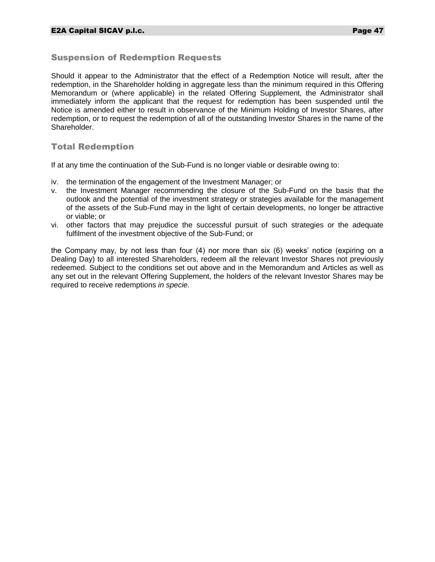## Suspension of Redemption Requests

Should it appear to the Administrator that the effect of a Redemption Notice will result, after the redemption, in the Shareholder holding in aggregate less than the minimum required in this Offering Memorandum or (where applicable) in the related Offering Supplement, the Administrator shall immediately inform the applicant that the request for redemption has been suspended until the Notice is amended either to result in observance of the Minimum Holding of Investor Shares, after redemption, or to request the redemption of all of the outstanding Investor Shares in the name of the Shareholder.

## Total Redemption

If at any time the continuation of the Sub-Fund is no longer viable or desirable owing to:

- iv. the termination of the engagement of the Investment Manager; or
- v. the Investment Manager recommending the closure of the Sub-Fund on the basis that the outlook and the potential of the investment strategy or strategies available for the management of the assets of the Sub-Fund may in the light of certain developments, no longer be attractive or viable; or
- vi. other factors that may prejudice the successful pursuit of such strategies or the adequate fulfilment of the investment objective of the Sub-Fund; or

the Company may, by not less than four (4) nor more than six (6) weeks' notice (expiring on a Dealing Day) to all interested Shareholders, redeem all the relevant Investor Shares not previously redeemed. Subject to the conditions set out above and in the Memorandum and Articles as well as any set out in the relevant Offering Supplement, the holders of the relevant Investor Shares may be required to receive redemptions *in specie.*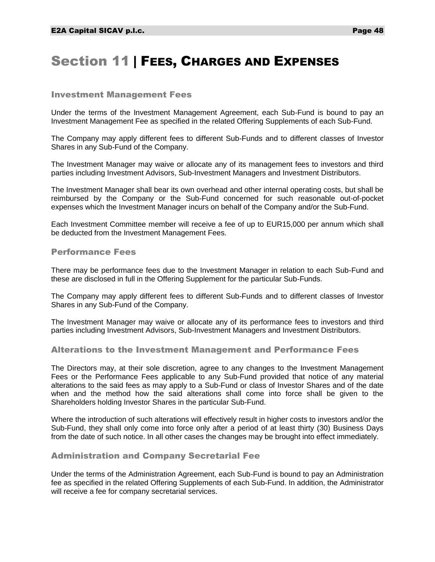## Section 11 | FEES, CHARGES AND EXPENSES

#### Investment Management Fees

Under the terms of the Investment Management Agreement, each Sub-Fund is bound to pay an Investment Management Fee as specified in the related Offering Supplements of each Sub-Fund.

The Company may apply different fees to different Sub-Funds and to different classes of Investor Shares in any Sub-Fund of the Company.

The Investment Manager may waive or allocate any of its management fees to investors and third parties including Investment Advisors, Sub-Investment Managers and Investment Distributors.

The Investment Manager shall bear its own overhead and other internal operating costs, but shall be reimbursed by the Company or the Sub-Fund concerned for such reasonable out-of-pocket expenses which the Investment Manager incurs on behalf of the Company and/or the Sub-Fund.

Each Investment Committee member will receive a fee of up to EUR15,000 per annum which shall be deducted from the Investment Management Fees.

#### Performance Fees

There may be performance fees due to the Investment Manager in relation to each Sub-Fund and these are disclosed in full in the Offering Supplement for the particular Sub-Funds.

The Company may apply different fees to different Sub-Funds and to different classes of Investor Shares in any Sub-Fund of the Company.

The Investment Manager may waive or allocate any of its performance fees to investors and third parties including Investment Advisors, Sub-Investment Managers and Investment Distributors.

#### Alterations to the Investment Management and Performance Fees

The Directors may, at their sole discretion, agree to any changes to the Investment Management Fees or the Performance Fees applicable to any Sub-Fund provided that notice of any material alterations to the said fees as may apply to a Sub-Fund or class of Investor Shares and of the date when and the method how the said alterations shall come into force shall be given to the Shareholders holding Investor Shares in the particular Sub-Fund.

Where the introduction of such alterations will effectively result in higher costs to investors and/or the Sub-Fund, they shall only come into force only after a period of at least thirty (30) Business Days from the date of such notice. In all other cases the changes may be brought into effect immediately.

#### Administration and Company Secretarial Fee

Under the terms of the Administration Agreement, each Sub-Fund is bound to pay an Administration fee as specified in the related Offering Supplements of each Sub-Fund. In addition, the Administrator will receive a fee for company secretarial services.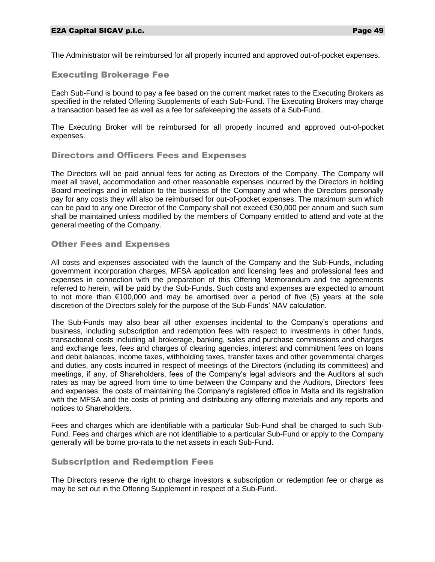The Administrator will be reimbursed for all properly incurred and approved out-of-pocket expenses.

## Executing Brokerage Fee

Each Sub-Fund is bound to pay a fee based on the current market rates to the Executing Brokers as specified in the related Offering Supplements of each Sub-Fund. The Executing Brokers may charge a transaction based fee as well as a fee for safekeeping the assets of a Sub-Fund.

The Executing Broker will be reimbursed for all properly incurred and approved out-of-pocket expenses.

## Directors and Officers Fees and Expenses

The Directors will be paid annual fees for acting as Directors of the Company. The Company will meet all travel, accommodation and other reasonable expenses incurred by the Directors in holding Board meetings and in relation to the business of the Company and when the Directors personally pay for any costs they will also be reimbursed for out-of-pocket expenses. The maximum sum which can be paid to any one Director of the Company shall not exceed €30,000 per annum and such sum shall be maintained unless modified by the members of Company entitled to attend and vote at the general meeting of the Company.

## Other Fees and Expenses

All costs and expenses associated with the launch of the Company and the Sub-Funds, including government incorporation charges, MFSA application and licensing fees and professional fees and expenses in connection with the preparation of this Offering Memorandum and the agreements referred to herein, will be paid by the Sub-Funds. Such costs and expenses are expected to amount to not more than  $\epsilon$ 100,000 and may be amortised over a period of five (5) years at the sole discretion of the Directors solely for the purpose of the Sub-Funds' NAV calculation.

The Sub-Funds may also bear all other expenses incidental to the Company's operations and business, including subscription and redemption fees with respect to investments in other funds, transactional costs including all brokerage, banking, sales and purchase commissions and charges and exchange fees, fees and charges of clearing agencies, interest and commitment fees on loans and debit balances, income taxes, withholding taxes, transfer taxes and other governmental charges and duties, any costs incurred in respect of meetings of the Directors (including its committees) and meetings, if any, of Shareholders, fees of the Company's legal advisors and the Auditors at such rates as may be agreed from time to time between the Company and the Auditors, Directors' fees and expenses, the costs of maintaining the Company's registered office in Malta and its registration with the MFSA and the costs of printing and distributing any offering materials and any reports and notices to Shareholders.

Fees and charges which are identifiable with a particular Sub-Fund shall be charged to such Sub-Fund. Fees and charges which are not identifiable to a particular Sub-Fund or apply to the Company generally will be borne pro-rata to the net assets in each Sub-Fund.

## Subscription and Redemption Fees

The Directors reserve the right to charge investors a subscription or redemption fee or charge as may be set out in the Offering Supplement in respect of a Sub-Fund.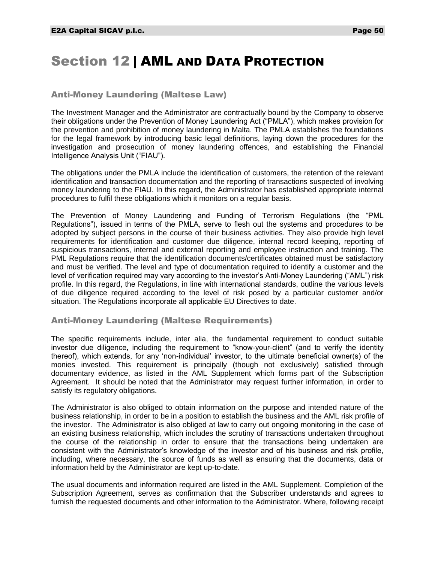## Section 12 | AML AND DATA PROTECTION

## Anti-Money Laundering (Maltese Law)

The Investment Manager and the Administrator are contractually bound by the Company to observe their obligations under the Prevention of Money Laundering Act ("PMLA"), which makes provision for the prevention and prohibition of money laundering in Malta. The PMLA establishes the foundations for the legal framework by introducing basic legal definitions, laying down the procedures for the investigation and prosecution of money laundering offences, and establishing the Financial Intelligence Analysis Unit ("FIAU").

The obligations under the PMLA include the identification of customers, the retention of the relevant identification and transaction documentation and the reporting of transactions suspected of involving money laundering to the FIAU. In this regard, the Administrator has established appropriate internal procedures to fulfil these obligations which it monitors on a regular basis.

The Prevention of Money Laundering and Funding of Terrorism Regulations (the "PML Regulations"), issued in terms of the PMLA, serve to flesh out the systems and procedures to be adopted by subject persons in the course of their business activities. They also provide high level requirements for identification and customer due diligence, internal record keeping, reporting of suspicious transactions, internal and external reporting and employee instruction and training. The PML Regulations require that the identification documents/certificates obtained must be satisfactory and must be verified. The level and type of documentation required to identify a customer and the level of verification required may vary according to the investor's Anti-Money Laundering ("AML") risk profile. In this regard, the Regulations, in line with international standards, outline the various levels of due diligence required according to the level of risk posed by a particular customer and/or situation. The Regulations incorporate all applicable EU Directives to date.

## Anti-Money Laundering (Maltese Requirements)

The specific requirements include, inter alia, the fundamental requirement to conduct suitable investor due diligence, including the requirement to "know-your-client" (and to verify the identity thereof), which extends, for any 'non-individual' investor, to the ultimate beneficial owner(s) of the monies invested. This requirement is principally (though not exclusively) satisfied through documentary evidence, as listed in the AML Supplement which forms part of the Subscription Agreement. It should be noted that the Administrator may request further information, in order to satisfy its regulatory obligations.

The Administrator is also obliged to obtain information on the purpose and intended nature of the business relationship, in order to be in a position to establish the business and the AML risk profile of the investor. The Administrator is also obliged at law to carry out ongoing monitoring in the case of an existing business relationship, which includes the scrutiny of transactions undertaken throughout the course of the relationship in order to ensure that the transactions being undertaken are consistent with the Administrator's knowledge of the investor and of his business and risk profile, including, where necessary, the source of funds as well as ensuring that the documents, data or information held by the Administrator are kept up-to-date.

The usual documents and information required are listed in the AML Supplement. Completion of the Subscription Agreement, serves as confirmation that the Subscriber understands and agrees to furnish the requested documents and other information to the Administrator. Where, following receipt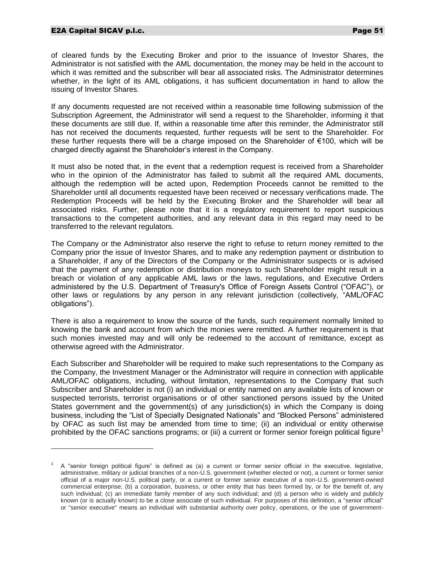#### E2A Capital SICAV p.l.c. **Page 51**

 $\overline{a}$ 

of cleared funds by the Executing Broker and prior to the issuance of Investor Shares, the Administrator is not satisfied with the AML documentation, the money may be held in the account to which it was remitted and the subscriber will bear all associated risks. The Administrator determines whether, in the light of its AML obligations, it has sufficient documentation in hand to allow the issuing of Investor Shares.

If any documents requested are not received within a reasonable time following submission of the Subscription Agreement, the Administrator will send a request to the Shareholder, informing it that these documents are still due. If, within a reasonable time after this reminder, the Administrator still has not received the documents requested, further requests will be sent to the Shareholder. For these further requests there will be a charge imposed on the Shareholder of €100, which will be charged directly against the Shareholder's interest in the Company.

It must also be noted that, in the event that a redemption request is received from a Shareholder who in the opinion of the Administrator has failed to submit all the required AML documents, although the redemption will be acted upon, Redemption Proceeds cannot be remitted to the Shareholder until all documents requested have been received or necessary verifications made. The Redemption Proceeds will be held by the Executing Broker and the Shareholder will bear all associated risks. Further, please note that it is a regulatory requirement to report suspicious transactions to the competent authorities, and any relevant data in this regard may need to be transferred to the relevant regulators.

The Company or the Administrator also reserve the right to refuse to return money remitted to the Company prior the issue of Investor Shares, and to make any redemption payment or distribution to a Shareholder, if any of the Directors of the Company or the Administrator suspects or is advised that the payment of any redemption or distribution moneys to such Shareholder might result in a breach or violation of any applicable AML laws or the laws, regulations, and Executive Orders administered by the U.S. Department of Treasury's Office of Foreign Assets Control ("OFAC"), or other laws or regulations by any person in any relevant jurisdiction (collectively, "AML/OFAC obligations").

There is also a requirement to know the source of the funds, such requirement normally limited to knowing the bank and account from which the monies were remitted. A further requirement is that such monies invested may and will only be redeemed to the account of remittance, except as otherwise agreed with the Administrator.

Each Subscriber and Shareholder will be required to make such representations to the Company as the Company, the Investment Manager or the Administrator will require in connection with applicable AML/OFAC obligations, including, without limitation, representations to the Company that such Subscriber and Shareholder is not (i) an individual or entity named on any available lists of known or suspected terrorists, terrorist organisations or of other sanctioned persons issued by the United States government and the government(s) of any jurisdiction(s) in which the Company is doing business, including the "List of Specially Designated Nationals" and "Blocked Persons" administered by OFAC as such list may be amended from time to time; (ii) an individual or entity otherwise prohibited by the OFAC sanctions programs; or (iii) a current or former senior foreign political figure<sup>1</sup>

<sup>1</sup> A "senior foreign political figure" is defined as (a) a current or former senior official in the executive, legislative, administrative, military or judicial branches of a non-U.S. government (whether elected or not), a current or former senior official of a major non-U.S. political party, or a current or former senior executive of a non-U.S. government-owned commercial enterprise; (b) a corporation, business, or other entity that has been formed by, or for the benefit of, any such individual; (c) an immediate family member of any such individual; and (d) a person who is widely and publicly known (or is actually known) to be a close associate of such individual. For purposes of this definition, a "senior official" or "senior executive" means an individual with substantial authority over policy, operations, or the use of government-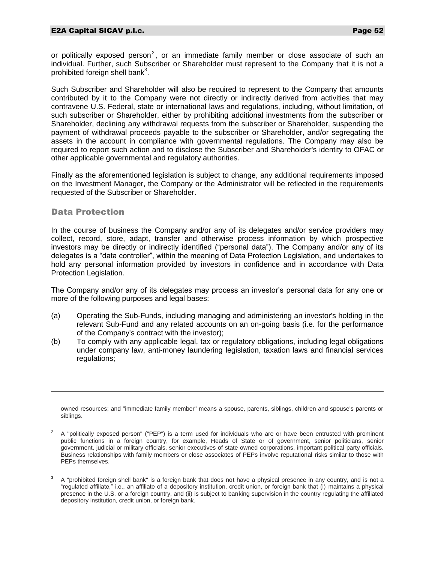or politically exposed person<sup>2</sup>, or an immediate family member or close associate of such an individual. Further, such Subscriber or Shareholder must represent to the Company that it is not a prohibited foreign shell bank<sup>3</sup>.

Such Subscriber and Shareholder will also be required to represent to the Company that amounts contributed by it to the Company were not directly or indirectly derived from activities that may contravene U.S. Federal, state or international laws and regulations, including, without limitation, of such subscriber or Shareholder, either by prohibiting additional investments from the subscriber or Shareholder, declining any withdrawal requests from the subscriber or Shareholder, suspending the payment of withdrawal proceeds payable to the subscriber or Shareholder, and/or segregating the assets in the account in compliance with governmental regulations. The Company may also be required to report such action and to disclose the Subscriber and Shareholder's identity to OFAC or other applicable governmental and regulatory authorities.

Finally as the aforementioned legislation is subject to change, any additional requirements imposed on the Investment Manager, the Company or the Administrator will be reflected in the requirements requested of the Subscriber or Shareholder.

#### Data Protection

 $\overline{a}$ 

In the course of business the Company and/or any of its delegates and/or service providers may collect, record, store, adapt, transfer and otherwise process information by which prospective investors may be directly or indirectly identified ("personal data"). The Company and/or any of its delegates is a "data controller", within the meaning of Data Protection Legislation, and undertakes to hold any personal information provided by investors in confidence and in accordance with Data Protection Legislation.

The Company and/or any of its delegates may process an investor's personal data for any one or more of the following purposes and legal bases:

- (a) Operating the Sub-Funds, including managing and administering an investor's holding in the relevant Sub-Fund and any related accounts on an on-going basis (i.e. for the performance of the Company's contract with the investor);
- (b) To comply with any applicable legal, tax or regulatory obligations, including legal obligations under company law, anti-money laundering legislation, taxation laws and financial services regulations;

owned resources; and "immediate family member" means a spouse, parents, siblings, children and spouse's parents or siblings.

<sup>&</sup>lt;sup>2</sup> A "politically exposed person" ("PEP") is a term used for individuals who are or have been entrusted with prominent public functions in a foreign country, for example, Heads of State or of government, senior politicians, senior government, judicial or military officials, senior executives of state owned corporations, important political party officials. Business relationships with family members or close associates of PEPs involve reputational risks similar to those with PEPs themselves.

<sup>3</sup> A "prohibited foreign shell bank" is a foreign bank that does not have a physical presence in any country, and is not a "regulated affiliate," i.e., an affiliate of a depository institution, credit union, or foreign bank that (i) maintains a physical presence in the U.S. or a foreign country, and (ii) is subject to banking supervision in the country regulating the affiliated depository institution, credit union, or foreign bank.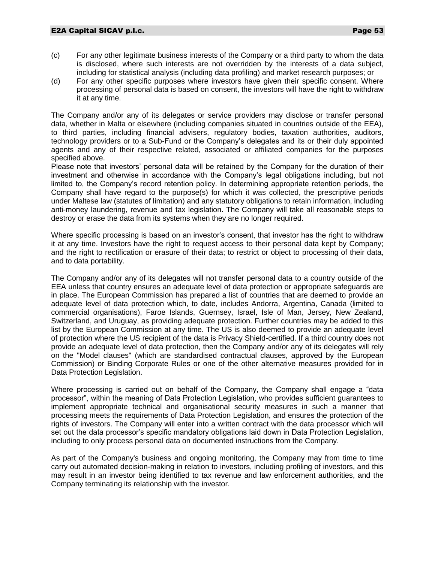- (c) For any other legitimate business interests of the Company or a third party to whom the data is disclosed, where such interests are not overridden by the interests of a data subject, including for statistical analysis (including data profiling) and market research purposes; or
- (d) For any other specific purposes where investors have given their specific consent. Where processing of personal data is based on consent, the investors will have the right to withdraw it at any time.

The Company and/or any of its delegates or service providers may disclose or transfer personal data, whether in Malta or elsewhere (including companies situated in countries outside of the EEA), to third parties, including financial advisers, regulatory bodies, taxation authorities, auditors, technology providers or to a Sub-Fund or the Company's delegates and its or their duly appointed agents and any of their respective related, associated or affiliated companies for the purposes specified above.

Please note that investors' personal data will be retained by the Company for the duration of their investment and otherwise in accordance with the Company's legal obligations including, but not limited to, the Company's record retention policy. In determining appropriate retention periods, the Company shall have regard to the purpose(s) for which it was collected, the prescriptive periods under Maltese law (statutes of limitation) and any statutory obligations to retain information, including anti-money laundering, revenue and tax legislation. The Company will take all reasonable steps to destroy or erase the data from its systems when they are no longer required.

Where specific processing is based on an investor's consent, that investor has the right to withdraw it at any time. Investors have the right to request access to their personal data kept by Company; and the right to rectification or erasure of their data; to restrict or object to processing of their data, and to data portability.

The Company and/or any of its delegates will not transfer personal data to a country outside of the EEA unless that country ensures an adequate level of data protection or appropriate safeguards are in place. The European Commission has prepared a list of countries that are deemed to provide an adequate level of data protection which, to date, includes Andorra, Argentina, Canada (limited to commercial organisations), Faroe Islands, Guernsey, Israel, Isle of Man, Jersey, New Zealand, Switzerland, and Uruguay, as providing adequate protection. Further countries may be added to this list by the European Commission at any time. The US is also deemed to provide an adequate level of protection where the US recipient of the data is Privacy Shield-certified. If a third country does not provide an adequate level of data protection, then the Company and/or any of its delegates will rely on the "Model clauses" (which are standardised contractual clauses, approved by the European Commission) or Binding Corporate Rules or one of the other alternative measures provided for in Data Protection Legislation.

Where processing is carried out on behalf of the Company, the Company shall engage a "data processor", within the meaning of Data Protection Legislation, who provides sufficient guarantees to implement appropriate technical and organisational security measures in such a manner that processing meets the requirements of Data Protection Legislation, and ensures the protection of the rights of investors. The Company will enter into a written contract with the data processor which will set out the data processor's specific mandatory obligations laid down in Data Protection Legislation, including to only process personal data on documented instructions from the Company.

As part of the Company's business and ongoing monitoring, the Company may from time to time carry out automated decision-making in relation to investors, including profiling of investors, and this may result in an investor being identified to tax revenue and law enforcement authorities, and the Company terminating its relationship with the investor.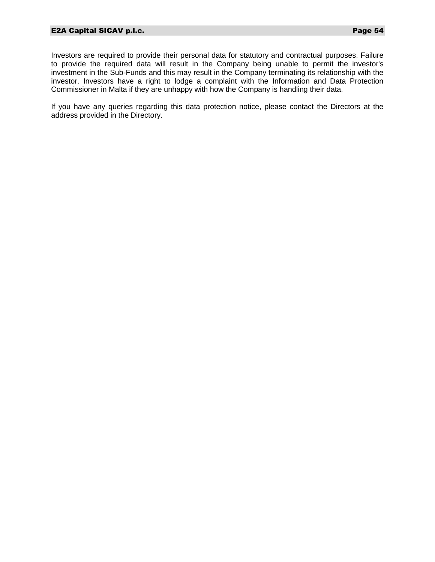Investors are required to provide their personal data for statutory and contractual purposes. Failure to provide the required data will result in the Company being unable to permit the investor's investment in the Sub-Funds and this may result in the Company terminating its relationship with the investor. Investors have a right to lodge a complaint with the Information and Data Protection Commissioner in Malta if they are unhappy with how the Company is handling their data.

If you have any queries regarding this data protection notice, please contact the Directors at the address provided in the Directory.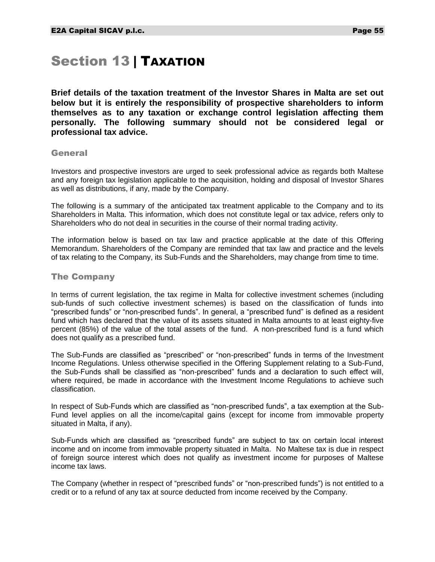## Section 13 | TAXATION

**Brief details of the taxation treatment of the Investor Shares in Malta are set out below but it is entirely the responsibility of prospective shareholders to inform themselves as to any taxation or exchange control legislation affecting them personally. The following summary should not be considered legal or professional tax advice.**

#### **General**

Investors and prospective investors are urged to seek professional advice as regards both Maltese and any foreign tax legislation applicable to the acquisition, holding and disposal of Investor Shares as well as distributions, if any, made by the Company.

The following is a summary of the anticipated tax treatment applicable to the Company and to its Shareholders in Malta. This information, which does not constitute legal or tax advice, refers only to Shareholders who do not deal in securities in the course of their normal trading activity.

The information below is based on tax law and practice applicable at the date of this Offering Memorandum. Shareholders of the Company are reminded that tax law and practice and the levels of tax relating to the Company, its Sub-Funds and the Shareholders, may change from time to time.

#### The Company

In terms of current legislation, the tax regime in Malta for collective investment schemes (including sub-funds of such collective investment schemes) is based on the classification of funds into "prescribed funds" or "non-prescribed funds". In general, a "prescribed fund" is defined as a resident fund which has declared that the value of its assets situated in Malta amounts to at least eighty-five percent (85%) of the value of the total assets of the fund. A non-prescribed fund is a fund which does not qualify as a prescribed fund.

The Sub-Funds are classified as "prescribed" or "non-prescribed" funds in terms of the Investment Income Regulations. Unless otherwise specified in the Offering Supplement relating to a Sub-Fund, the Sub-Funds shall be classified as "non-prescribed" funds and a declaration to such effect will, where required, be made in accordance with the Investment Income Regulations to achieve such classification.

In respect of Sub-Funds which are classified as "non-prescribed funds", a tax exemption at the Sub-Fund level applies on all the income/capital gains (except for income from immovable property situated in Malta, if any).

Sub-Funds which are classified as "prescribed funds" are subject to tax on certain local interest income and on income from immovable property situated in Malta. No Maltese tax is due in respect of foreign source interest which does not qualify as investment income for purposes of Maltese income tax laws.

The Company (whether in respect of "prescribed funds" or "non-prescribed funds") is not entitled to a credit or to a refund of any tax at source deducted from income received by the Company.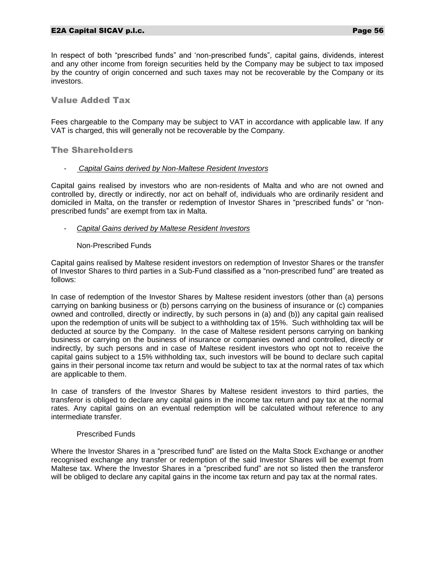In respect of both "prescribed funds" and 'non-prescribed funds", capital gains, dividends, interest and any other income from foreign securities held by the Company may be subject to tax imposed by the country of origin concerned and such taxes may not be recoverable by the Company or its investors.

Value Added Tax

Fees chargeable to the Company may be subject to VAT in accordance with applicable law. If any VAT is charged, this will generally not be recoverable by the Company.

The Shareholders

#### - *Capital Gains derived by Non-Maltese Resident Investors*

Capital gains realised by investors who are non-residents of Malta and who are not owned and controlled by, directly or indirectly, nor act on behalf of, individuals who are ordinarily resident and domiciled in Malta, on the transfer or redemption of Investor Shares in "prescribed funds" or "nonprescribed funds" are exempt from tax in Malta.

#### - *Capital Gains derived by Maltese Resident Investors*

#### Non-Prescribed Funds

Capital gains realised by Maltese resident investors on redemption of Investor Shares or the transfer of Investor Shares to third parties in a Sub-Fund classified as a "non-prescribed fund" are treated as follows:

In case of redemption of the Investor Shares by Maltese resident investors (other than (a) persons carrying on banking business or (b) persons carrying on the business of insurance or (c) companies owned and controlled, directly or indirectly, by such persons in (a) and (b)) any capital gain realised upon the redemption of units will be subject to a withholding tax of 15%. Such withholding tax will be deducted at source by the Company. In the case of Maltese resident persons carrying on banking business or carrying on the business of insurance or companies owned and controlled, directly or indirectly, by such persons and in case of Maltese resident investors who opt not to receive the capital gains subject to a 15% withholding tax, such investors will be bound to declare such capital gains in their personal income tax return and would be subject to tax at the normal rates of tax which are applicable to them.

In case of transfers of the Investor Shares by Maltese resident investors to third parties, the transferor is obliged to declare any capital gains in the income tax return and pay tax at the normal rates. Any capital gains on an eventual redemption will be calculated without reference to any intermediate transfer.

#### Prescribed Funds

Where the Investor Shares in a "prescribed fund" are listed on the Malta Stock Exchange or another recognised exchange any transfer or redemption of the said Investor Shares will be exempt from Maltese tax. Where the Investor Shares in a "prescribed fund" are not so listed then the transferor will be obliged to declare any capital gains in the income tax return and pay tax at the normal rates.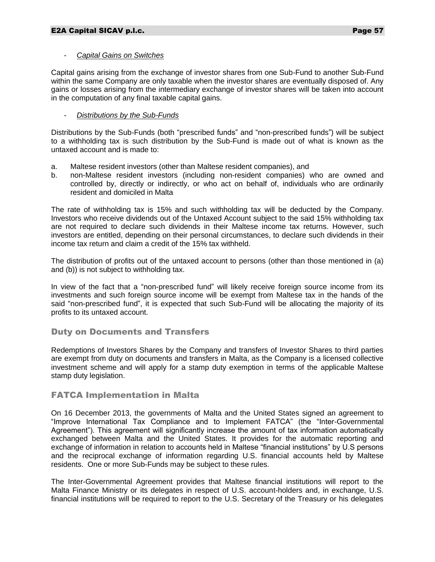#### - *Capital Gains on Switches*

Capital gains arising from the exchange of investor shares from one Sub-Fund to another Sub-Fund within the same Company are only taxable when the investor shares are eventually disposed of. Any gains or losses arising from the intermediary exchange of investor shares will be taken into account in the computation of any final taxable capital gains.

## - *Distributions by the Sub-Funds*

Distributions by the Sub-Funds (both "prescribed funds" and "non-prescribed funds") will be subject to a withholding tax is such distribution by the Sub-Fund is made out of what is known as the untaxed account and is made to:

- a. Maltese resident investors (other than Maltese resident companies), and
- b. non-Maltese resident investors (including non-resident companies) who are owned and controlled by, directly or indirectly, or who act on behalf of, individuals who are ordinarily resident and domiciled in Malta

The rate of withholding tax is 15% and such withholding tax will be deducted by the Company. Investors who receive dividends out of the Untaxed Account subject to the said 15% withholding tax are not required to declare such dividends in their Maltese income tax returns. However, such investors are entitled, depending on their personal circumstances, to declare such dividends in their income tax return and claim a credit of the 15% tax withheld.

The distribution of profits out of the untaxed account to persons (other than those mentioned in (a) and (b)) is not subject to withholding tax.

In view of the fact that a "non-prescribed fund" will likely receive foreign source income from its investments and such foreign source income will be exempt from Maltese tax in the hands of the said "non-prescribed fund", it is expected that such Sub-Fund will be allocating the majority of its profits to its untaxed account.

## Duty on Documents and Transfers

Redemptions of Investors Shares by the Company and transfers of Investor Shares to third parties are exempt from duty on documents and transfers in Malta, as the Company is a licensed collective investment scheme and will apply for a stamp duty exemption in terms of the applicable Maltese stamp duty legislation.

## FATCA Implementation in Malta

On 16 December 2013, the governments of Malta and the United States signed an agreement to "Improve International Tax Compliance and to Implement FATCA" (the "Inter-Governmental Agreement"). This agreement will significantly increase the amount of tax information automatically exchanged between Malta and the United States. It provides for the automatic reporting and exchange of information in relation to accounts held in Maltese "financial institutions" by U.S persons and the reciprocal exchange of information regarding U.S. financial accounts held by Maltese residents. One or more Sub-Funds may be subject to these rules.

The Inter-Governmental Agreement provides that Maltese financial institutions will report to the Malta Finance Ministry or its delegates in respect of U.S. account-holders and, in exchange, U.S. financial institutions will be required to report to the U.S. Secretary of the Treasury or his delegates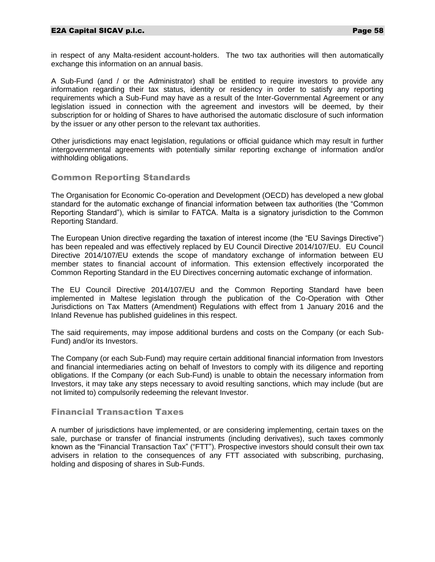in respect of any Malta-resident account-holders. The two tax authorities will then automatically exchange this information on an annual basis.

A Sub-Fund (and / or the Administrator) shall be entitled to require investors to provide any information regarding their tax status, identity or residency in order to satisfy any reporting requirements which a Sub-Fund may have as a result of the Inter-Governmental Agreement or any legislation issued in connection with the agreement and investors will be deemed, by their subscription for or holding of Shares to have authorised the automatic disclosure of such information by the issuer or any other person to the relevant tax authorities.

Other jurisdictions may enact legislation, regulations or official guidance which may result in further intergovernmental agreements with potentially similar reporting exchange of information and/or withholding obligations.

## Common Reporting Standards

The Organisation for Economic Co-operation and Development (OECD) has developed a new global standard for the automatic exchange of financial information between tax authorities (the "Common Reporting Standard"), which is similar to FATCA. Malta is a signatory jurisdiction to the Common Reporting Standard.

The European Union directive regarding the taxation of interest income (the "EU Savings Directive") has been repealed and was effectively replaced by EU Council Directive 2014/107/EU. EU Council Directive 2014/107/EU extends the scope of mandatory exchange of information between EU member states to financial account of information. This extension effectively incorporated the Common Reporting Standard in the EU Directives concerning automatic exchange of information.

The EU Council Directive 2014/107/EU and the Common Reporting Standard have been implemented in Maltese legislation through the publication of the Co-Operation with Other Jurisdictions on Tax Matters (Amendment) Regulations with effect from 1 January 2016 and the Inland Revenue has published guidelines in this respect.

The said requirements, may impose additional burdens and costs on the Company (or each Sub-Fund) and/or its Investors.

The Company (or each Sub-Fund) may require certain additional financial information from Investors and financial intermediaries acting on behalf of Investors to comply with its diligence and reporting obligations. If the Company (or each Sub-Fund) is unable to obtain the necessary information from Investors, it may take any steps necessary to avoid resulting sanctions, which may include (but are not limited to) compulsorily redeeming the relevant Investor.

## Financial Transaction Taxes

A number of jurisdictions have implemented, or are considering implementing, certain taxes on the sale, purchase or transfer of financial instruments (including derivatives), such taxes commonly known as the "Financial Transaction Tax" ("FTT"). Prospective investors should consult their own tax advisers in relation to the consequences of any FTT associated with subscribing, purchasing, holding and disposing of shares in Sub-Funds.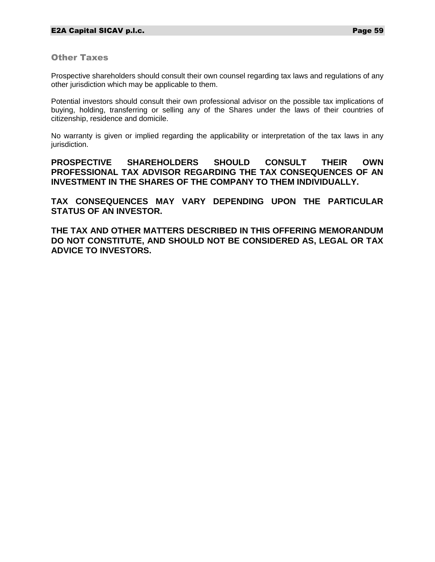Other Taxes

Prospective shareholders should consult their own counsel regarding tax laws and regulations of any other jurisdiction which may be applicable to them.

Potential investors should consult their own professional advisor on the possible tax implications of buying, holding, transferring or selling any of the Shares under the laws of their countries of citizenship, residence and domicile.

No warranty is given or implied regarding the applicability or interpretation of the tax laws in any jurisdiction.

**PROSPECTIVE SHAREHOLDERS SHOULD CONSULT THEIR OWN PROFESSIONAL TAX ADVISOR REGARDING THE TAX CONSEQUENCES OF AN INVESTMENT IN THE SHARES OF THE COMPANY TO THEM INDIVIDUALLY.**

**TAX CONSEQUENCES MAY VARY DEPENDING UPON THE PARTICULAR STATUS OF AN INVESTOR.**

**THE TAX AND OTHER MATTERS DESCRIBED IN THIS OFFERING MEMORANDUM DO NOT CONSTITUTE, AND SHOULD NOT BE CONSIDERED AS, LEGAL OR TAX ADVICE TO INVESTORS.**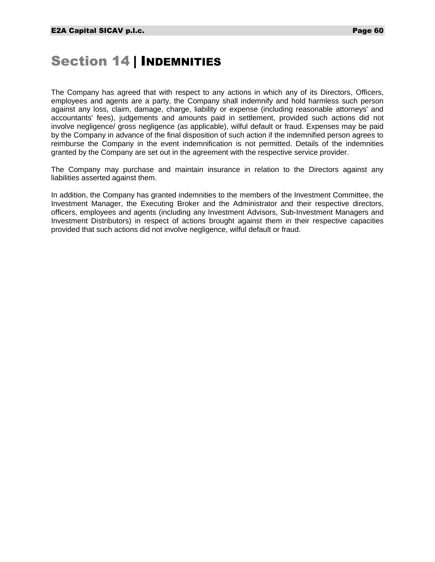## Section 14 | INDEMNITIES

The Company has agreed that with respect to any actions in which any of its Directors, Officers, employees and agents are a party, the Company shall indemnify and hold harmless such person against any loss, claim, damage, charge, liability or expense (including reasonable attorneys' and accountants' fees), judgements and amounts paid in settlement, provided such actions did not involve negligence/ gross negligence (as applicable), wilful default or fraud. Expenses may be paid by the Company in advance of the final disposition of such action if the indemnified person agrees to reimburse the Company in the event indemnification is not permitted. Details of the indemnities granted by the Company are set out in the agreement with the respective service provider.

The Company may purchase and maintain insurance in relation to the Directors against any liabilities asserted against them.

In addition, the Company has granted indemnities to the members of the Investment Committee, the Investment Manager, the Executing Broker and the Administrator and their respective directors, officers, employees and agents (including any Investment Advisors, Sub-Investment Managers and Investment Distributors) in respect of actions brought against them in their respective capacities provided that such actions did not involve negligence, wilful default or fraud.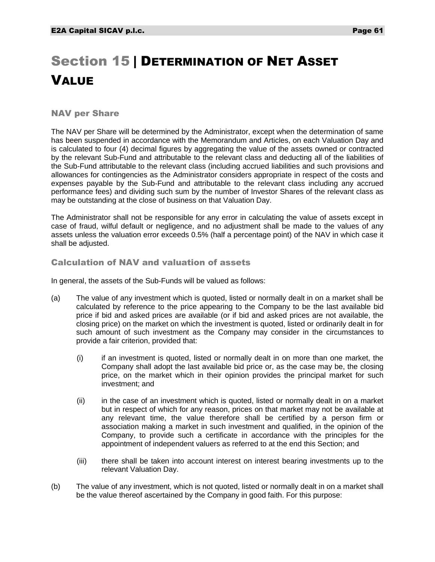# Section 15 | DETERMINATION OF NET ASSET VALUE

## NAV per Share

The NAV per Share will be determined by the Administrator, except when the determination of same has been suspended in accordance with the Memorandum and Articles, on each Valuation Day and is calculated to four (4) decimal figures by aggregating the value of the assets owned or contracted by the relevant Sub-Fund and attributable to the relevant class and deducting all of the liabilities of the Sub-Fund attributable to the relevant class (including accrued liabilities and such provisions and allowances for contingencies as the Administrator considers appropriate in respect of the costs and expenses payable by the Sub-Fund and attributable to the relevant class including any accrued performance fees) and dividing such sum by the number of Investor Shares of the relevant class as may be outstanding at the close of business on that Valuation Day.

The Administrator shall not be responsible for any error in calculating the value of assets except in case of fraud, wilful default or negligence, and no adjustment shall be made to the values of any assets unless the valuation error exceeds 0.5% (half a percentage point) of the NAV in which case it shall be adjusted.

## Calculation of NAV and valuation of assets

In general, the assets of the Sub-Funds will be valued as follows:

- (a) The value of any investment which is quoted, listed or normally dealt in on a market shall be calculated by reference to the price appearing to the Company to be the last available bid price if bid and asked prices are available (or if bid and asked prices are not available, the closing price) on the market on which the investment is quoted, listed or ordinarily dealt in for such amount of such investment as the Company may consider in the circumstances to provide a fair criterion, provided that:
	- (i) if an investment is quoted, listed or normally dealt in on more than one market, the Company shall adopt the last available bid price or, as the case may be, the closing price, on the market which in their opinion provides the principal market for such investment; and
	- (ii) in the case of an investment which is quoted, listed or normally dealt in on a market but in respect of which for any reason, prices on that market may not be available at any relevant time, the value therefore shall be certified by a person firm or association making a market in such investment and qualified, in the opinion of the Company, to provide such a certificate in accordance with the principles for the appointment of independent valuers as referred to at the end this Section; and
	- (iii) there shall be taken into account interest on interest bearing investments up to the relevant Valuation Day.
- (b) The value of any investment, which is not quoted, listed or normally dealt in on a market shall be the value thereof ascertained by the Company in good faith. For this purpose: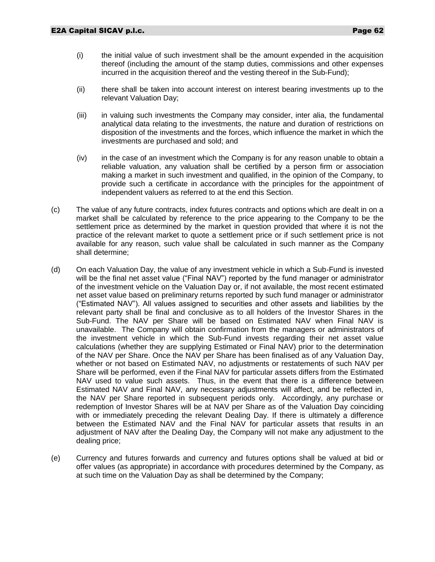- (i) the initial value of such investment shall be the amount expended in the acquisition thereof (including the amount of the stamp duties, commissions and other expenses incurred in the acquisition thereof and the vesting thereof in the Sub-Fund);
- (ii) there shall be taken into account interest on interest bearing investments up to the relevant Valuation Day;
- (iii) in valuing such investments the Company may consider, inter alia, the fundamental analytical data relating to the investments, the nature and duration of restrictions on disposition of the investments and the forces, which influence the market in which the investments are purchased and sold; and
- (iv) in the case of an investment which the Company is for any reason unable to obtain a reliable valuation, any valuation shall be certified by a person firm or association making a market in such investment and qualified, in the opinion of the Company, to provide such a certificate in accordance with the principles for the appointment of independent valuers as referred to at the end this Section.
- (c) The value of any future contracts, index futures contracts and options which are dealt in on a market shall be calculated by reference to the price appearing to the Company to be the settlement price as determined by the market in question provided that where it is not the practice of the relevant market to quote a settlement price or if such settlement price is not available for any reason, such value shall be calculated in such manner as the Company shall determine;
- (d) On each Valuation Day, the value of any investment vehicle in which a Sub-Fund is invested will be the final net asset value ("Final NAV") reported by the fund manager or administrator of the investment vehicle on the Valuation Day or, if not available, the most recent estimated net asset value based on preliminary returns reported by such fund manager or administrator ("Estimated NAV"). All values assigned to securities and other assets and liabilities by the relevant party shall be final and conclusive as to all holders of the Investor Shares in the Sub-Fund. The NAV per Share will be based on Estimated NAV when Final NAV is unavailable. The Company will obtain confirmation from the managers or administrators of the investment vehicle in which the Sub-Fund invests regarding their net asset value calculations (whether they are supplying Estimated or Final NAV) prior to the determination of the NAV per Share. Once the NAV per Share has been finalised as of any Valuation Day, whether or not based on Estimated NAV, no adjustments or restatements of such NAV per Share will be performed, even if the Final NAV for particular assets differs from the Estimated NAV used to value such assets. Thus, in the event that there is a difference between Estimated NAV and Final NAV, any necessary adjustments will affect, and be reflected in, the NAV per Share reported in subsequent periods only. Accordingly, any purchase or redemption of Investor Shares will be at NAV per Share as of the Valuation Day coinciding with or immediately preceding the relevant Dealing Day. If there is ultimately a difference between the Estimated NAV and the Final NAV for particular assets that results in an adjustment of NAV after the Dealing Day, the Company will not make any adjustment to the dealing price;
- (e) Currency and futures forwards and currency and futures options shall be valued at bid or offer values (as appropriate) in accordance with procedures determined by the Company, as at such time on the Valuation Day as shall be determined by the Company;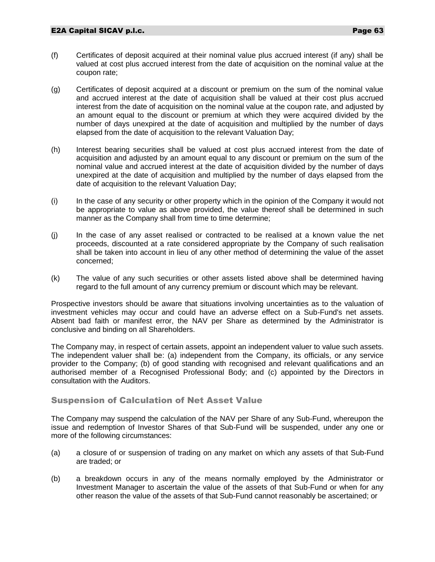- (f) Certificates of deposit acquired at their nominal value plus accrued interest (if any) shall be valued at cost plus accrued interest from the date of acquisition on the nominal value at the coupon rate;
- (g) Certificates of deposit acquired at a discount or premium on the sum of the nominal value and accrued interest at the date of acquisition shall be valued at their cost plus accrued interest from the date of acquisition on the nominal value at the coupon rate, and adjusted by an amount equal to the discount or premium at which they were acquired divided by the number of days unexpired at the date of acquisition and multiplied by the number of days elapsed from the date of acquisition to the relevant Valuation Day;
- (h) Interest bearing securities shall be valued at cost plus accrued interest from the date of acquisition and adjusted by an amount equal to any discount or premium on the sum of the nominal value and accrued interest at the date of acquisition divided by the number of days unexpired at the date of acquisition and multiplied by the number of days elapsed from the date of acquisition to the relevant Valuation Day;
- (i) In the case of any security or other property which in the opinion of the Company it would not be appropriate to value as above provided, the value thereof shall be determined in such manner as the Company shall from time to time determine;
- (j) In the case of any asset realised or contracted to be realised at a known value the net proceeds, discounted at a rate considered appropriate by the Company of such realisation shall be taken into account in lieu of any other method of determining the value of the asset concerned;
- (k) The value of any such securities or other assets listed above shall be determined having regard to the full amount of any currency premium or discount which may be relevant.

Prospective investors should be aware that situations involving uncertainties as to the valuation of investment vehicles may occur and could have an adverse effect on a Sub-Fund's net assets. Absent bad faith or manifest error, the NAV per Share as determined by the Administrator is conclusive and binding on all Shareholders.

The Company may, in respect of certain assets, appoint an independent valuer to value such assets. The independent valuer shall be: (a) independent from the Company, its officials, or any service provider to the Company; (b) of good standing with recognised and relevant qualifications and an authorised member of a Recognised Professional Body; and (c) appointed by the Directors in consultation with the Auditors.

## Suspension of Calculation of Net Asset Value

The Company may suspend the calculation of the NAV per Share of any Sub-Fund, whereupon the issue and redemption of Investor Shares of that Sub-Fund will be suspended, under any one or more of the following circumstances:

- (a) a closure of or suspension of trading on any market on which any assets of that Sub-Fund are traded; or
- (b) a breakdown occurs in any of the means normally employed by the Administrator or Investment Manager to ascertain the value of the assets of that Sub-Fund or when for any other reason the value of the assets of that Sub-Fund cannot reasonably be ascertained; or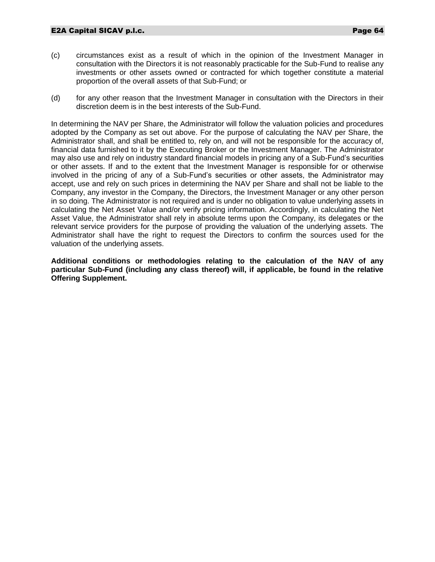- (c) circumstances exist as a result of which in the opinion of the Investment Manager in consultation with the Directors it is not reasonably practicable for the Sub-Fund to realise any investments or other assets owned or contracted for which together constitute a material proportion of the overall assets of that Sub-Fund; or
- (d) for any other reason that the Investment Manager in consultation with the Directors in their discretion deem is in the best interests of the Sub-Fund.

In determining the NAV per Share, the Administrator will follow the valuation policies and procedures adopted by the Company as set out above. For the purpose of calculating the NAV per Share, the Administrator shall, and shall be entitled to, rely on, and will not be responsible for the accuracy of, financial data furnished to it by the Executing Broker or the Investment Manager. The Administrator may also use and rely on industry standard financial models in pricing any of a Sub-Fund's securities or other assets. If and to the extent that the Investment Manager is responsible for or otherwise involved in the pricing of any of a Sub-Fund's securities or other assets, the Administrator may accept, use and rely on such prices in determining the NAV per Share and shall not be liable to the Company, any investor in the Company, the Directors, the Investment Manager or any other person in so doing. The Administrator is not required and is under no obligation to value underlying assets in calculating the Net Asset Value and/or verify pricing information. Accordingly, in calculating the Net Asset Value, the Administrator shall rely in absolute terms upon the Company, its delegates or the relevant service providers for the purpose of providing the valuation of the underlying assets. The Administrator shall have the right to request the Directors to confirm the sources used for the valuation of the underlying assets.

**Additional conditions or methodologies relating to the calculation of the NAV of any particular Sub-Fund (including any class thereof) will, if applicable, be found in the relative Offering Supplement.**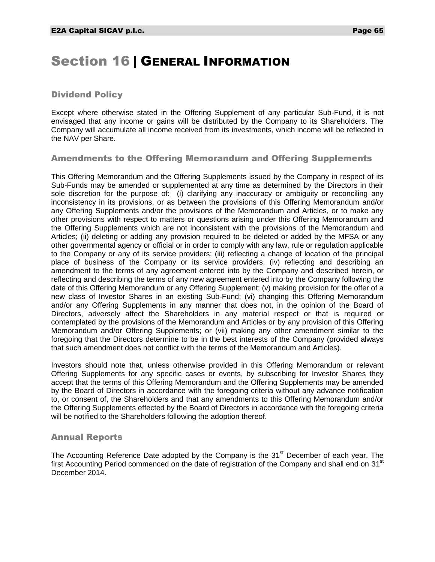## Section 16 | GENERAL INFORMATION

## Dividend Policy

Except where otherwise stated in the Offering Supplement of any particular Sub-Fund, it is not envisaged that any income or gains will be distributed by the Company to its Shareholders. The Company will accumulate all income received from its investments, which income will be reflected in the NAV per Share.

## Amendments to the Offering Memorandum and Offering Supplements

This Offering Memorandum and the Offering Supplements issued by the Company in respect of its Sub-Funds may be amended or supplemented at any time as determined by the Directors in their sole discretion for the purpose of: (i) clarifying any inaccuracy or ambiguity or reconciling any inconsistency in its provisions, or as between the provisions of this Offering Memorandum and/or any Offering Supplements and/or the provisions of the Memorandum and Articles, or to make any other provisions with respect to matters or questions arising under this Offering Memorandum and the Offering Supplements which are not inconsistent with the provisions of the Memorandum and Articles; (ii) deleting or adding any provision required to be deleted or added by the MFSA or any other governmental agency or official or in order to comply with any law, rule or regulation applicable to the Company or any of its service providers; (iii) reflecting a change of location of the principal place of business of the Company or its service providers, (iv) reflecting and describing an amendment to the terms of any agreement entered into by the Company and described herein, or reflecting and describing the terms of any new agreement entered into by the Company following the date of this Offering Memorandum or any Offering Supplement; (v) making provision for the offer of a new class of Investor Shares in an existing Sub-Fund; (vi) changing this Offering Memorandum and/or any Offering Supplements in any manner that does not, in the opinion of the Board of Directors, adversely affect the Shareholders in any material respect or that is required or contemplated by the provisions of the Memorandum and Articles or by any provision of this Offering Memorandum and/or Offering Supplements; or (vii) making any other amendment similar to the foregoing that the Directors determine to be in the best interests of the Company (provided always that such amendment does not conflict with the terms of the Memorandum and Articles).

Investors should note that, unless otherwise provided in this Offering Memorandum or relevant Offering Supplements for any specific cases or events, by subscribing for Investor Shares they accept that the terms of this Offering Memorandum and the Offering Supplements may be amended by the Board of Directors in accordance with the foregoing criteria without any advance notification to, or consent of, the Shareholders and that any amendments to this Offering Memorandum and/or the Offering Supplements effected by the Board of Directors in accordance with the foregoing criteria will be notified to the Shareholders following the adoption thereof.

## Annual Reports

The Accounting Reference Date adopted by the Company is the 31<sup>st</sup> December of each year. The first Accounting Period commenced on the date of registration of the Company and shall end on  $31<sup>st</sup>$ December 2014.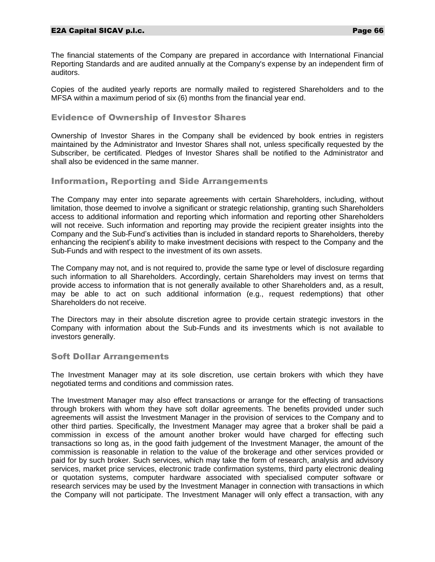#### E2A Capital SICAV p.l.c. Page 66

The financial statements of the Company are prepared in accordance with International Financial Reporting Standards and are audited annually at the Company's expense by an independent firm of auditors.

Copies of the audited yearly reports are normally mailed to registered Shareholders and to the MFSA within a maximum period of six (6) months from the financial year end.

#### Evidence of Ownership of Investor Shares

Ownership of Investor Shares in the Company shall be evidenced by book entries in registers maintained by the Administrator and Investor Shares shall not, unless specifically requested by the Subscriber, be certificated. Pledges of Investor Shares shall be notified to the Administrator and shall also be evidenced in the same manner.

#### Information, Reporting and Side Arrangements

The Company may enter into separate agreements with certain Shareholders, including, without limitation, those deemed to involve a significant or strategic relationship, granting such Shareholders access to additional information and reporting which information and reporting other Shareholders will not receive. Such information and reporting may provide the recipient greater insights into the Company and the Sub-Fund's activities than is included in standard reports to Shareholders, thereby enhancing the recipient's ability to make investment decisions with respect to the Company and the Sub-Funds and with respect to the investment of its own assets.

The Company may not, and is not required to, provide the same type or level of disclosure regarding such information to all Shareholders. Accordingly, certain Shareholders may invest on terms that provide access to information that is not generally available to other Shareholders and, as a result, may be able to act on such additional information (e.g., request redemptions) that other Shareholders do not receive.

The Directors may in their absolute discretion agree to provide certain strategic investors in the Company with information about the Sub-Funds and its investments which is not available to investors generally.

## Soft Dollar Arrangements

The Investment Manager may at its sole discretion, use certain brokers with which they have negotiated terms and conditions and commission rates.

The Investment Manager may also effect transactions or arrange for the effecting of transactions through brokers with whom they have soft dollar agreements. The benefits provided under such agreements will assist the Investment Manager in the provision of services to the Company and to other third parties. Specifically, the Investment Manager may agree that a broker shall be paid a commission in excess of the amount another broker would have charged for effecting such transactions so long as, in the good faith judgement of the Investment Manager, the amount of the commission is reasonable in relation to the value of the brokerage and other services provided or paid for by such broker. Such services, which may take the form of research, analysis and advisory services, market price services, electronic trade confirmation systems, third party electronic dealing or quotation systems, computer hardware associated with specialised computer software or research services may be used by the Investment Manager in connection with transactions in which the Company will not participate. The Investment Manager will only effect a transaction, with any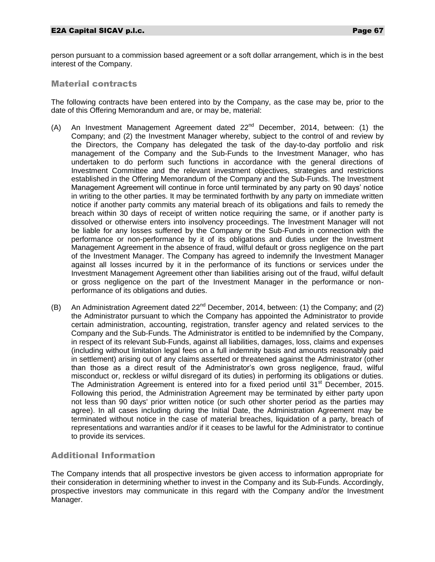person pursuant to a commission based agreement or a soft dollar arrangement, which is in the best interest of the Company.

#### Material contracts

The following contracts have been entered into by the Company, as the case may be, prior to the date of this Offering Memorandum and are, or may be, material:

- (A) An Investment Management Agreement dated 22<sup>nd</sup> December, 2014, between: (1) the Company; and (2) the Investment Manager whereby, subject to the control of and review by the Directors, the Company has delegated the task of the day-to-day portfolio and risk management of the Company and the Sub-Funds to the Investment Manager, who has undertaken to do perform such functions in accordance with the general directions of Investment Committee and the relevant investment objectives, strategies and restrictions established in the Offering Memorandum of the Company and the Sub-Funds. The Investment Management Agreement will continue in force until terminated by any party on 90 days' notice in writing to the other parties. It may be terminated forthwith by any party on immediate written notice if another party commits any material breach of its obligations and fails to remedy the breach within 30 days of receipt of written notice requiring the same, or if another party is dissolved or otherwise enters into insolvency proceedings. The Investment Manager will not be liable for any losses suffered by the Company or the Sub-Funds in connection with the performance or non-performance by it of its obligations and duties under the Investment Management Agreement in the absence of fraud, wilful default or gross negligence on the part of the Investment Manager. The Company has agreed to indemnify the Investment Manager against all losses incurred by it in the performance of its functions or services under the Investment Management Agreement other than liabilities arising out of the fraud, wilful default or gross negligence on the part of the Investment Manager in the performance or nonperformance of its obligations and duties.
- (B) An Administration Agreement dated  $22^{nd}$  December, 2014, between: (1) the Company; and (2) the Administrator pursuant to which the Company has appointed the Administrator to provide certain administration, accounting, registration, transfer agency and related services to the Company and the Sub-Funds. The Administrator is entitled to be indemnified by the Company, in respect of its relevant Sub-Funds, against all liabilities, damages, loss, claims and expenses (including without limitation legal fees on a full indemnity basis and amounts reasonably paid in settlement) arising out of any claims asserted or threatened against the Administrator (other than those as a direct result of the Administrator's own gross negligence, fraud, wilful misconduct or, reckless or wilful disregard of its duties) in performing its obligations or duties. The Administration Agreement is entered into for a fixed period until  $31<sup>st</sup>$  December, 2015. Following this period, the Administration Agreement may be terminated by either party upon not less than 90 days' prior written notice (or such other shorter period as the parties may agree). In all cases including during the Initial Date, the Administration Agreement may be terminated without notice in the case of material breaches, liquidation of a party, breach of representations and warranties and/or if it ceases to be lawful for the Administrator to continue to provide its services.

## Additional Information

The Company intends that all prospective investors be given access to information appropriate for their consideration in determining whether to invest in the Company and its Sub-Funds. Accordingly, prospective investors may communicate in this regard with the Company and/or the Investment Manager.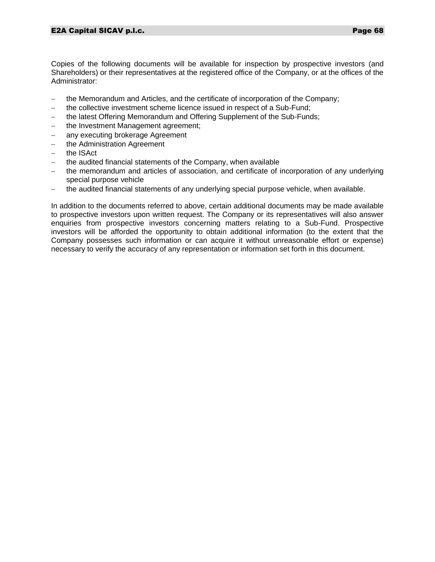Copies of the following documents will be available for inspection by prospective investors (and Shareholders) or their representatives at the registered office of the Company, or at the offices of the Administrator:

- the Memorandum and Articles, and the certificate of incorporation of the Company;
- the collective investment scheme licence issued in respect of a Sub-Fund;
- the latest Offering Memorandum and Offering Supplement of the Sub-Funds;
- the Investment Management agreement;
- any executing brokerage Agreement
- the Administration Agreement
- the ISAct
- $-$  the audited financial statements of the Company, when available
- the memorandum and articles of association, and certificate of incorporation of any underlying special purpose vehicle
- the audited financial statements of any underlying special purpose vehicle, when available.

In addition to the documents referred to above, certain additional documents may be made available to prospective investors upon written request. The Company or its representatives will also answer enquiries from prospective investors concerning matters relating to a Sub-Fund. Prospective investors will be afforded the opportunity to obtain additional information (to the extent that the Company possesses such information or can acquire it without unreasonable effort or expense) necessary to verify the accuracy of any representation or information set forth in this document.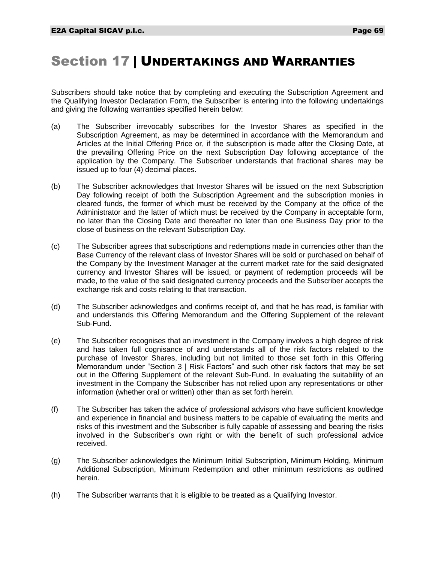## Section 17 | UNDERTAKINGS AND WARRANTIES

Subscribers should take notice that by completing and executing the Subscription Agreement and the Qualifying Investor Declaration Form, the Subscriber is entering into the following undertakings and giving the following warranties specified herein below:

- (a) The Subscriber irrevocably subscribes for the Investor Shares as specified in the Subscription Agreement, as may be determined in accordance with the Memorandum and Articles at the Initial Offering Price or, if the subscription is made after the Closing Date, at the prevailing Offering Price on the next Subscription Day following acceptance of the application by the Company. The Subscriber understands that fractional shares may be issued up to four (4) decimal places.
- (b) The Subscriber acknowledges that Investor Shares will be issued on the next Subscription Day following receipt of both the Subscription Agreement and the subscription monies in cleared funds, the former of which must be received by the Company at the office of the Administrator and the latter of which must be received by the Company in acceptable form, no later than the Closing Date and thereafter no later than one Business Day prior to the close of business on the relevant Subscription Day.
- (c) The Subscriber agrees that subscriptions and redemptions made in currencies other than the Base Currency of the relevant class of Investor Shares will be sold or purchased on behalf of the Company by the Investment Manager at the current market rate for the said designated currency and Investor Shares will be issued, or payment of redemption proceeds will be made, to the value of the said designated currency proceeds and the Subscriber accepts the exchange risk and costs relating to that transaction.
- (d) The Subscriber acknowledges and confirms receipt of, and that he has read, is familiar with and understands this Offering Memorandum and the Offering Supplement of the relevant Sub-Fund.
- (e) The Subscriber recognises that an investment in the Company involves a high degree of risk and has taken full cognisance of and understands all of the risk factors related to the purchase of Investor Shares, including but not limited to those set forth in this Offering Memorandum under "Section 3 | Risk Factors" and such other risk factors that may be set out in the Offering Supplement of the relevant Sub-Fund. In evaluating the suitability of an investment in the Company the Subscriber has not relied upon any representations or other information (whether oral or written) other than as set forth herein.
- (f) The Subscriber has taken the advice of professional advisors who have sufficient knowledge and experience in financial and business matters to be capable of evaluating the merits and risks of this investment and the Subscriber is fully capable of assessing and bearing the risks involved in the Subscriber's own right or with the benefit of such professional advice received.
- (g) The Subscriber acknowledges the Minimum Initial Subscription, Minimum Holding, Minimum Additional Subscription, Minimum Redemption and other minimum restrictions as outlined herein.
- (h) The Subscriber warrants that it is eligible to be treated as a Qualifying Investor.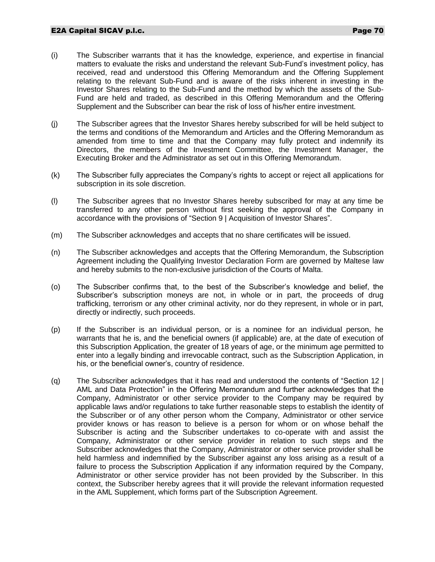- (i) The Subscriber warrants that it has the knowledge, experience, and expertise in financial matters to evaluate the risks and understand the relevant Sub-Fund's investment policy, has received, read and understood this Offering Memorandum and the Offering Supplement relating to the relevant Sub-Fund and is aware of the risks inherent in investing in the Investor Shares relating to the Sub-Fund and the method by which the assets of the Sub-Fund are held and traded, as described in this Offering Memorandum and the Offering Supplement and the Subscriber can bear the risk of loss of his/her entire investment.
- (j) The Subscriber agrees that the Investor Shares hereby subscribed for will be held subject to the terms and conditions of the Memorandum and Articles and the Offering Memorandum as amended from time to time and that the Company may fully protect and indemnify its Directors, the members of the Investment Committee, the Investment Manager, the Executing Broker and the Administrator as set out in this Offering Memorandum.
- (k) The Subscriber fully appreciates the Company's rights to accept or reject all applications for subscription in its sole discretion.
- (l) The Subscriber agrees that no Investor Shares hereby subscribed for may at any time be transferred to any other person without first seeking the approval of the Company in accordance with the provisions of "Section 9 | Acquisition of Investor Shares".
- (m) The Subscriber acknowledges and accepts that no share certificates will be issued.
- (n) The Subscriber acknowledges and accepts that the Offering Memorandum, the Subscription Agreement including the Qualifying Investor Declaration Form are governed by Maltese law and hereby submits to the non-exclusive jurisdiction of the Courts of Malta.
- (o) The Subscriber confirms that, to the best of the Subscriber's knowledge and belief, the Subscriber's subscription moneys are not, in whole or in part, the proceeds of drug trafficking, terrorism or any other criminal activity, nor do they represent, in whole or in part, directly or indirectly, such proceeds.
- (p) If the Subscriber is an individual person, or is a nominee for an individual person, he warrants that he is, and the beneficial owners (if applicable) are, at the date of execution of this Subscription Application, the greater of 18 years of age, or the minimum age permitted to enter into a legally binding and irrevocable contract, such as the Subscription Application, in his, or the beneficial owner's, country of residence.
- (q) The Subscriber acknowledges that it has read and understood the contents of "Section 12 | AML and Data Protection" in the Offering Memorandum and further acknowledges that the Company, Administrator or other service provider to the Company may be required by applicable laws and/or regulations to take further reasonable steps to establish the identity of the Subscriber or of any other person whom the Company, Administrator or other service provider knows or has reason to believe is a person for whom or on whose behalf the Subscriber is acting and the Subscriber undertakes to co-operate with and assist the Company, Administrator or other service provider in relation to such steps and the Subscriber acknowledges that the Company, Administrator or other service provider shall be held harmless and indemnified by the Subscriber against any loss arising as a result of a failure to process the Subscription Application if any information required by the Company, Administrator or other service provider has not been provided by the Subscriber. In this context, the Subscriber hereby agrees that it will provide the relevant information requested in the AML Supplement, which forms part of the Subscription Agreement.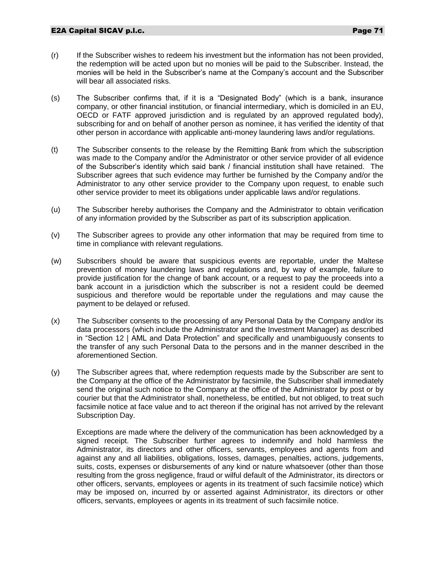- (r) If the Subscriber wishes to redeem his investment but the information has not been provided, the redemption will be acted upon but no monies will be paid to the Subscriber. Instead, the monies will be held in the Subscriber's name at the Company's account and the Subscriber will bear all associated risks.
- (s) The Subscriber confirms that, if it is a "Designated Body" (which is a bank, insurance company, or other financial institution, or financial intermediary, which is domiciled in an EU, OECD or FATF approved jurisdiction and is regulated by an approved regulated body), subscribing for and on behalf of another person as nominee, it has verified the identity of that other person in accordance with applicable anti-money laundering laws and/or regulations.
- (t) The Subscriber consents to the release by the Remitting Bank from which the subscription was made to the Company and/or the Administrator or other service provider of all evidence of the Subscriber's identity which said bank / financial institution shall have retained. The Subscriber agrees that such evidence may further be furnished by the Company and/or the Administrator to any other service provider to the Company upon request, to enable such other service provider to meet its obligations under applicable laws and/or regulations.
- (u) The Subscriber hereby authorises the Company and the Administrator to obtain verification of any information provided by the Subscriber as part of its subscription application.
- (v) The Subscriber agrees to provide any other information that may be required from time to time in compliance with relevant regulations.
- (w) Subscribers should be aware that suspicious events are reportable, under the Maltese prevention of money laundering laws and regulations and, by way of example, failure to provide justification for the change of bank account, or a request to pay the proceeds into a bank account in a jurisdiction which the subscriber is not a resident could be deemed suspicious and therefore would be reportable under the regulations and may cause the payment to be delayed or refused.
- (x) The Subscriber consents to the processing of any Personal Data by the Company and/or its data processors (which include the Administrator and the Investment Manager) as described in "Section 12 | AML and Data Protection" and specifically and unambiguously consents to the transfer of any such Personal Data to the persons and in the manner described in the aforementioned Section.
- (y) The Subscriber agrees that, where redemption requests made by the Subscriber are sent to the Company at the office of the Administrator by facsimile, the Subscriber shall immediately send the original such notice to the Company at the office of the Administrator by post or by courier but that the Administrator shall, nonetheless, be entitled, but not obliged, to treat such facsimile notice at face value and to act thereon if the original has not arrived by the relevant Subscription Day.

Exceptions are made where the delivery of the communication has been acknowledged by a signed receipt. The Subscriber further agrees to indemnify and hold harmless the Administrator, its directors and other officers, servants, employees and agents from and against any and all liabilities, obligations, losses, damages, penalties, actions, judgements, suits, costs, expenses or disbursements of any kind or nature whatsoever (other than those resulting from the gross negligence, fraud or wilful default of the Administrator, its directors or other officers, servants, employees or agents in its treatment of such facsimile notice) which may be imposed on, incurred by or asserted against Administrator, its directors or other officers, servants, employees or agents in its treatment of such facsimile notice.